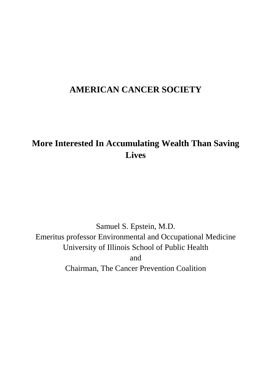# **AMERICAN CANCER SOCIETY**

# **More Interested In Accumulating Wealth Than Saving Lives**

Samuel S. Epstein, M.D. Emeritus professor Environmental and Occupational Medicine University of Illinois School of Public Health and Chairman, The Cancer Prevention Coalition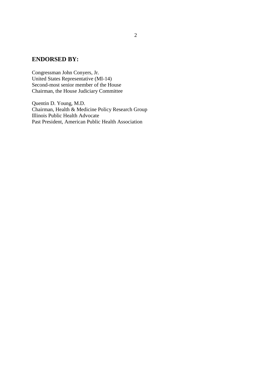## **ENDORSED BY:**

Congressman John Conyers, Jr. United States Representative (MI-14) Second-most senior member of the House Chairman, the House Judiciary Committee

Quentin D. Young, M.D. Chairman, Health & Medicine Policy Research Group Illinois Public Health Advocate Past President, American Public Health Association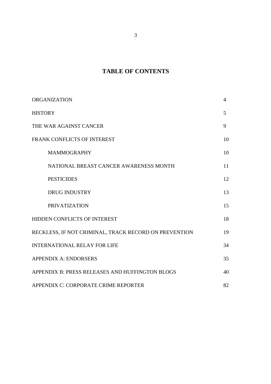## **TABLE OF CONTENTS**

| <b>ORGANIZATION</b>                                   | 4  |
|-------------------------------------------------------|----|
| <b>HISTORY</b>                                        | 5  |
| THE WAR AGAINST CANCER                                | 9  |
| FRANK CONFLICTS OF INTEREST                           | 10 |
| <b>MAMMOGRAPHY</b>                                    | 10 |
| NATIONAL BREAST CANCER AWARENESS MONTH                | 11 |
| <b>PESTICIDES</b>                                     | 12 |
| <b>DRUG INDUSTRY</b>                                  | 13 |
| <b>PRIVATIZATION</b>                                  | 15 |
| HIDDEN CONFLICTS OF INTEREST                          | 18 |
| RECKLESS, IF NOT CRIMINAL, TRACK RECORD ON PREVENTION | 19 |
| <b>INTERNATIONAL RELAY FOR LIFE</b>                   | 34 |
| <b>APPENDIX A: ENDORSERS</b>                          | 35 |
| APPENDIX B: PRESS RELEASES AND HUFFINGTON BLOGS       | 40 |
| APPENDIX C: CORPORATE CRIME REPORTER                  | 82 |

3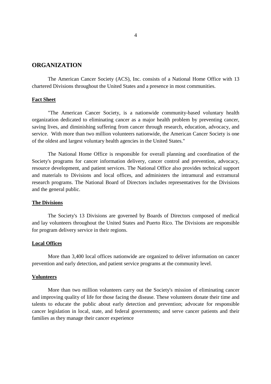## **ORGANIZATION**

The American Cancer Society (ACS), Inc. consists of a National Home Office with 13 chartered Divisions throughout the United States and a presence in most communities.

### **Fact Sheet**

 "The American Cancer Society, is a nationwide community-based voluntary health organization dedicated to eliminating cancer as a major health problem by preventing cancer, saving lives, and diminishing suffering from cancer through research, education, advocacy, and service. With more than two million volunteers nationwide, the American Cancer Society is one of the oldest and largest voluntary health agencies in the United States."

 The National Home Office is responsible for overall planning and coordination of the Society's programs for cancer information delivery, cancer control and prevention, advocacy, resource development, and patient services. The National Office also provides technical support and materials to Divisions and local offices, and administers the intramural and extramural research programs. The National Board of Directors includes representatives for the Divisions and the general public.

## **The Divisions**

 The Society's 13 Divisions are governed by Boards of Directors composed of medical and lay volunteers throughout the United States and Puerto Rico. The Divisions are responsible for program delivery service in their regions.

## **Local Offices**

 More than 3,400 local offices nationwide are organized to deliver information on cancer prevention and early detection, and patient service programs at the community level.

## **Volunteers**

 More than two million volunteers carry out the Society's mission of eliminating cancer and improving quality of life for those facing the disease. These volunteers donate their time and talents to educate the public about early detection and prevention; advocate for responsible cancer legislation in local, state, and federal governments; and serve cancer patients and their families as they manage their cancer experience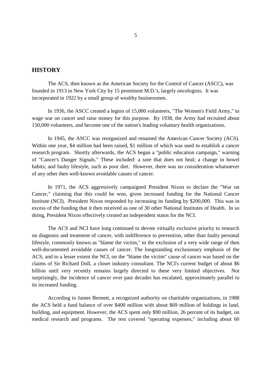## **HISTORY**

 The ACS, then known as the American Society for the Control of Cancer (ASCC), was founded in 1913 in New York City by 15 prominent M.D.'s, largely oncologists. It was incorporated in 1922 by a small group of wealthy businessmen.

 In 1936, the ASCC created a legion of 15,000 volunteers, "The Women's Field Army," to wage war on cancer and raise money for this purpose. By 1938, the Army had recruited about 150,000 volunteers, and become one of the nation's leading voluntary health organizations.

 In 1945, the ASCC was reorganized and renamed the American Cancer Society (ACS). Within one year, \$4 million had been raised, \$1 million of which was used to establish a cancer research program. Shortly afterwards, the ACS began a "public education campaign," warning of "Cancer's Danger Signals." These included: a sore that does not heal; a change in bowel habits; and faulty lifestyle, such as poor diet. However, there was no consideration whatsoever of any other then well-known avoidable causes of cancer.

 In 1971, the ACS aggressively campaigned President Nixon to declare the "War on Cancer," claiming that this could be won, given increased funding for the National Cancer Institute (NCI). President Nixon responded by increasing its funding by \$200,000. This was in excess of the funding that it then received as one of 30 other National Institutes of Health. In so doing, President Nixon effectively created an independent status for the NCI.

 The ACS and NCI have long continued to devote virtually exclusive priority to research on diagnosis and treatment of cancer, with indifference to prevention, other than faulty personal lifestyle, commonly known as "blame the victim," to the exclusion of a very wide range of then well-documented avoidable causes of cancer. The longstanding exclusionary emphasis of the ACS, and to a lesser extent the NCI, on the "blame the victim" cause of cancer was based on the claims of Sir Richard Doll, a closet industry consultant. The NCI's current budget of about \$6 billion until very recently remains largely directed to these very limited objectives. Not surprisingly, the incidence of cancer over past decades has escalated, approximately parallel to its increased funding.

 According to James Bennett, a recognized authority on charitable organizations, in 1988 the ACS held a fund balance of over \$400 million with about \$69 million of holdings in land, building, and equipment. However, the ACS spent only \$90 million, 26 percent of its budget, on medical research and programs. The rest covered "operating expenses," including about 60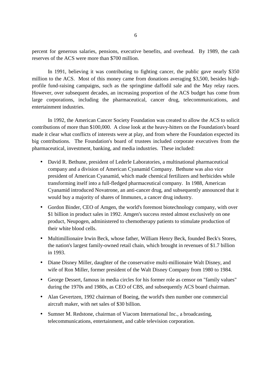percent for generous salaries, pensions, executive benefits, and overhead. By 1989, the cash reserves of the ACS were more than \$700 million.

 In 1991, believing it was contributing to fighting cancer, the public gave nearly \$350 million to the ACS. Most of this money came from donations averaging \$3,500, besides highprofile fund-raising campaigns, such as the springtime daffodil sale and the May relay races. However, over subsequent decades, an increasing proportion of the ACS budget has come from large corporations, including the pharmaceutical, cancer drug, telecommunications, and entertainment industries.

 In 1992, the American Cancer Society Foundation was created to allow the ACS to solicit contributions of more than \$100,000. A close look at the heavy-hitters on the Foundation's board made it clear what conflicts of interests were at play, and from where the Foundation expected its big contributions. The Foundation's board of trustees included corporate executives from the pharmaceutical, investment, banking, and media industries. These included:

- David R. Bethune, president of Lederle Laboratories, a multinational pharmaceutical company and a division of American Cyanamid Company. Bethune was also vice president of American Cyanamid, which made chemical fertilizers and herbicides while transforming itself into a full-fledged pharmaceutical company. In 1988, American Cyanamid introduced Novatrone, an anti-cancer drug, and subsequently announced that it would buy a majority of shares of Immunex, a cancer drug industry.
- Gordon Binder, CEO of Amgen, the world's foremost biotechnology company, with over \$1 billion in product sales in 1992. Amgen's success rested almost exclusively on one product, Neupogen, administered to chemotherapy patients to stimulate production of their white blood cells.
- Multimillionaire Irwin Beck, whose father, William Henry Beck, founded Beck's Stores, the nation's largest family-owned retail chain, which brought in revenues of \$1.7 billion in 1993.
- Diane Disney Miller, daughter of the conservative multi-millionaire Walt Disney, and wife of Ron Miller, former president of the Walt Disney Company from 1980 to 1984.
- George Dessert, famous in media circles for his former role as censor on "family values" during the 1970s and 1980s, as CEO of CBS, and subsequently ACS board chairman.
- Alan Gevertzen, 1992 chairman of Boeing, the world's then number one commercial aircraft maker, with net sales of \$30 billion.
- Sumner M. Redstone, chairman of Viacom International Inc., a broadcasting, telecommunications, entertainment, and cable television corporation.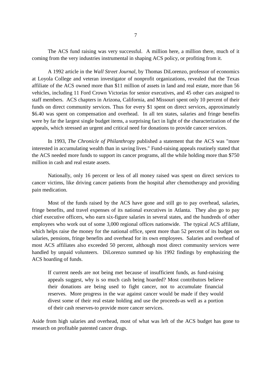The ACS fund raising was very successful. A million here, a million there, much of it coming from the very industries instrumental in shaping ACS policy, or profiting from it.

 A 1992 article in the *Wall Street Journal*, by Thomas DiLorenzo, professor of economics at Loyola College and veteran investigator of nonprofit organizations, revealed that the Texas affiliate of the ACS owned more than \$11 million of assets in land and real estate, more than 56 vehicles, including 11 Ford Crown Victorias for senior executives, and 45 other cars assigned to staff members. ACS chapters in Arizona, California, and Missouri spent only 10 percent of their funds on direct community services. Thus for every \$1 spent on direct services, approximately \$6.40 was spent on compensation and overhead. In all ten states, salaries and fringe benefits were by far the largest single budget items, a surprising fact in light of the characterization of the appeals, which stressed an urgent and critical need for donations to provide cancer services.

 In 1993, *The Chronicle of Philanthropy* published a statement that the ACS was "more interested in accumulating wealth than in saving lives." Fund-raising appeals routinely stated that the ACS needed more funds to support its cancer programs, all the while holding more than \$750 million in cash and real estate assets.

 Nationally, only 16 percent or less of all money raised was spent on direct services to cancer victims, like driving cancer patients from the hospital after chemotherapy and providing pain medication.

 Most of the funds raised by the ACS have gone and still go to pay overhead, salaries, fringe benefits, and travel expenses of its national executives in Atlanta. They also go to pay chief executive officers, who earn six-figure salaries in several states, and the hundreds of other employees who work out of some 3,000 regional offices nationwide. The typical ACS affiliate, which helps raise the money for the national office, spent more than 52 percent of its budget on salaries, pensions, fringe benefits and overhead for its own employees. Salaries and overhead of most ACS affiliates also exceeded 50 percent, although most direct community services were handled by unpaid volunteers. DiLorenzo summed up his 1992 findings by emphasizing the ACS hoarding of funds.

If current needs are not being met because of insufficient funds, as fund-raising appeals suggest, why is so much cash being hoarded? Most contributors believe their donations are being used to fight cancer, not to accumulate financial reserves. More progress in the war against cancer would be made if they would divest some of their real estate holding and use the proceeds-as well as a portion of their cash reserves-to provide more cancer services.

Aside from high salaries and overhead, most of what was left of the ACS budget has gone to research on profitable patented cancer drugs.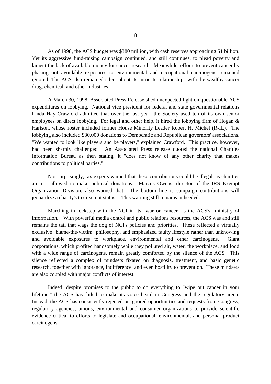As of 1998, the ACS budget was \$380 million, with cash reserves approaching \$1 billion. Yet its aggressive fund-raising campaign continued, and still continues, to plead poverty and lament the lack of available money for cancer research. Meanwhile, efforts to prevent cancer by phasing out avoidable exposures to environmental and occupational carcinogens remained ignored. The ACS also remained silent about its intricate relationships with the wealthy cancer drug, chemical, and other industries.

 A March 30, 1998, Associated Press Release shed unexpected light on questionable ACS expenditures on lobbying. National vice president for federal and state governmental relations Linda Hay Crawford admitted that over the last year, the Society used ten of its own senior employees on direct lobbying. For legal and other help, it hired the lobbying firm of Hogan & Hartson, whose roster included former House Minority Leader Robert H. Michel (R-IL). The lobbying also included \$30,000 donations to Democratic and Republican governors' associations. "We wanted to look like players and be players," explained Crawford. This practice, however, had been sharply challenged. An Associated Press release quoted the national Charities Information Bureau as then stating, it "does not know of any other charity that makes contributions to political parties."

 Not surprisingly, tax experts warned that these contributions could be illegal, as charities are not allowed to make political donations. Marcus Owens, director of the IRS Exempt Organization Division, also warned that, "The bottom line is campaign contributions will jeopardize a charity's tax exempt status." This warning still remains unheeded.

 Marching in lockstep with the NCI in its "war on cancer" is the ACS's "ministry of information." With powerful media control and public relations resources, the ACS was and still remains the tail that wags the dog of NCI's policies and priorities. These reflected a virtually exclusive "blame-the-victim" philosophy, and emphasized faulty lifestyle rather than unknowing and avoidable exposures to workplace, environmental and other carcinogens. Giant corporations, which profited handsomely while they polluted air, water, the workplace, and food with a wide range of carcinogens, remain greatly comforted by the silence of the ACS. This silence reflected a complex of mindsets fixated on diagnosis, treatment, and basic genetic research, together with ignorance, indifference, and even hostility to prevention. These mindsets are also coupled with major conflicts of interest.

 Indeed, despite promises to the public to do everything to "wipe out cancer in your lifetime," the ACS has failed to make its voice heard in Congress and the regulatory arena. Instead, the ACS has consistently rejected or ignored opportunities and requests from Congress, regulatory agencies, unions, environmental and consumer organizations to provide scientific evidence critical to efforts to legislate and occupational, environmental, and personal product carcinogens.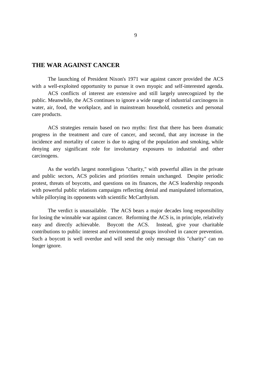## **THE WAR AGAINST CANCER**

 The launching of President Nixon's 1971 war against cancer provided the ACS with a well-exploited opportunity to pursue it own myopic and self-interested agenda.

 ACS conflicts of interest are extensive and still largely unrecognized by the public. Meanwhile, the ACS continues to ignore a wide range of industrial carcinogens in water, air, food, the workplace, and in mainstream household, cosmetics and personal care products.

 ACS strategies remain based on two myths: first that there has been dramatic progress in the treatment and cure of cancer, and second, that any increase in the incidence and mortality of cancer is due to aging of the population and smoking, while denying any significant role for involuntary exposures to industrial and other carcinogens.

 As the world's largest nonreligious "charity," with powerful allies in the private and public sectors, ACS policies and priorities remain unchanged. Despite periodic protest, threats of boycotts, and questions on its finances, the ACS leadership responds with powerful public relations campaigns reflecting denial and manipulated information, while pillorying its opponents with scientific McCarthyism.

 The verdict is unassailable. The ACS bears a major decades long responsibility for losing the winnable war against cancer. Reforming the ACS is, in principle, relatively easy and directly achievable. Boycott the ACS. Instead, give your charitable contributions to public interest and environmental groups involved in cancer prevention. Such a boycott is well overdue and will send the only message this "charity" can no longer ignore.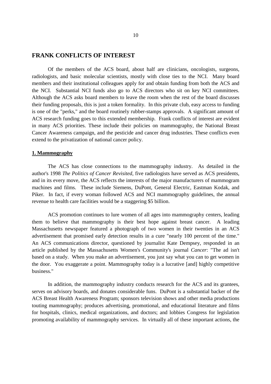## **FRANK CONFLICTS OF INTEREST**

 Of the members of the ACS board, about half are clinicians, oncologists, surgeons, radiologists, and basic molecular scientists, mostly with close ties to the NCI. Many board members and their institutional colleagues apply for and obtain funding from both the ACS and the NCI. Substantial NCI funds also go to ACS directors who sit on key NCI committees. Although the ACS asks board members to leave the room when the rest of the board discusses their funding proposals, this is just a token formality. In this private club, easy access to funding is one of the "perks," and the board routinely rubber-stamps approvals. A significant amount of ACS research funding goes to this extended membership. Frank conflicts of interest are evident in many ACS priorities. These include their policies on mammography, the National Breast Cancer Awareness campaign, and the pesticide and cancer drug industries. These conflicts even extend to the privatization of national cancer policy.

## **1. Mammography**

 The ACS has close connections to the mammography industry. As detailed in the author's 1998 *The Politics of Cancer Revisited*, five radiologists have served as ACS presidents, and in its every move, the ACS reflects the interests of the major manufacturers of mammogram machines and films. These include Siemens, DuPont, General Electric, Eastman Kodak, and Piker. In fact, if every woman followed ACS and NCI mammography guidelines, the annual revenue to health care facilities would be a staggering \$5 billion.

 ACS promotion continues to lure women of all ages into mammography centers, leading them to believe that mammography is their best hope against breast cancer. A leading Massachusetts newspaper featured a photograph of two women in their twenties in an ACS advertisement that promised early detection results in a cure "nearly 100 percent of the time." An ACS communications director, questioned by journalist Kate Dempsey, responded in an article published by the Massachusetts Women's Community's journal *Cancer*: "The ad isn't based on a study. When you make an advertisement, you just say what you can to get women in the door. You exaggerate a point. Mammography today is a lucrative [and] highly competitive business."

 In addition, the mammography industry conducts research for the ACS and its grantees, serves on advisory boards, and donates considerable funs. DuPont is a substantial backer of the ACS Breast Health Awareness Program; sponsors television shows and other media productions touting mammography; produces advertising, promotional, and educational literature and films for hospitals, clinics, medical organizations, and doctors; and lobbies Congress for legislation promoting availability of mammography services. In virtually all of these important actions, the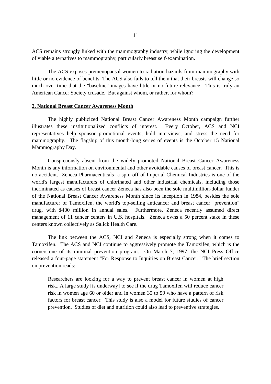ACS remains strongly linked with the mammography industry, while ignoring the development of viable alternatives to mammography, particularly breast self-examination.

 The ACS exposes premenopausal women to radiation hazards from mammography with little or no evidence of benefits. The ACS also fails to tell them that their breasts will change so much over time that the "baseline" images have little or no future relevance. This is truly an American Cancer Society crusade. But against whom, or rather, for whom?

### **2. National Breast Cancer Awareness Month**

 The highly publicized National Breast Cancer Awareness Month campaign further illustrates these institutionalized conflicts of interest. Every October, ACS and NCI representatives help sponsor promotional events, hold interviews, and stress the need for mammography. The flagship of this month-long series of events is the October 15 National Mammography Day.

 Conspicuously absent from the widely promoted National Breast Cancer Awareness Month is any information on environmental and other avoidable causes of breast cancer. This is no accident. Zeneca Pharmaceuticals--a spin-off of Imperial Chemical Industries is one of the world's largest manufacturers of chlorinated and other industrial chemicals, including those incriminated as causes of breast cancer Zeneca has also been the sole multimillion-dollar funder of the National Breast Cancer Awareness Month since its inception in 1984, besides the sole manufacturer of Tamoxifen, the world's top-selling anticancer and breast cancer "prevention" drug, with \$400 million in annual sales. Furthermore, Zeneca recently assumed direct management of 11 cancer centers in U.S. hospitals. Zeneca owns a 50 percent stake in these centers known collectively as Salick Health Care.

 The link between the ACS, NCI and Zeneca is especially strong when it comes to Tamoxifen. The ACS and NCI continue to aggressively promote the Tamoxifen, which is the cornerstone of its minimal prevention program. On March 7, 1997, the NCI Press Office released a four-page statement "For Response to Inquiries on Breast Cancer." The brief section on prevention reads:

Researchers are looking for a way to prevent breast cancer in women at high risk...A large study [is underway] to see if the drug Tamoxifen will reduce cancer risk in women age 60 or older and in women 35 to 59 who have a pattern of risk factors for breast cancer. This study is also a model for future studies of cancer prevention. Studies of diet and nutrition could also lead to preventive strategies.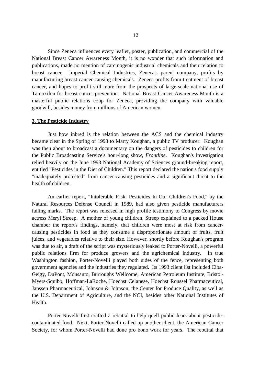Since Zeneca influences every leaflet, poster, publication, and commercial of the National Breast Cancer Awareness Month, it is no wonder that such information and publications, made no mention of carcinogenic industrial chemicals and their relation to breast cancer. Imperial Chemical Industries, Zeneca's parent company, profits by manufacturing breast cancer-causing chemicals. Zeneca profits from treatment of breast cancer, and hopes to profit still more from the prospects of large-scale national use of Tamoxifen for breast cancer prevention. National Breast Cancer Awareness Month is a masterful public relations coup for Zeneca, providing the company with valuable goodwill, besides money from millions of American women.

#### **3. The Pesticide Industry**

 Just how inbred is the relation between the ACS and the chemical industry became clear in the Spring of 1993 to Marty Koughan, a public TV producer. Koughan was then about to broadcast a documentary on the dangers of pesticides to children for the Public Broadcasting Service's hour-long show, *Frontline*. Koughan's investigation relied heavily on the June 1993 National Academy of Sciences ground-breaking report, entitled "Pesticides in the Diet of Children." This report declared the nation's food supply "inadequately protected" from cancer-causing pesticides and a significant threat to the health of children.

 An earlier report, "Intolerable Risk: Pesticides In Our Children's Food," by the Natural Resources Defense Council in 1989, had also given pesticide manufacturers failing marks. The report was released in high profile testimony to Congress by movie actress Meryl Streep. A mother of young children, Streep explained to a packed House chamber the report's findings, namely, that children were most at risk from cancercausing pesticides in food as they consume a disproportionate amount of fruits, fruit juices, and vegetables relative to their size. However, shortly before Koughan's program was due to air, a draft of the script was mysteriously leaked to Porter-Novelli, a powerful public relations firm for produce growers and the agrichemical industry. In true Washington fashion, Porter-Novelli played both sides of the fence, representing both government agencies and the industries they regulated. Its 1993 client list included Ciba-Geigy, DuPont, Monsanto, Burroughs Wellcome, American Petroleum Institute, Bristol-Myers-Squibb, Hoffman-LaRoche, Hoechst Celanese, Hoechst Roussel Pharmaceutical, Janssen Pharmaceutical, Johnson & Johnson, the Center for Produce Quality, as well as the U.S. Department of Agriculture, and the NCI, besides other National Institutes of Health.

 Porter-Novelli first crafted a rebuttal to help quell public fears about pesticidecontaminated food. Next, Porter-Novelli called up another client, the American Cancer Society, for whom Porter-Novelli had done pro bono work for years. The rebuttal that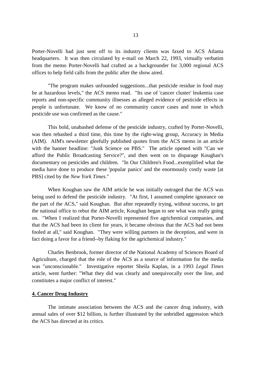Porter-Novelli had just sent off to its industry clients was faxed to ACS Atlanta headquarters. It was then circulated by e-mail on March 22, 1993, virtually verbatim from the memo Porter-Novelli had crafted as a backgrounder for 3,000 regional ACS offices to help field calls from the public after the show aired.

 "The program makes unfounded suggestions...that pesticide residue in food may be at hazardous levels," the ACS memo read. "Its use of 'cancer cluster' leukemia case reports and non-specific community illnesses as alleged evidence of pesticide effects in people is unfortunate. We know of no community cancer cases and none in which pesticide use was confirmed as the cause."

 This bold, unabashed defense of the pesticide industry, crafted by Porter-Novelli, was then rehashed a third time, this time by the right-wing group, Accuracy in Media (AIM). AIM's newsletter gleefully published quotes from the ACS memo in an article with the banner headline: "Junk Science on PBS." The article opened with "Can we afford the Public Broadcasting Service?", and then went on to disparage Koughan's documentary on pesticides and children. "In Our Children's Food...exemplified what the media have done to produce these 'popular panics' and the enormously costly waste [at PBS] cited by the *New York Times*."

 When Koughan saw the AIM article he was initially outraged that the ACS was being used to defend the pesticide industry. "At first, I assumed complete ignorance on the part of the ACS," said Koughan. But after repeatedly trying, without success, to get the national office to rebut the AIM article, Koughan began to see what was really going on. "When I realized that Porter-Novelli represented five agrichemical companies, and that the ACS had been its client for years, it became obvious that the ACS had not been fooled at all," said Koughan. "They were willing partners in the deception, and were in fact doing a favor for a friend--by flaking for the agrichemical industry."

 Charles Benbrook, former director of the National Academy of Sciences Board of Agriculture, charged that the role of the ACS as a source of information for the media was "unconscionable." Investigative reporter Sheila Kaplan, in a 1993 *Legal Times* article, went further: "What they did was clearly and unequivocally over the line, and constitutes a major conflict of interest."

## **4. Cancer Drug Industry**

 The intimate association between the ACS and the cancer drug industry, with annual sales of over \$12 billion, is further illustrated by the unbridled aggression which the ACS has directed at its critics.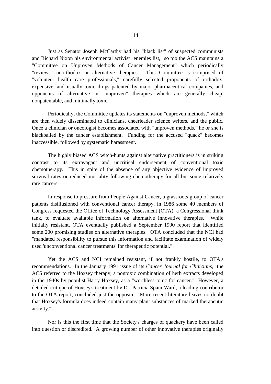Just as Senator Joseph McCarthy had his "black list" of suspected communists and Richard Nixon his environmental activist "enemies list," so too the ACS maintains a "Committee on Unproven Methods of Cancer Management" which periodically "reviews" unorthodox or alternative therapies. This Committee is comprised of "volunteer health care professionals," carefully selected proponents of orthodox, expensive, and usually toxic drugs patented by major pharmaceutical companies, and opponents of alternative or "unproven" therapies which are generally cheap, nonpatentable, and minimally toxic.

 Periodically, the Committee updates its statements on "unproven methods," which are then widely disseminated to clinicians, cheerleader science writers, and the public. Once a clinician or oncologist becomes associated with "unproven methods," he or she is blackballed by the cancer establishment. Funding for the accused "quack" becomes inaccessible, followed by systematic harassment.

 The highly biased ACS witch-hunts against alternative practitioners is in striking contrast to its extravagant and uncritical endorsement of conventional toxic chemotherapy. This in spite of the absence of any objective evidence of improved survival rates or reduced mortality following chemotherapy for all but some relatively rare cancers.

 In response to pressure from People Against Cancer, a grassroots group of cancer patients disillusioned with conventional cancer therapy, in 1986 some 40 members of Congress requested the Office of Technology Assessment (OTA), a Congressional think tank, to evaluate available information on alternative innovative therapies. While initially resistant, OTA eventually published a September 1990 report that identified some 200 promising studies on alternative therapies. OTA concluded that the NCI had "mandated responsibility to pursue this information and facilitate examination of widely used 'unconventional cancer treatments' for therapeutic potential."

 Yet the ACS and NCI remained resistant, if not frankly hostile, to OTA's recommendations. In the January 1991 issue of its *Cancer Journal for Clinicians,* the ACS referred to the Hoxsey therapy, a nontoxic combination of herb extracts developed in the 1940s by populist Harry Hoxsey, as a "worthless tonic for cancer." However, a detailed critique of Hoxsey's treatment by Dr. Patricia Spain Ward, a leading contributor to the OTA report, concluded just the opposite: "More recent literature leaves no doubt that Hoxsey's formula does indeed contain many plant substances of marked therapeutic activity."

 Nor is this the first time that the Society's charges of quackery have been called into question or discredited. A growing number of other innovative therapies originally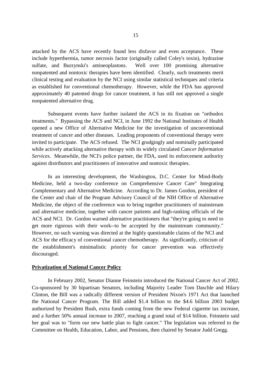attacked by the ACS have recently found less disfavor and even acceptance. These include hyperthermia, tumor necrosis factor (originally called Coley's toxin), hydrazine sulfate, and Burzynski's antineoplastons. Well over 100 promising alternative nonpatented and nontoxic therapies have been identified. Clearly, such treatments merit clinical testing and evaluation by the NCI using similar statistical techniques and criteria as established for conventional chemotherapy. However, while the FDA has approved approximately 40 patented drugs for cancer treatment, it has still not approved a single nonpatented alternative drug.

 Subsequent events have further isolated the ACS in its fixation on "orthodox treatments." Bypassing the ACS and NCI, in June 1992 the National Institutes of Health opened a new Office of Alternative Medicine for the investigation of unconventional treatment of cancer and other diseases. Leading proponents of conventional therapy were invited to participate. The ACS refused. The NCI grudgingly and nominally participated while actively attacking alternative therapy with its widely circulated *Cancer Information Services*. Meanwhile, the NCI's police partner, the FDA, used its enforcement authority against distributors and practitioners of innovative and nontoxic therapies.

 In an interesting development, the Washington, D.C. Center for Mind-Body Medicine, held a two-day conference on Comprehensive Cancer Care" Integrating Complementary and Alternative Medicine. According to Dr. James Gordon, president of the Center and chair of the Program Advisory Council of the NIH Office of Alternative Medicine, the object of the conference was to bring together practitioners of mainstream and alternative medicine, together with cancer patients and high-ranking officials of the ACS and NCI. Dr. Gordon warned alternative practitioners that "they're going to need to get more rigorous with their work--to be accepted by the mainstream community." However, no such warning was directed at the highly questionable claims of the NCI and ACS for the efficacy of conventional cancer chemotherapy. As significantly, criticism of the establishment's minimalistic priority for cancer prevention was effectively discouraged.

#### **Privatization of National Cancer Policy**

 In February 2002, Senator Dianne Feinstein introduced the National Cancer Act of 2002. Co-sponsored by 30 bipartisan Senators, including Majority Leader Tom Daschle and Hilary Clinton, the Bill was a radically different version of President Nixon's 1971 Act that launched the National Cancer Program. The Bill added \$1.4 billion to the \$4.6 billion 2003 budget authorized by President Bush, extra funds coming from the new Federal cigarette tax increase, and a further 50% annual increase to 2007, reaching a grand total of \$14 billion. Feinstein said her goal was to "form our new battle plan to fight cancer." The legislation was referred to the Committee on Health, Education, Labor, and Pensions, then chaired by Senator Judd Gregg.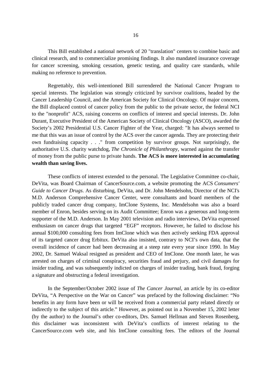This Bill established a national network of 20 "translation" centers to combine basic and clinical research, and to commercialize promising findings. It also mandated insurance coverage for cancer screening, smoking cessation, genetic testing, and quality care standards, while making no reference to prevention.

 Regrettably, this well-intentioned Bill surrendered the National Cancer Program to special interests. The legislation was strongly criticized by survivor coalitions, headed by the Cancer Leadership Council, and the American Society for Clinical Oncology. Of major concern, the Bill displaced control of cancer policy from the public to the private sector, the federal NCI to the "nonprofit" ACS, raising concerns on conflicts of interest and special interests. Dr. John Durant, Executive President of the American Society of Clinical Oncology (ASCO), awarded the Society's 2002 Presidential U.S. Cancer Fighter of the Year, charged: "It has always seemed to me that this was an issue of control by the ACS over the cancer agenda. They are protecting their own fundraising capacity . . ." from competition by survivor groups. Not surprisingly, the authoritative U.S. charity watchdog, *The Chronicle of Philanthropy*, warned against the transfer of money from the public purse to private hands. **The ACS is more interested in accumulating wealth than saving lives.**

 These conflicts of interest extended to the personal. The Legislative Committee co-chair, DeVita, was Board Chairman of CancerSource.com, a website promoting the ACS *Consumers' Guide to Cancer Drugs*. As disturbing, DeVita, and Dr. John Mendelsohn, Director of the NCI's M.D. Anderson Comprehensive Cancer Center, were consultants and board members of the publicly traded cancer drug company, ImClone Systems, Inc. Mendelsohn was also a board member of Enron, besides serving on its Audit Committee; Enron was a generous and long-term supporter of the M.D. Anderson. In May 2001 television and radio interviews, DeVita expressed enthusiasm on cancer drugs that targeted "EGF" receptors. However, he failed to disclose his annual \$100,000 consulting fees from ImClone which was then actively seeking FDA approval of its targeted cancer drug Erbitux. DeVita also insisted, contrary to NCI's own data, that the overall incidence of cancer had been decreasing at a steep rate every year since 1990. In May 2002, Dr. Samuel Waksal resigned as president and CEO of ImClone. One month later, he was arrested on charges of criminal conspiracy, securities fraud and perjury, and civil damages for insider trading, and was subsequently indicted on charges of insider trading, bank fraud, forging a signature and obstructing a federal investigation.

 In the September/October 2002 issue of *The Cancer Journal*, an article by its co-editor DeVita, "A Perspective on the War on Cancer" was prefaced by the following disclaimer: "No benefits in any form have been or will be received from a commercial party related directly or indirectly to the subject of this article." However, as pointed out in a November 15, 2002 letter (by the author) to the Journal's other co-editors, Drs. Samuel Hellman and Steven Rosenberg, this disclaimer was inconsistent with DeVita's conflicts of interest relating to the CancerSource.com web site, and his ImClone consulting fees. The editors of the Journal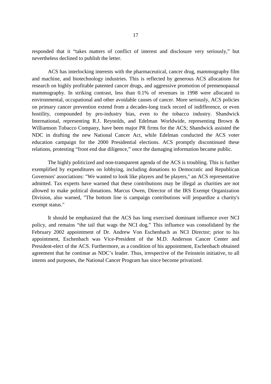responded that it "takes matters of conflict of interest and disclosure very seriously," but nevertheless declined to publish the letter.

 ACS has interlocking interests with the pharmaceutical, cancer drug, mammography film and machine, and biotechnology industries. This is reflected by generous ACS allocations for research on highly profitable patented cancer drugs, and aggressive promotion of premenopausal mammography. In striking contrast, less than 0.1% of revenues in 1998 were allocated to environmental, occupational and other avoidable causes of cancer. More seriously, ACS policies on primary cancer prevention extend from a decades-long track record of indifference, or even hostility, compounded by pro-industry bias, even to the tobacco industry. Shandwick International, representing R.J. Reynolds, and Edelman Worldwide, representing Brown & Williamson Tobacco Company, have been major PR firms for the ACS; Shandwick assisted the NDC in drafting the new National Cancer Act, while Edelman conducted the ACS voter education campaign for the 2000 Presidential elections. ACS promptly discontinued these relations, protesting "front end due diligence," once the damaging information became public.

 The highly politicized and non-transparent agenda of the ACS is troubling. This is further exemplified by expenditures on lobbying, including donations to Democratic and Republican Governors' associations: "We wanted to look like players and be players," an ACS representative admitted. Tax experts have warned that these contributions may be illegal as charities are not allowed to make political donations. Marcus Owen, Director of the IRS Exempt Organization Division, also warned, "The bottom line is campaign contributions will jeopardize a charity's exempt status."

 It should be emphasized that the ACS has long exercised dominant influence over NCI policy, and remains "the tail that wags the NCI dog." This influence was consolidated by the February 2002 appointment of Dr. Andrew Von Eschenbach as NCI Director; prior to his appointment, Eschenbach was Vice-President of the M.D. Anderson Cancer Center and President-elect of the ACS. Furthermore, as a condition of his appointment, Eschenbach obtained agreement that he continue as NDC's leader. Thus, irrespective of the Feinstein initiative, to all intents and purposes, the National Cancer Program has since become privatized.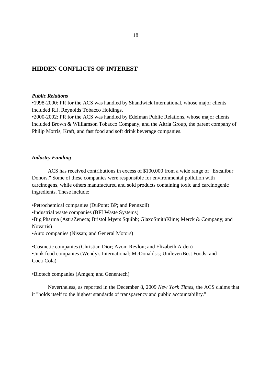## **HIDDEN CONFLICTS OF INTEREST**

#### *Public Relations*

•1998-2000: PR for the ACS was handled by Shandwick International, whose major clients included R.J. Reynolds Tobacco Holdings.

•2000-2002: PR for the ACS was handled by Edelman Public Relations, whose major clients included Brown & Williamson Tobacco Company, and the Altria Group, the parent company of Philip Morris, Kraft, and fast food and soft drink beverage companies.

## *Industry Funding*

 ACS has received contributions in excess of \$100,000 from a wide range of "Excalibur Donors." Some of these companies were responsible for environmental pollution with carcinogens, while others manufactured and sold products containing toxic and carcinogenic ingredients. These include:

•Petrochemical companies (DuPont; BP; and Pennzoil)

•Industrial waste companies (BFI Waste Systems)

•Big Pharma (AstraZeneca; Bristol Myers Squibb; GlaxoSmithKline; Merck & Company; and Novartis)

•Auto companies (Nissan; and General Motors)

•Cosmetic companies (Christian Dior; Avon; Revlon; and Elizabeth Arden) •Junk food companies (Wendy's International; McDonalds's; Unilever/Best Foods; and Coca-Cola)

•Biotech companies (Amgen; and Genentech)

 Nevertheless, as reported in the December 8, 2009 *New York Times*, the ACS claims that it "holds itself to the highest standards of transparency and public accountability."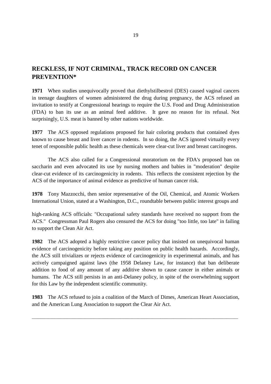## **RECKLESS, IF NOT CRIMINAL, TRACK RECORD ON CANCER PREVENTION\***

**1971** When studies unequivocally proved that diethylstilbestrol (DES) caused vaginal cancers in teenage daughters of women administered the drug during pregnancy, the ACS refused an invitation to testify at Congressional hearings to require the U.S. Food and Drug Administration (FDA) to ban its use as an animal feed additive. It gave no reason for its refusal. Not surprisingly, U.S. meat is banned by other nations worldwide.

**1977** The ACS opposed regulations proposed for hair coloring products that contained dyes known to cause breast and liver cancer in rodents. In so doing, the ACS ignored virtually every tenet of responsible public health as these chemicals were clear-cut liver and breast carcinogens.

 The ACS also called for a Congressional moratorium on the FDA's proposed ban on saccharin and even advocated its use by nursing mothers and babies in "moderation" despite clear-cut evidence of its carcinogenicity in rodents. This reflects the consistent rejection by the ACS of the importance of animal evidence as predictive of human cancer risk.

**1978** Tony Mazzocchi, then senior representative of the Oil, Chemical, and Atomic Workers International Union, stated at a Washington, D.C., roundtable between public interest groups and

high-ranking ACS officials: "Occupational safety standards have received no support from the ACS." Congressman Paul Rogers also censured the ACS for doing "too little, too late" in failing to support the Clean Air Act.

**1982** The ACS adopted a highly restrictive cancer policy that insisted on unequivocal human evidence of carcinogenicity before taking any position on public health hazards. Accordingly, the ACS still trivializes or rejects evidence of carcinogenicity in experimental animals, and has actively campaigned against laws (the 1958 Delaney Law, for instance) that ban deliberate addition to food of any amount of any additive shown to cause cancer in either animals or humans. The ACS still persists in an anti-Delaney policy, in spite of the overwhelming support for this Law by the independent scientific community.

**1983** The ACS refused to join a coalition of the March of Dimes, American Heart Association, and the American Lung Association to support the Clear Air Act.

\_\_\_\_\_\_\_\_\_\_\_\_\_\_\_\_\_\_\_\_\_\_\_\_\_\_\_\_\_\_\_\_\_\_\_\_\_\_\_\_\_\_\_\_\_\_\_\_\_\_\_\_\_\_\_\_\_\_\_\_\_\_\_\_\_\_\_\_\_\_\_\_\_\_\_\_\_\_\_\_\_\_\_\_\_\_\_\_\_\_\_\_\_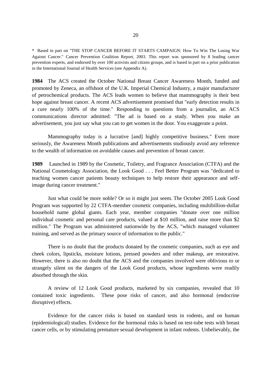\* Based in part on "THE STOP CANCER BEFORE IT STARTS CAMPAIGN: How To Win The Losing War Against Cancer." Cancer Prevention Coalition Report, 2003. This report was sponsored by 8 leading cancer prevention experts, and endorsed by over 100 activists and citizen groups, and is based in part on a prior publication in the International Journal of Health Services (see Appendix A).

**1984** The ACS created the October National Breast Cancer Awareness Month, funded and promoted by Zeneca, an offshoot of the U.K. Imperial Chemical Industry, a major manufacturer of petrochemical products. The ACS leads women to believe that mammography is their best hope against breast cancer. A recent ACS advertisement promised that "early detection results in a cure nearly 100% of the time." Responding to questions from a journalist, an ACS communications director admitted: "The ad is based on a study. When you make an advertisement, you just say what you can to get women in the door. You exaggerate a point.

 Mammography today is a lucrative [and] highly competitive business." Even more seriously, the Awareness Month publications and advertisements studiously avoid any reference to the wealth of information on avoidable causes and prevention of breast cancer.

**1989** Launched in 1989 by the Cosmetic, Toiletry, and Fragrance Association (CTFA) and the National Cosmetology Association, the Look Good . . . Feel Better Program was "dedicated to teaching women cancer patients beauty techniques to help restore their appearance and selfimage during cancer treatment."

 Just what could be more noble? Or so it might just seem. The October 2005 Look Good Program was supported by 22 CTFA-member cosmetic companies, including multibillion-dollar household name global giants. Each year, member companies "donate over one million individual cosmetic and personal care products, valued at \$10 million, and raise more than \$2 million." The Program was administered nationwide by the ACS, "which managed volunteer training, and served as the primary source of information to the public."

 There is no doubt that the products donated by the cosmetic companies, such as eye and cheek colors, lipsticks, moisture lotions, pressed powders and other makeup, are restorative. However, there is also no doubt that the ACS and the companies involved were oblivious to or strangely silent on the dangers of the Look Good products, whose ingredients were readily absorbed through the skin.

 A review of 12 Look Good products, marketed by six companies, revealed that 10 contained toxic ingredients. These pose risks of cancer, and also hormonal (endocrine disruptive) effects.

 Evidence for the cancer risks is based on standard tests in rodents, and on human (epidemiological) studies. Evidence for the hormonal risks is based on test-tube tests with breast cancer cells, or by stimulating premature sexual development in infant rodents. Unbelievably, the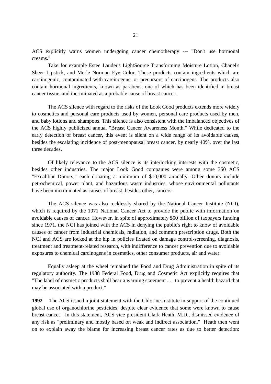ACS explicitly warns women undergoing cancer chemotherapy --- "Don't use hormonal creams."

 Take for example Estee Lauder's LightSource Transforming Moisture Lotion, Chanel's Sheer Lipstick, and Merle Norman Eye Color. These products contain ingredients which are carcinogenic, contaminated with carcinogens, or precursors of carcinogens. The products also contain hormonal ingredients, known as parabens, one of which has been identified in breast cancer tissue, and incriminated as a probable cause of breast cancer.

 The ACS silence with regard to the risks of the Look Good products extends more widely to cosmetics and personal care products used by women, personal care products used by men, and baby lotions and shampoos. This silence is also consistent with the imbalanced objectives of the ACS highly publicized annual "Breast Cancer Awareness Month." While dedicated to the early detection of breast cancer, this event is silent on a wide range of its avoidable causes, besides the escalating incidence of post-menopausal breast cancer, by nearly 40%, over the last three decades.

 Of likely relevance to the ACS silence is its interlocking interests with the cosmetic, besides other industries. The major Look Good companies were among some 350 ACS "Excalibur Donors," each donating a minimum of \$10,000 annually. Other donors include petrochemical, power plant, and hazardous waste industries, whose environmental pollutants have been incriminated as causes of breast, besides other, cancers.

 The ACS silence was also recklessly shared by the National Cancer Institute (NCI), which is required by the 1971 National Cancer Act to provide the public with information on avoidable causes of cancer. However, in spite of approximately \$50 billion of taxpayers funding since 1971, the NCI has joined with the ACS in denying the public's right to know of avoidable causes of cancer from industrial chemicals, radiation, and common prescription drugs. Both the NCI and ACS are locked at the hip in policies fixated on damage control-screening, diagnosis, treatment and treatment-related research, with indifference to cancer prevention due to avoidable exposures to chemical carcinogens in cosmetics, other consumer products, air and water.

 Equally asleep at the wheel remained the Food and Drug Administration in spite of its regulatory authority. The 1938 Federal Food, Drug and Cosmetic Act explicitly requires that "The label of cosmetic products shall bear a warning statement . . . to prevent a health hazard that may be associated with a product."

**1992** The ACS issued a joint statement with the Chlorine Institute in support of the continued global use of organochlorine pesticides, despite clear evidence that some were known to cause breast cancer. In this statement, ACS vice president Clark Heath, M.D., dismissed evidence of any risk as "preliminary and mostly based on weak and indirect association." Heath then went on to explain away the blame for increasing breast cancer rates as due to better detection: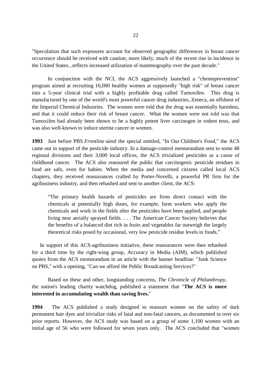"Speculation that such exposures account for observed geographic differences in breast cancer occurrence should be received with caution; more likely, much of the recent rise in incidence in the United States...reflects increased utilization of mammography over the past decade."

 In conjunction with the NCI, the ACS aggressively launched a "chemoprevention" program aimed at recruiting 16,000 healthy women at supposedly "high risk" of breast cancer into a 5-year clinical trial with a highly profitable drug called Tamoxifen. This drug is manufactured by one of the world's most powerful cancer drug industries, Zeneca, an offshoot of the Imperial Chemical Industries. The women were told that the drug was essentially harmless, and that it could reduce their risk of breast cancer. What the women were not told was that Tamoxifen had already been shown to be a highly potent liver carcinogen in rodent tests, and was also well-known to induce uterine cancer in women.

**1993** Just before PBS *Frontline* aired the special entitled, "In Our Children's Food," the ACS came out in support of the pesticide industry. In a damage-control memorandum sent to some 48 regional divisions and their 3,000 local offices, the ACS trivialized pesticides as a cause of childhood cancer. The ACS also reassured the public that carcinogenic pesticide residues in food are safe, even for babies. When the media and concerned citizens called local ACS chapters, they received reassurances crafted by Porter-Novelli, a powerful PR firm for the agribusiness industry, and then rehashed and sent to another client, the ACS:

"The primary health hazards of pesticides are from direct contact with the chemicals at potentially high doses, for example, farm workers who apply the chemicals and work in the fields after the pesticides have been applied, and people living near aerially sprayed fields. . . . The American Cancer Society believes that the benefits of a balanced diet rich in fruits and vegetables far outweigh the largely theoretical risks posed by occasional, very low pesticide residue levels in foods."

 In support of this ACS-agribusiness initiative, these reassurances were then rehashed for a third time by the right-wing group, Accuracy in Media (AIM), which published quotes from the ACS memorandum in an article with the banner headline: "Junk Science on PBS," with a opening, "Can we afford the Public Broadcasting Services?"

 Based on these and other, longstanding concerns, *The Chronicle of Philanthropy*, the nation's leading charity watchdog, published a statement that "**The ACS is more interested in accumulating wealth than saving lives.**"

**1994** The ACS published a study designed to reassure women on the safety of dark permanent hair dyes and trivialize risks of fatal and non-fatal cancers, as documented in over six prior reports. However, the ACS study was based on a group of some 1,100 women with an initial age of 56 who were followed for seven years only. The ACS concluded that "women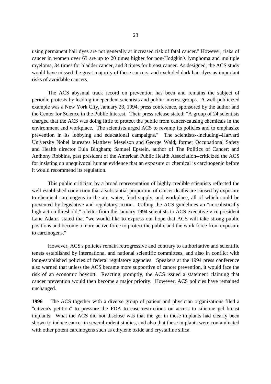using permanent hair dyes are not generally at increased risk of fatal cancer." However, risks of cancer in women over 63 are up to 20 times higher for non-Hodgkin's lymphoma and multiple myeloma, 34 times for bladder cancer, and 8 times for breast cancer. As designed, the ACS study would have missed the great majority of these cancers, and excluded dark hair dyes as important risks of avoidable cancers.

 The ACS abysmal track record on prevention has been and remains the subject of periodic protests by leading independent scientists and public interest groups. A well-publicized example was a New York City, January 23, 1994, press conference, sponsored by the author and the Center for Science in the Public Interest. Their press release stated: "A group of 24 scientists charged that the ACS was doing little to protect the public from cancer-causing chemicals in the environment and workplace. The scientists urged ACS to revamp its policies and to emphasize prevention in its lobbying and educational campaigns." The scientists--including--Harvard University Nobel laureates Matthew Meselson and George Wald; former Occupational Safety and Health director Eula Bingham; Samuel Epstein, author of The Politics of Cancer; and Anthony Robbins, past president of the American Public Health Association--criticized the ACS for insisting on unequivocal human evidence that an exposure or chemical is carcinogenic before it would recommend its regulation.

 This public criticism by a broad representation of highly credible scientists reflected the well-established conviction that a substantial proportion of cancer deaths are caused by exposure to chemical carcinogens in the air, water, food supply, and workplace, all of which could be prevented by legislative and regulatory action. Calling the ACS guidelines an "unrealistically high-action threshold," a letter from the January 1994 scientists to ACS executive vice president Lane Adams stated that "we would like to express our hope that ACS will take strong public positions and become a more active force to protect the public and the work force from exposure to carcinogens."

 However, ACS's policies remain retrogressive and contrary to authoritative and scientific tenets established by international and national scientific committees, and also in conflict with long-established policies of federal regulatory agencies. Speakers at the 1994 press conference also warned that unless the ACS became more supportive of cancer prevention, it would face the risk of an economic boycott. Reacting promptly, the ACS issued a statement claiming that cancer prevention would then become a major priority. However, ACS policies have remained unchanged.

**1996** The ACS together with a diverse group of patient and physician organizations filed a "citizen's petition" to pressure the FDA to ease restrictions on access to silicone gel breast implants. What the ACS did not disclose was that the gel in these implants had clearly been shown to induce cancer in several rodent studies, and also that these implants were contaminated with other potent carcinogens such as ethylene oxide and crystalline silica.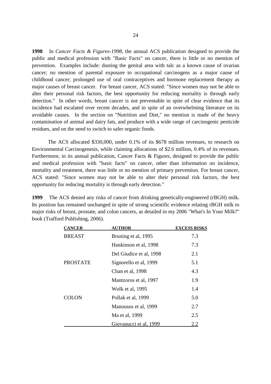**1998** In *Cancer Facts & Figures-1998*, the annual ACS publication designed to provide the public and medical profession with "Basic Facts" on cancer, there is little or no mention of prevention. Examples include: dusting the genital area with talc as a known cause of ovarian cancer; no mention of parental exposure to occupational carcinogens as a major cause of childhood cancer; prolonged use of oral contraceptives and hormone replacement therapy as major causes of breast cancer. For breast cancer, ACS stated: "Since women may not be able to alter their personal risk factors, the best opportunity for reducing mortality is through early detection." In other words, breast cancer is not preventable in spite of clear evidence that its incidence had escalated over recent decades, and in spite of an overwhelming literature on its avoidable causes. In the section on "Nutrition and Diet," no mention is made of the heavy contamination of animal and dairy fats, and produce with a wide range of carcinogenic pesticide residues, and on the need to switch to safer organic foods.

 The ACS allocated \$330,000, under 0.1% of its \$678 million revenues, to research on Environmental Carcinogenesis, while claiming allocations of \$2.6 million, 0.4% of its revenues. Furthermore, in its annual publication, Cancer Facts & Figures, designed to provide the public and medical profession with "basic facts" on cancer, other than information on incidence, mortality and treatment, there was little or no mention of primary prevention. For breast cancer, ACS stated: "Since women may not be able to alter their personal risk factors, the best opportunity for reducing mortality is through early detection."

**1999** The ACS denied any risks of cancer from drinking genetically-engineered (rBGH) milk. Its position has remained unchanged in spite of strong scientific evidence relating rBGH milk to major risks of breast, prostate, and colon cancers, as detailed in my 2006 "What's In Your Milk?" book (Trafford Publishing, 2006).

| <b>CANCER</b>   | <b>AUTHOR</b>           | <b>EXCESS RISKS</b> |
|-----------------|-------------------------|---------------------|
| <b>BREAST</b>   | Bruning et al, 1995     | 7.3                 |
|                 | Hankinson et al, 1998   | 7.3                 |
|                 | Del Giudice et al, 1998 | 2.1                 |
| <b>PROSTATE</b> | Signorello et al, 1999  | 5.1                 |
|                 | Chan et al, 1998        | 4.3                 |
|                 | Mantzoros et al, 1997   | 1.9                 |
|                 | Wolk et al, 1995        | 1.4                 |
| <b>COLON</b>    | Pollak et al, 1999      | 5.0                 |
|                 | Manousos et al, 1999    | 2.7                 |
|                 | Ma et al, 1999          | 2.5                 |
|                 | Giovanucci et al, 1999  | 2.2                 |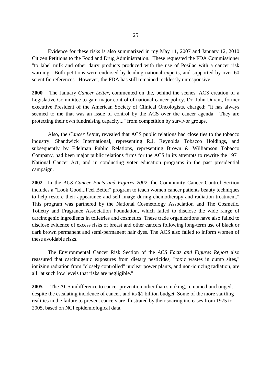Evidence for these risks is also summarized in my May 11, 2007 and January 12, 2010 Citizen Petitions to the Food and Drug Administration. These requested the FDA Commissioner "to label milk and other dairy products produced with the use of Posilac with a cancer risk warning. Both petitions were endorsed by leading national experts, and supported by over 60 scientific references. However, the FDA has still remained recklessly unresponsive.

**2000** The January *Cancer Letter*, commented on the, behind the scenes, ACS creation of a Legislative Committee to gain major control of national cancer policy. Dr. John Durant, former executive President of the American Society of Clinical Oncologists, charged: "It has always seemed to me that was an issue of control by the ACS over the cancer agenda. They are protecting their own fundraising capacity..." from competition by survivor groups.

 Also, the *Cancer Letter*, revealed that ACS public relations had close ties to the tobacco industry. Shandwick International, representing R.J. Reynolds Tobacco Holdings, and subsequently by Edelman Public Relations, representing Brown & Williamson Tobacco Company, had been major public relations firms for the ACS in its attempts to rewrite the 1971 National Cancer Act, and in conducting voter education programs in the past presidential campaign.

**2002** In the *ACS Cancer Facts and Figures 2002*, the Community Cancer Control Section includes a "Look Good...Feel Better" program to teach women cancer patients beauty techniques to help restore their appearance and self-image during chemotherapy and radiation treatment." This program was partnered by the National Cosmetology Association and The Cosmetic, Toiletry and Fragrance Association Foundation, which failed to disclose the wide range of carcinogenic ingredients in toiletries and cosmetics. These trade organizations have also failed to disclose evidence of excess risks of breast and other cancers following long-term use of black or dark brown permanent and semi-permanent hair dyes. The ACS also failed to inform women of these avoidable risks.

 The Environmental Cancer Risk Section of the *ACS Facts and Figures Report* also reassured that carcinogenic exposures from dietary pesticides, "toxic wastes in dump sites," ionizing radiation from "closely controlled" nuclear power plants, and non-ionizing radiation, are all "at such low levels that risks are negligible."

**2005** The ACS indifference to cancer prevention other than smoking, remained unchanged, despite the escalating incidence of cancer, and its \$1 billion budget. Some of the more startling realities in the failure to prevent cancers are illustrated by their soaring increases from 1975 to 2005, based on NCI epidemiological data.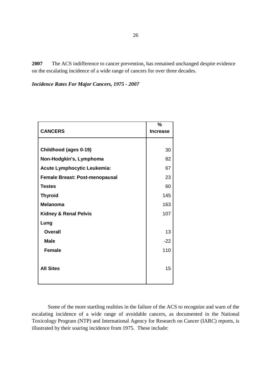**2007** The ACS indifference to cancer prevention, has remained unchanged despite evidence on the escalating incidence of a wide range of cancers for over three decades.

*Incidence Rates For Major Cancers, 1975 - 2007* 

|                                       | %               |
|---------------------------------------|-----------------|
| <b>CANCERS</b>                        | <b>Increase</b> |
|                                       |                 |
| Childhood (ages 0-19)                 | 30              |
| Non-Hodgkin's, Lymphoma               | 82              |
| <b>Acute Lymphocytic Leukemia:</b>    | 67              |
| <b>Female Breast: Post-menopausal</b> | 23              |
| <b>Testes</b>                         | 60              |
| <b>Thyroid</b>                        | 145             |
| <b>Melanoma</b>                       | 163             |
| <b>Kidney &amp; Renal Pelvis</b>      | 107             |
| Lung                                  |                 |
| <b>Overall</b>                        | 13              |
| <b>Male</b>                           | $-22$           |
| <b>Female</b>                         | 110             |
|                                       |                 |
| <b>All Sites</b>                      | 15              |
|                                       |                 |
|                                       |                 |

 Some of the more startling realities in the failure of the ACS to recognize and warn of the escalating incidence of a wide range of avoidable cancers, as documented in the National Toxicology Program (NTP) and International Agency for Research on Cancer (IARC) reports, is illustrated by their soaring incidence from 1975. These include: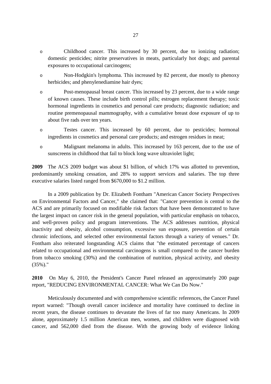o Childhood cancer. This increased by 30 percent, due to ionizing radiation; domestic pesticides; nitrite preservatives in meats, particularly hot dogs; and parental exposures to occupational carcinogens;

o Non-Hodgkin's lymphoma. This increased by 82 percent, due mostly to phenoxy herbicides; and phenylenediamine hair dyes;

- o Post-menopausal breast cancer. This increased by 23 percent, due to a wide range of known causes. These include birth control pills; estrogen replacement therapy; toxic hormonal ingredients in cosmetics and personal care products; diagnostic radiation; and routine premenopausal mammography, with a cumulative breast dose exposure of up to about five rads over ten years.
- o Testes cancer. This increased by 60 percent, due to pesticides; hormonal ingredients in cosmetics and personal care products; and estrogen residues in meat;
- o Malignant melanoma in adults. This increased by 163 percent, due to the use of sunscreens in childhood that fail to block long wave ultraviolet light;

**2009** The ACS 2009 budget was about \$1 billion, of which 17% was allotted to prevention, predominantly smoking cessation, and 28% to support services and salaries. The top three executive salaries listed ranged from \$670,000 to \$1.2 million.

 In a 2009 publication by Dr. Elizabeth Fontham "American Cancer Society Perspectives on Environmental Factors and Cancer," she claimed that: "Cancer prevention is central to the ACS and are primarily focused on modifiable risk factors that have been demonstrated to have the largest impact on cancer risk in the general population, with particular emphasis on tobacco, and well-proven policy and program interventions. The ACS addresses nutrition, physical inactivity and obesity, alcohol consumption, excessive sun exposure, prevention of certain chronic infections, and selected other environmental factors through a variety of venues." Dr. Fontham also reiterated longstanding ACS claims that "the estimated percentage of cancers related to occupational and environmental carcinogens is small compared to the cancer burden from tobacco smoking (30%) and the combination of nutrition, physical activity, and obesity (35%)."

**2010** On May 6, 2010, the President's Cancer Panel released an approximately 200 page report, "REDUCING ENVIRONMENTAL CANCER: What We Can Do Now."

 Meticulously documented and with comprehensive scientific references, the Cancer Panel report warned: "Though overall cancer incidence and mortality have continued to decline in recent years, the disease continues to devastate the lives of far too many Americans. In 2009 alone, approximately 1.5 million American men, women, and children were diagnosed with cancer, and 562,000 died from the disease. With the growing body of evidence linking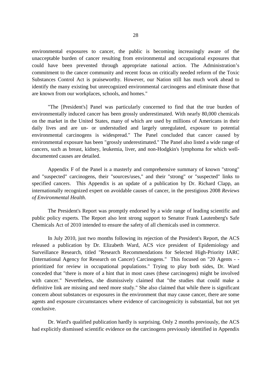environmental exposures to cancer, the public is becoming increasingly aware of the unacceptable burden of cancer resulting from environmental and occupational exposures that could have been prevented through appropriate national action. The Administration's commitment to the cancer community and recent focus on critically needed reform of the Toxic Substances Control Act is praiseworthy. However, our Nation still has much work ahead to identify the many existing but unrecognized environmental carcinogens and eliminate those that are known from our workplaces, schools, and homes."

 "The [President's] Panel was particularly concerned to find that the true burden of environmentally induced cancer has been grossly underestimated. With nearly 80,000 chemicals on the market in the United States, many of which are used by millions of Americans in their daily lives and are un- or understudied and largely unregulated, exposure to potential environmental carcinogens is widespread." The Panel concluded that cancer caused by environmental exposure has been "grossly underestimated." The Panel also listed a wide range of cancers, such as breast, kidney, leukemia, liver, and non-Hodgkin's lymphoma for which welldocumented causes are detailed.

 Appendix F of the Panel is a masterly and comprehensive summary of known "strong" and "suspected" carcinogens, their "sources/uses," and their "strong" or "suspected" links to specified cancers. This Appendix is an update of a publication by Dr. Richard Clapp, an internationally recognized expert on avoidable causes of cancer, in the prestigious 2008 *Reviews of Environmental Health*.

 The President's Report was promptly endorsed by a wide range of leading scientific and public policy experts. The Report also lent strong support to Senator Frank Lautenberg's Safe Chemicals Act of 2010 intended to ensure the safety of all chemicals used in commerce.

 In July 2010, just two months following its rejection of the President's Report, the ACS released a publication by Dr. Elizabeth Ward, ACS vice president of Epidemiology and Surveillance Research, titled "Research Recommendations for Selected High-Priority IARC (International Agency for Research on Cancer) Carcinogens." This focused on "20 Agents - prioritized for review in occupational populations." Trying to play both sides, Dr. Ward conceded that "there is more of a hint that in most cases (these carcinogens) might be involved with cancer." Nevertheless, she dismissively claimed that "the studies that could make a definitive link are missing and need more study." She also claimed that while there is significant concern about substances or exposures in the environment that may cause cancer, there are some agents and exposure circumstances where evidence of carcinogenicity is substantial, but not yet conclusive.

 Dr. Ward's qualified publication hardly is surprising. Only 2 months previously, the ACS had explicitly dismissed scientific evidence on the carcinogens previously identified in Appendix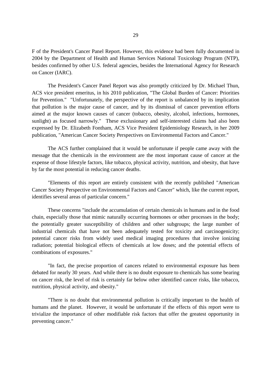F of the President's Cancer Panel Report. However, this evidence had been fully documented in 2004 by the Department of Health and Human Services National Toxicology Program (NTP), besides confirmed by other U.S. federal agencies, besides the International Agency for Research on Cancer (IARC).

 The President's Cancer Panel Report was also promptly criticized by Dr. Michael Thun, ACS vice president emeritus, in his 2010 publication, "The Global Burden of Cancer: Priorities for Prevention." "Unfortunately, the perspective of the report is unbalanced by its implication that pollution is the major cause of cancer, and by its dismissal of cancer prevention efforts aimed at the major known causes of cancer (tobacco, obesity, alcohol, infections, hormones, sunlight) as focused narrowly." These exclusionary and self-interested claims had also been expressed by Dr. Elizabeth Fontham, ACS Vice President Epidemiology Research, in her 2009 publication, "American Cancer Society Perspectives on Environmental Factors and Cancer."

 The ACS further complained that it would be unfortunate if people came away with the message that the chemicals in the environment are the most important cause of cancer at the expense of those lifestyle factors, like tobacco, physical activity, nutrition, and obesity, that have by far the most potential in reducing cancer deaths.

 "Elements of this report are entirely consistent with the recently published "American Cancer Society Perspective on Environmental Factors and Cancer" which, like the current report, identifies several areas of particular concern."

 These concerns "include the accumulation of certain chemicals in humans and in the food chain, especially those that mimic naturally occurring hormones or other processes in the body; the potentially greater susceptibility of children and other subgroups; the large number of industrial chemicals that have not been adequately tested for toxicity and carcinogenicity; potential cancer risks from widely used medical imaging procedures that involve ionizing radiation; potential biological effects of chemicals at low doses; and the potential effects of combinations of exposures."

 "In fact, the precise proportion of cancers related to environmental exposure has been debated for nearly 30 years. And while there is no doubt exposure to chemicals has some bearing on cancer risk, the level of risk is certainly far below other identified cancer risks, like tobacco, nutrition, physical activity, and obesity."

 "There is no doubt that environmental pollution is critically important to the health of humans and the planet. However, it would be unfortunate if the effects of this report were to trivialize the importance of other modifiable risk factors that offer the greatest opportunity in preventing cancer."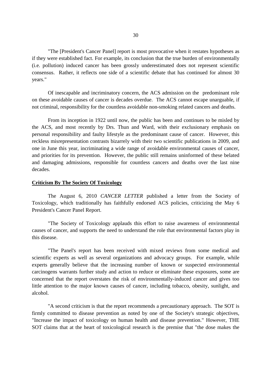"The [President's Cancer Panel] report is most provocative when it restates hypotheses as if they were established fact. For example, its conclusion that the true burden of environmentally (i.e. pollution) induced cancer has been grossly underestimated does not represent scientific consensus. Rather, it reflects one side of a scientific debate that has continued for almost 30 years."

 Of inescapable and incriminatory concern, the ACS admission on the predominant role on these avoidable causes of cancer is decades overdue. The ACS cannot escape unarguable, if not criminal, responsibility for the countless avoidable non-smoking related cancers and deaths.

 From its inception in 1922 until now, the public has been and continues to be misled by the ACS, and most recently by Drs. Thun and Ward, with their exclusionary emphasis on personal responsibility and faulty lifestyle as the predominant cause of cancer. However, this reckless misrepresentation contrasts bizarrely with their two scientific publications in 2009, and one in June this year, incriminating a wide range of avoidable environmental causes of cancer, and priorities for its prevention. However, the public still remains uninformed of these belated and damaging admissions, responsible for countless cancers and deaths over the last nine decades.

### **Criticism By The Society Of Toxicology**

 The August 6, 2010 *CANCER LETTER* published a letter from the Society of Toxicology, which traditionally has faithfully endorsed ACS policies, criticizing the May 6 President's Cancer Panel Report.

 "The Society of Toxicology applauds this effort to raise awareness of environmental causes of cancer, and supports the need to understand the role that environmental factors play in this disease.

 "The Panel's report has been received with mixed reviews from some medical and scientific experts as well as several organizations and advocacy groups. For example, while experts generally believe that the increasing number of known or suspected environmental carcinogens warrants further study and action to reduce or eliminate these exposures, some are concerned that the report overstates the risk of environmentally-induced cancer and gives too little attention to the major known causes of cancer, including tobacco, obesity, sunlight, and alcohol.

 "A second criticism is that the report recommends a precautionary approach. The SOT is firmly committed to disease prevention as noted by one of the Society's strategic objectives, "Increase the impact of toxicology on human health and disease prevention." However, THE SOT claims that at the heart of toxicological research is the premise that "the dose makes the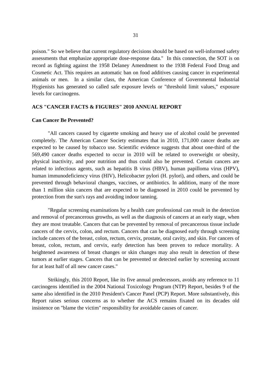poison." So we believe that current regulatory decisions should be based on well-informed safety assessments that emphasize appropriate dose-response data." In this connection, the SOT is on record as fighting against the 1958 Delaney Amendment to the 1938 Federal Food Drug and Cosmetic Act. This requires an automatic ban on food additives causing cancer in experimental animals or men. In a similar class, the American Conference of Governmental Industrial Hygienists has generated so called safe exposure levels or "threshold limit values," exposure levels for carcinogens.

## **ACS "CANCER FACTS & FIGURES" 2010 ANNUAL REPORT**

#### **Can Cancer Be Prevented?**

 "All cancers caused by cigarette smoking and heavy use of alcohol could be prevented completely. The American Cancer Society estimates that in 2010, 171,000 cancer deaths are expected to be caused by tobacco use. Scientific evidence suggests that about one-third of the 569,490 cancer deaths expected to occur in 2010 will be related to overweight or obesity, physical inactivity, and poor nutrition and thus could also be prevented. Certain cancers are related to infectious agents, such as hepatitis B virus (HBV), human papilloma virus (HPV), human immunodeficiency virus (HIV), Helicobacter pylori (H. pylori), and others, and could be prevented through behavioral changes, vaccines, or antibiotics. In addition, many of the more than 1 million skin cancers that are expected to be diagnosed in 2010 could be prevented by protection from the sun's rays and avoiding indoor tanning.

 "Regular screening examinations by a health care professional can result in the detection and removal of precancerous growths, as well as the diagnosis of cancers at an early stage, when they are most treatable. Cancers that can be prevented by removal of precancerous tissue include cancers of the cervix, colon, and rectum. Cancers that can be diagnosed early through screening include cancers of the breast, colon, rectum, cervix, prostate, oral cavity, and skin. For cancers of breast, colon, rectum, and cervix, early detection has been proven to reduce mortality. A heightened awareness of breast changes or skin changes may also result in detection of these tumors at earlier stages. Cancers that can be prevented or detected earlier by screening account for at least half of all new cancer cases."

 Strikingly, this 2010 Report, like its five annual predecessors, avoids any reference to 11 carcinogens identified in the 2004 National Toxicology Program (NTP) Report, besides 9 of the same also identified in the 2010 President's Cancer Panel (PCP) Report. More substantively, this Report raises serious concerns as to whether the ACS remains fixated on its decades old insistence on "blame the victim" responsibility for avoidable causes of cancer.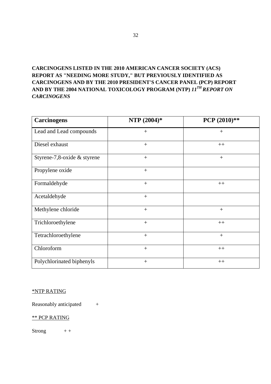## **CARCINOGENS LISTED IN THE 2010 AMERICAN CANCER SOCIETY (ACS) REPORT AS "NEEDING MORE STUDY," BUT PREVIOUSLY IDENTIFIED AS CARCINOGENS AND BY THE 2010 PRESIDENT'S CANCER PANEL (PCP) REPORT AND BY THE 2004 NATIONAL TOXICOLOGY PROGRAM (NTP)** *11TH REPORT ON CARCINOGENS*

| <b>Carcinogens</b>            | NTP (2004)* | PCP (2010)**      |
|-------------------------------|-------------|-------------------|
| Lead and Lead compounds       | $^{+}$      | $+$               |
| Diesel exhaust                | $+$         | $++$              |
| Styrene-7,8-oxide $&$ styrene | $+$         | $^{+}$            |
| Propylene oxide               | $+$         |                   |
| Formaldehyde                  | $+$         | $++$              |
| Acetaldehyde                  |             |                   |
| Methylene chloride            | $+$         | $\boldsymbol{+}$  |
| Trichloroethylene             | $+$         | $++$              |
| Tetrachloroethylene           | $+$         | $^{+}$            |
| Chloroform                    |             | $++$              |
| Polychlorinated biphenyls     |             | $\boldsymbol{++}$ |

## \*NTP RATING

Reasonably anticipated  $+$ 

## \*\* PCP RATING

Strong  $++$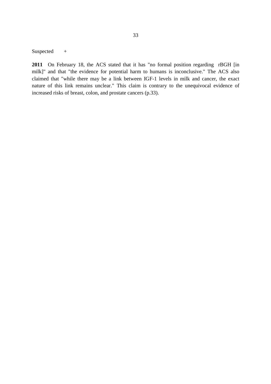Suspected +

**2011** On February 18, the ACS stated that it has "no formal position regarding rBGH [in milk]" and that "the evidence for potential harm to humans is inconclusive." The ACS also claimed that "while there may be a link between IGF-1 levels in milk and cancer, the exact nature of this link remains unclear." This claim is contrary to the unequivocal evidence of increased risks of breast, colon, and prostate cancers (p.33).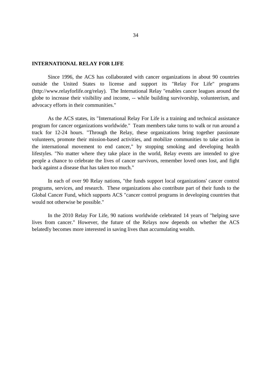## **INTERNATIONAL RELAY FOR LIFE**

 Since 1996, the ACS has collaborated with cancer organizations in about 90 countries outside the United States to license and support its "Relay For Life" programs (http://www.relayforlife.org/relay). The International Relay "enables cancer leagues around the globe to increase their visibility and income, -- while building survivorship, volunteerism, and advocacy efforts in their communities."

 As the ACS states, its "International Relay For Life is a training and technical assistance program for cancer organizations worldwide." Team members take turns to walk or run around a track for 12-24 hours. "Through the Relay, these organizations bring together passionate volunteers, promote their mission-based activities, and mobilize communities to take action in the international movement to end cancer," by stopping smoking and developing health lifestyles. "No matter where they take place in the world, Relay events are intended to give people a chance to celebrate the lives of cancer survivors, remember loved ones lost, and fight back against a disease that has taken too much."

 In each of over 90 Relay nations, "the funds support local organizations' cancer control programs, services, and research. These organizations also contribute part of their funds to the Global Cancer Fund, which supports ACS "cancer control programs in developing countries that would not otherwise be possible."

 In the 2010 Relay For Life, 90 nations worldwide celebrated 14 years of "helping save lives from cancer." However, the future of the Relays now depends on whether the ACS belatedly becomes more interested in saving lives than accumulating wealth.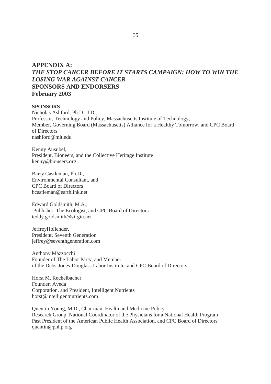## **APPENDIX A:**  *THE STOP CANCER BEFORE IT STARTS CAMPAIGN: HOW TO WIN THE LOSING WAR AGAINST CANCER*  **SPONSORS AND ENDORSERS February 2003**

### **SPONSORS**

Nicholas Ashford, Ph.D., J.D., Professor, Technology and Policy, Massachusetts Institute of Technology, Member, Governing Board (Massachusetts) Alliance for a Healthy Tomorrow, and CPC Board of Directors nashford@mit.edu

Kenny Ausubel, President, Bioneers, and the Collective Heritage Institute kenny@bioneers.org

Barry Castleman, Ph.D., Environmental Consultant, and CPC Board of Directors bcastleman@earthlink.net

Edward Goldsmith, M.A., Publisher, The Ecologist, and CPC Board of Directors teddy.goldsmith@virgin.net

JeffreyHollender, President, Seventh Generation jeffrey@seventhgeneration.com

Anthony Mazzocchi Founder of The Labor Party, and Member of the Debs-Jones-Douglass Labor Institute, and CPC Board of Directors

Horst M. Rechelbacher, Founder, Aveda Corporation, and President, Intelligent Nutrients horst@intelligentnutrients.com

Quentin Young, M.D., Chairman, Health and Medicine Policy Research Group, National Coordinator of the Physicians for a National Health Program Past President of the American Public Health Association, and CPC Board of Directors quentin@pnhp.org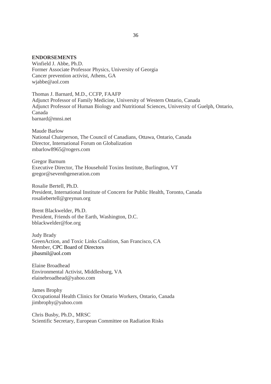## **ENDORSEMENTS**

Winfield J. Abbe, Ph.D. Former Associate Professor Physics, University of Georgia Cancer prevention activist, Athens, GA wjabbe@aol.com

Thomas J. Barnard, M.D., CCFP, FAAFP Adjunct Professor of Family Medicine, University of Western Ontario, Canada Adjunct Professor of Human Biology and Nutritional Sciences, University of Guelph, Ontario, Canada barnard@mnsi.net

Maude Barlow National Chairperson, The Council of Canadians, Ottawa, Ontario, Canada Director, International Forum on Globalization mbarlow8965@rogers.com

Gregor Barnum Executive Director, The Household Toxins Institute, Burlington, VT gregor@seventhgeneration.com

Rosalie Bertell, Ph.D. President, International Institute of Concern for Public Health, Toronto, Canada rosaliebertell@greynun.org

Brent Blackwelder, Ph.D. President, Friends of the Earth, Washington, D.C. bblackwelder@foe.org

Judy Brady GreenAction, and Toxic Links Coalition, San Francisco, CA Member, CPC Board of Directors jibasmil@aol.com

Elaine Broadhead Environmental Activist, Middlesburg, VA elainebroadhead@yahoo.com

James Brophy Occupational Health Clinics for Ontario Workers, Ontario, Canada jimbrophy@yahoo.com

Chris Busby, Ph.D., MRSC Scientific Secretary, European Committee on Radiation Risks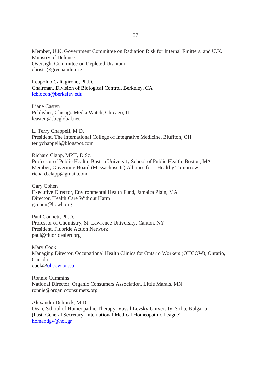Member, U.K. Government Committee on Radiation Risk for Internal Emitters, and U.K. Ministry of Defense Oversight Committee on Depleted Uranium christo@greenaudit.org

Leopoldo Caltagirone, Ph.D. Chairman, Division of Biological Control, Berkeley, CA lcbiocon@berkeley.edu

Liane Casten Publisher, Chicago Media Watch, Chicago, IL lcasten@sbcglobal.net

L. Terry Chappell, M.D. President, The International College of Integrative Medicine, Bluffton, OH terrychappell@blogspot.com

Richard Clapp, MPH, D.Sc. Professor of Public Health, Boston University School of Public Health, Boston, MA Member, Governing Board (Massachusetts) Alliance for a Healthy Tomorrow richard.clapp@gmail.com

Gary Cohen Executive Director, Environmental Health Fund, Jamaica Plain, MA Director, Health Care Without Harm gcohen@hcwh.org

Paul Connett, Ph.D. Professor of Chemistry, St. Lawrence University, Canton, NY President, Fluoride Action Network paul@fluoridealert.org

Mary Cook Managing Director, Occupational Health Clinics for Ontario Workers (OHCOW), Ontario, Canada cook@ohcow.on.ca

Ronnie Cummins National Director, Organic Consumers Association, Little Marais, MN ronnie@organicconsumers.org

Alexandra Delinick, M.D. Dean, School of Homeopathic Therapy, Vassil Levsky University, Sofia, Bulgaria (Past, General Secretary, International Medical Homeopathic League) homandgv@hol.gr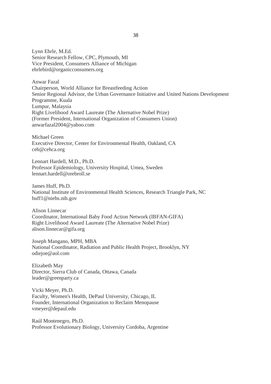Lynn Ehrle, M.Ed. Senior Research Fellow, CPC, Plymouth, MI Vice President, Consumers Alliance of Michigan ehrlebird@organicconsumers.org

Anwar Fazal Chairperson, World Alliance for Breastfeeding Action Senior Regional Advisor, the Urban Governance Initiative and United Nations Development Programme, Kuala Lumpur, Malaysia Right Livelihood Award Laureate (The Alternative Nobel Prize) (Former President, International Organization of Consumers Union) anwarfazal2004@yahoo.com

Michael Green Executive Director, Center for Environmental Health, Oakland, CA ceh@cehca.org

Lennart Hardell, M.D., Ph.D. Professor Epidemiology, University Hospital, Umea, Sweden lennart.hardell@orebroll.se

James Huff, Ph.D. National Institute of Environmental Health Sciences, Research Triangle Park, NC huff1@niehs.nih.gov

Alison Linnecar Coordinator, International Baby Food Action Network (IBFAN-GIFA) Right Livelihood Award Laureate (The Alternative Nobel Prize) alison.linnecar@gifa.org

Joseph Mangano, MPH, MBA National Coordinator, Radiation and Public Health Project, Brooklyn, NY odiejoe@aol.com

Elizabeth May Director, Sierra Club of Canada, Ottawa, Canada leader@greenparty.ca

Vicki Meyer, Ph.D. Faculty, Women's Health, DePaul University, Chicago, IL Founder, International Organization to Reclaim Menopause vmeyer@depaul.edu

Raúl Montenegro, Ph.D. Professor Evolutionary Biology, University Cordoba, Argentine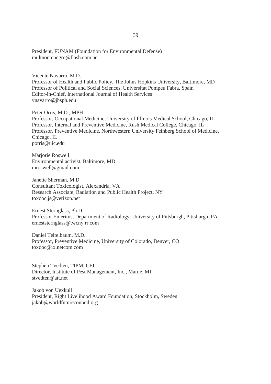President, FUNAM (Foundation for Environmental Defense) raulmontenegro@flash.com.ar

Vicente Navarro, M.D. Professor of Health and Public Policy, The Johns Hopkins University, Baltimore, MD Professor of Political and Social Sciences, Universitat Pompeu Fabra, Spain Editor-in-Chief, International Journal of Health Services vnavarro@jhsph.edu

Peter Orris, M.D., MPH Professor, Occupational Medicine, University of Illinois Medical School, Chicago, IL Professor, Internal and Preventive Medicine, Rush Medical College, Chicago, IL Professor, Preventive Medicine, Northwestern University Feinberg School of Medicine, Chicago, IL porris@uic.edu

Marjorie Roswell Environmental activist, Baltimore, MD mroswell@gmail.com

Janette Sherman, M.D. Consultant Toxicologist, Alexandria, VA Research Associate, Radiation and Public Health Project, NY toxdoc.js@verizon.net

Ernest Sternglass, Ph.D. Professor Emeritus, Department of Radiology, University of Pittsburgh, Pittsburgh, PA erneststernglass@twcny.rr.com

Daniel Teitelbaum, M.D. Professor, Preventive Medicine, University of Colorado, Denver, CO toxdoc@ix.netcom.com

Stephen Tvedten, TIPM, CEI Director, Institute of Pest Management, Inc., Marne, MI stvedten@att.net

Jakob von Uexkull President, Right Livelihood Award Foundation, Stockholm, Sweden jakob@worldfuturecouncil.org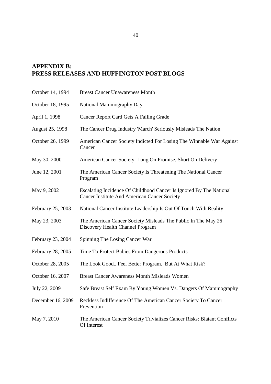# **APPENDIX B: PRESS RELEASES AND HUFFINGTON POST BLOGS**

| October 14, 1994  | <b>Breast Cancer Unawareness Month</b>                                                                                     |
|-------------------|----------------------------------------------------------------------------------------------------------------------------|
| October 18, 1995  | National Mammography Day                                                                                                   |
| April 1, 1998     | Cancer Report Card Gets A Failing Grade                                                                                    |
| August 25, 1998   | The Cancer Drug Industry 'March' Seriously Misleads The Nation                                                             |
| October 26, 1999  | American Cancer Society Indicted For Losing The Winnable War Against<br>Cancer                                             |
| May 30, 2000      | American Cancer Society: Long On Promise, Short On Delivery                                                                |
| June 12, 2001     | The American Cancer Society Is Threatening The National Cancer<br>Program                                                  |
| May 9, 2002       | Escalating Incidence Of Childhood Cancer Is Ignored By The National<br><b>Cancer Institute And American Cancer Society</b> |
| February 25, 2003 | National Cancer Institute Leadership Is Out Of Touch With Reality                                                          |
| May 23, 2003      | The American Cancer Society Misleads The Public In The May 26<br>Discovery Health Channel Program                          |
| February 23, 2004 | Spinning The Losing Cancer War                                                                                             |
| February 28, 2005 | Time To Protect Babies From Dangerous Products                                                                             |
| October 28, 2005  | The Look GoodFeel Better Program. But At What Risk?                                                                        |
| October 16, 2007  | <b>Breast Cancer Awareness Month Misleads Women</b>                                                                        |
| July 22, 2009     | Safe Breast Self Exam By Young Women Vs. Dangers Of Mammography                                                            |
| December 16, 2009 | Reckless Indifference Of The American Cancer Society To Cancer<br>Prevention                                               |
| May 7, 2010       | The American Cancer Society Trivializes Cancer Risks: Blatant Conflicts<br>Of Interest                                     |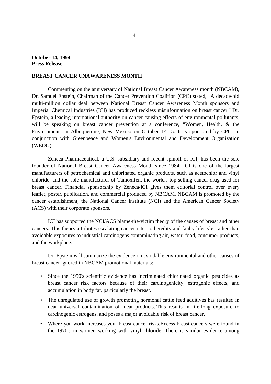### **October 14, 1994 Press Release**

#### **BREAST CANCER UNAWARENESS MONTH**

 Commenting on the anniversary of National Breast Cancer Awareness month (NBCAM), Dr. Samuel Epstein, Chairman of the Cancer Prevention Coalition (CPC) stated, "A decade-old multi-million dollar deal between National Breast Cancer Awareness Month sponsors and Imperial Chemical Industries (ICI) has produced reckless misinformation on breast cancer." Dr. Epstein, a leading international authority on cancer causing effects of environmental pollutants, will be speaking on breast cancer prevention at a conference, "Women, Health, & the Environment" in Albuquerque, New Mexico on October 14-15. It is sponsored by CPC, in conjunction with Greenpeace and Women's Environmental and Development Organization (WEDO).

 Zeneca Pharmaceutical, a U.S. subsidiary and recent spinoff of ICI, has been the sole founder of National Breast Cancer Awareness Month since 1984. ICI is one of the largest manufacturers of petrochemical and chlorinated organic products, such as acetochlor and vinyl chloride, and the sole manufacturer of Tamoxifen, the world's top-selling cancer drug used for breast cancer. Financial sponsorship by Zeneca/ICI gives them editorial control over every leaflet, poster, publication, and commercial produced by NBCAM. NBCAM is promoted by the cancer establishment, the National Cancer Institute (NCI) and the American Cancer Society (ACS) with their corporate sponsors.

 ICI has supported the NCI/ACS blame-the-victim theory of the causes of breast and other cancers. This theory attributes escalating cancer rates to heredity and faulty lifestyle, rather than avoidable exposures to industrial carcinogens contaminating air, water, food, consumer products, and the workplace.

 Dr. Epstein will summarize the evidence on avoidable environmental and other causes of breast cancer ignored in NBCAM promotional materials:

- Since the 1950's scientific evidence has incriminated chlorinated organic pesticides as breast cancer risk factors because of their carcinogenicity, estrogenic effects, and accumulation in body fat, particularly the breast.
- The unregulated use of growth promoting hormonal cattle feed additives has resulted in near universal contamination of meat products. This results in life-long exposure to carcinogenic estrogens, and poses a major avoidable risk of breast cancer.
- Where you work increases your breast cancer risks.Excess breast cancers were found in the 1970's in women working with vinyl chloride. There is similar evidence among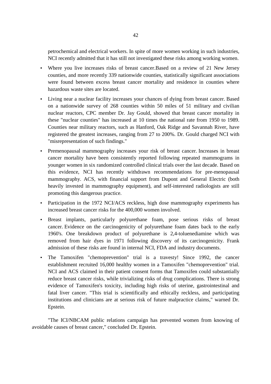petrochemical and electrical workers. In spite of more women working in such industries, NCI recently admitted that it has still not investigated these risks among working women.

- Where you live increases risks of breast cancer. Based on a review of 21 New Jersey counties, and more recently 339 nationwide counties, statistically significant associations were found between excess breast cancer mortality and residence in counties where hazardous waste sites are located.
- Living near a nuclear facility increases your chances of dying from breast cancer. Based on a nationwide survey of 268 counties within 50 miles of 51 military and civilian nuclear reactors, CPC member Dr. Jay Gould, showed that breast cancer mortality in these "nuclear counties" has increased at 10 times the national rate from 1950 to 1989. Counties near military reactors, such as Hanford, Oak Ridge and Savannah River, have registered the greatest increases, ranging from 27 to 200%. Dr. Gould charged NCI with "misrepresentation of such findings."
- Premenopausal mammography increases your risk of breast cancer. Increases in breast cancer mortality have been consistently reported following repeated mammograms in younger women in six randomized controlled clinical trials over the last decade. Based on this evidence, NCI has recently withdrawn recommendations for pre-menopausal mammography. ACS, with financial support from Dupont and General Electric (both heavily invested in mammography equipment), and self-interested radiologists are still promoting this dangerous practice.
- Participation in the 1972 NCI/ACS reckless, high dose mammography experiments has increased breast cancer risks for the 400,000 women involved.
- Breast implants, particularly polyurethane foam, pose serious risks of breast cancer. Evidence on the carcinogenicity of polyurethane foam dates back to the early 1960's. One breakdown product of polyurethane is 2,4-toluenediamine which was removed from hair dyes in 1971 following discovery of its carcinogenicity. Frank admission of these risks are found in internal NCI, FDA and industry documents.
- The Tamoxifen "chemoprevention" trial is a travesty! Since 1992, the cancer establishment recruited 16,000 healthy women in a Tamoxifen "chemoprevention" trial. NCI and ACS claimed in their patient consent forms that Tamoxifen could substantially reduce breast cancer risks, while trivializing risks of drug complications. There is strong evidence of Tamoxifen's toxicity, including high risks of uterine, gastrointestinal and fatal liver cancer. "This trial is scientifically and ethically reckless, and participating institutions and clinicians are at serious risk of future malpractice claims," warned Dr. Epstein.

 "The ICI/NBCAM public relations campaign has prevented women from knowing of avoidable causes of breast cancer," concluded Dr. Epstein.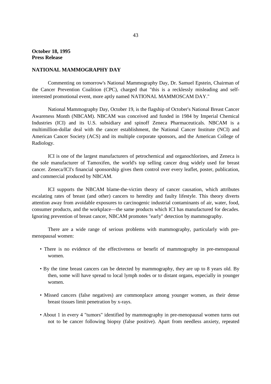### **October 18, 1995 Press Release**

### **NATIONAL MAMMOGRAPHY DAY**

 Commenting on tomorrow's National Mammography Day, Dr. Samuel Epstein, Chairman of the Cancer Prevention Coalition (CPC), charged that "this is a recklessly misleading and selfinterested promotional event, more aptly named NATIONAL MAMMOSCAM DAY."

 National Mammography Day, October 19, is the flagship of October's National Breast Cancer Awareness Month (NBCAM). NBCAM was conceived and funded in 1984 by Imperial Chemical Industries (ICI) and its U.S. subsidiary and spinoff Zeneca Pharmaceuticals. NBCAM is a multimillion-dollar deal with the cancer establishment, the National Cancer Institute (NCI) and American Cancer Society (ACS) and its multiple corporate sponsors, and the American College of Radiology.

 ICI is one of the largest manufacturers of petrochemical and organochlorines, and Zeneca is the sole manufacturer of Tamoxifen, the world's top selling cancer drug widely used for breast cancer. Zeneca/ICI's financial sponsorship gives them control over every leaflet, poster, publication, and commercial produced by NBCAM.

 ICI supports the NBCAM blame-the-victim theory of cancer causation, which attributes escalating rates of breast (and other) cancers to heredity and faulty lifestyle. This theory diverts attention away from avoidable exposures to carcinogenic industrial contaminants of air, water, food, consumer products, and the workplace—the same products which ICI has manufactured for decades. Ignoring prevention of breast cancer, NBCAM promotes "early" detection by mammography.

There are a wide range of serious problems with mammography, particularly with premenopausal women:

- There is no evidence of the effectiveness or benefit of mammography in pre-menopausal women.
- By the time breast cancers can be detected by mammography, they are up to 8 years old. By then, some will have spread to local lymph nodes or to distant organs, especially in younger women.
- Missed cancers (false negatives) are commonplace among younger women, as their dense breast tissues limit penetration by x-rays.
- About 1 in every 4 "tumors" identified by mammography in pre-menopausal women turns out not to be cancer following biopsy (false positive). Apart from needless anxiety, repeated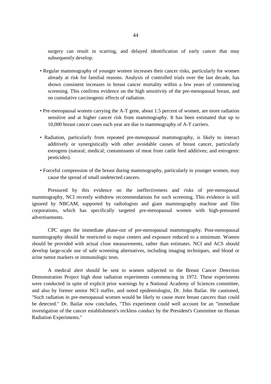surgery can result in scarring, and delayed identification of early cancer that may subsequently develop.

- Regular mammography of younger women increases their cancer risks, particularly for women already at risk for familial reasons. Analysis of controlled trials over the last decade, has shown consistent increases in breast cancer mortality within a few years of commencing screening. This confirms evidence on the high sensitivity of the pre-menopausal breast, and on cumulative carcinogenic effects of radiation.
- Pre-menopausal women carrying the A-T gene, about 1.5 percent of women, are more radiation sensitive and at higher cancer risk from mammography. It has been estimated that up to 10,000 breast cancer cases each year are due to mammography of A-T carriers.
- Radiation, particularly from repeated pre-menopausal mammography, is likely to interact additively or synergistically with other avoidable causes of breast cancer, particularly estrogens (natural; medical; contaminants of meat from cattle feed additives; and estrogenic pesticides).
- Forceful compression of the breast during mammography, particularly in younger women, may cause the spread of small undetected cancers.

 Pressured by this evidence on the ineffectiveness and risks of pre-menopausal mammography, NCI recently withdrew recommendations for such screening. This evidence is still ignored by NBCAM, supported by radiologists and giant mammography machine and film corporations, which has specifically targeted pre-menopausal women with high-pressured advertisements.

CPC urges the immediate phase-out of pre-menopausal mammography. Post-menopausal mammography should be restricted to major centers and exposure reduced to a minimum. Women should be provided with actual close measurements, rather than estimates. NCI and ACS should develop large-scale use of safe screening alternatives, including imaging techniques, and blood or urine tumor markers or immunologic tests.

 A medical alert should be sent to women subjected to the Breast Cancer Detection Demonstration Project high dose radiation experiments commencing in 1972. These experiments were conducted in spite of explicit prior warnings by a National Academy of Sciences committee, and also by former senior NCI staffer, and noted epidemiologist, Dr. John Bailar. He cautioned, "Such radiation in pre-menopausal women would be likely to cause more breast cancers than could be detected." Dr. Bailar now concludes, "This experiment could well account for an "immediate investigation of the cancer establishment's reckless conduct by the President's Committee on Human Radiation Experiments."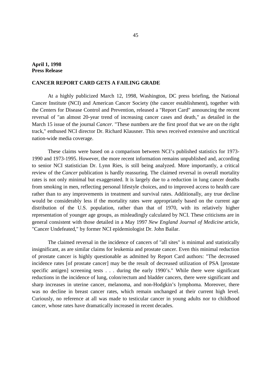### **April 1, 1998 Press Release**

### **CANCER REPORT CARD GETS A FAILING GRADE**

 At a highly publicized March 12, 1998, Washington, DC press briefing, the National Cancer Institute (NCI) and American Cancer Society (the cancer establishment), together with the Centers for Disease Control and Prevention, released a "Report Card" announcing the recent reversal of "an almost 20-year trend of increasing cancer cases and death," as detailed in the March 15 issue of the journal *Cancer.* "These numbers are the first proof that we are on the right track," enthused NCI director Dr. Richard Klausner. This news received extensive and uncritical nation-wide media coverage.

 These claims were based on a comparison between NCI's published statistics for 1973- 1990 and 1973-1995. However, the more recent information remains unpublished and, according to senior NCI statistician Dr. Lynn Ries, is still being analyzed. More importantly, a critical review of the *Cancer* publication is hardly reassuring. The claimed reversal in overall mortality rates is not only minimal but exaggerated. It is largely due to a reduction in lung cancer deaths from smoking in men, reflecting personal lifestyle choices, and to improved access to health care rather than to any improvements in treatment and survival rates. Additionally, any true decline would be considerably less if the mortality rates were appropriately based on the current age distribution of the U.S. population, rather than that of 1970, with its relatively higher representation of younger age groups, as misleadingly calculated by NCI. These criticisms are in general consistent with those detailed in a May 1997 *New England Journal of Medicine* article, "Cancer Undefeated," by former NCI epidemiologist Dr. John Bailar.

 The claimed reversal in the incidence of cancers of "all sites" is minimal and statistically insignificant, as are similar claims for leukemia and prostate cancer. Even this minimal reduction of prostate cancer is highly questionable as admitted by Report Card authors: "The decreased incidence rates [of prostate cancer] may be the result of decreased utilization of PSA [prostate specific antigen] screening tests . . . during the early 1990's." While there were significant reductions in the incidence of lung, colon/rectum and bladder cancers, there were significant and sharp increases in uterine cancer, melanoma, and non-Hodgkin's lymphoma. Moreover, there was no decline in breast cancer rates, which remain unchanged at their current high level. Curiously, no reference at all was made to testicular cancer in young adults nor to childhood cancer, whose rates have dramatically increased in recent decades.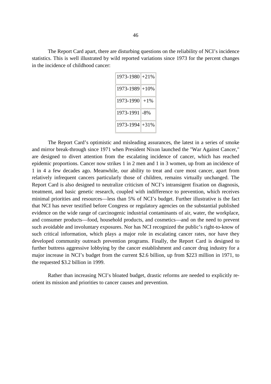The Report Card apart, there are disturbing questions on the reliability of NCI's incidence statistics. This is well illustrated by wild reported variations since 1973 for the percent changes in the incidence of childhood cancer:

| 1973-1980 + 21% |        |
|-----------------|--------|
| 1973-1989       | $+10%$ |
| 1973-1990       | $+1\%$ |
| 1973-1991       | $-8%$  |
| 1973-1994       | $+31%$ |

 The Report Card's optimistic and misleading assurances, the latest in a series of smoke and mirror break-through since 1971 when President Nixon launched the "War Against Cancer," are designed to divert attention from the escalating incidence of cancer, which has reached epidemic proportions. Cancer now strikes 1 in 2 men and 1 in 3 women, up from an incidence of 1 in 4 a few decades ago. Meanwhile, our ability to treat and cure most cancer, apart from relatively infrequent cancers particularly those of children, remains virtually unchanged. The Report Card is also designed to neutralize criticism of NCI's intransigent fixation on diagnosis, treatment, and basic genetic research, coupled with indifference to prevention, which receives minimal priorities and resources—less than 5% of NCI's budget. Further illustrative is the fact that NCI has never testified before Congress or regulatory agencies on the substantial published evidence on the wide range of carcinogenic industrial contaminants of air, water, the workplace, and consumer products—food, household products, and cosmetics—and on the need to prevent such avoidable and involuntary exposures. Nor has NCI recognized the public's right-to-know of such critical information, which plays a major role in escalating cancer rates, nor have they developed community outreach prevention programs. Finally, the Report Card is designed to further buttress aggressive lobbying by the cancer establishment and cancer drug industry for a major increase in NCI's budget from the current \$2.6 billion, up from \$223 million in 1971, to the requested \$3.2 billion in 1999.

 Rather than increasing NCI's bloated budget, drastic reforms are needed to explicitly reorient its mission and priorities to cancer causes and prevention.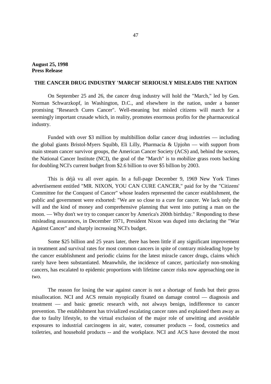### **August 25, 1998 Press Release**

### **THE CANCER DRUG INDUSTRY 'MARCH' SERIOUSLY MISLEADS THE NATION**

 On September 25 and 26, the cancer drug industry will hold the "March," led by Gen. Norman Schwarzkopf, in Washington, D.C., and elsewhere in the nation, under a banner promising "Research Cures Cancer". Well-meaning but misled citizens will march for a seemingly important crusade which, in reality, promotes enormous profits for the pharmaceutical industry.

 Funded with over \$3 million by multibillion dollar cancer drug industries — including the global giants Bristol-Myers Squibb, Eli Lilly, Pharmacia & Upjohn — with support from main stream cancer survivor groups, the American Cancer Society (ACS) and, behind the scenes, the National Cancer Institute (NCI), the goal of the "March" is to mobilize grass roots backing for doubling NCI's current budget from \$2.6 billion to over \$5 billion by 2003.

 This is déjà vu all over again. In a full-page December 9, 1969 New York Times advertisement entitled "MR. NIXON, YOU CAN CURE CANCER," paid for by the "Citizens' Committee for the Conquest of Cancer" whose leaders represented the cancer establishment, the public and government were exhorted: "We are so close to a cure for cancer. We lack only the will and the kind of money and comprehensive planning that went into putting a man on the moon. — Why don't we try to conquer cancer by America's 200th birthday." Responding to these misleading assurances, in December 1971, President Nixon was duped into declaring the "War Against Cancer" and sharply increasing NCI's budget.

 Some \$25 billion and 25 years later, there has been little if any significant improvement in treatment and survival rates for most common cancers in spite of contrary misleading hype by the cancer establishment and periodic claims for the latest miracle cancer drugs, claims which rarely have been substantiated. Meanwhile, the incidence of cancer, particularly non-smoking cancers, has escalated to epidemic proportions with lifetime cancer risks now approaching one in two.

 The reason for losing the war against cancer is not a shortage of funds but their gross misallocation. NCI and ACS remain myopically fixated on damage control — diagnosis and treatment — and basic genetic research with, not always benign, indifference to cancer prevention. The establishment has trivialized escalating cancer rates and explained them away as due to faulty lifestyle, to the virtual exclusion of the major role of unwitting and avoidable exposures to industrial carcinogens in air, water, consumer products -- food, cosmetics and toiletries, and household products -- and the workplace. NCI and ACS have devoted the most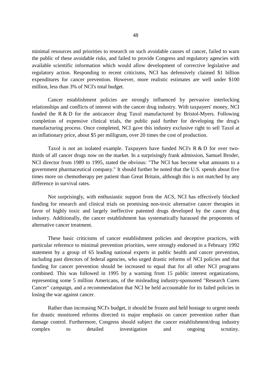minimal resources and priorities to research on such avoidable causes of cancer, failed to warn the public of these avoidable risks, and failed to provide Congress and regulatory agencies with available scientific information which would allow development of corrective legislative and regulatory action. Responding to recent criticisms, NCI has defensively claimed \$1 billion expenditures for cancer prevention. However, more realistic estimates are well under \$100 million, less than 3% of NCI's total budget.

 Cancer establishment policies are strongly influenced by pervasive interlocking relationships and conflicts of interest with the cancer drug industry. With taxpayers' money, NCI funded the R & D for the anticancer drug Taxol manufactured by Bristol-Myers. Following completion of expensive clinical trials, the public paid further for developing the drug's manufacturing process. Once completed, NCI gave this industry exclusive right to sell Taxol at an inflationary price, about \$5 per milligram, over 20 times the cost of production.

Taxol is not an isolated example. Taxpayers have funded NCI's R & D for over twothirds of all cancer drugs now on the market. In a surprisingly frank admission, Samuel Broder, NCI director from 1989 to 1995, stated the obvious: "The NCI has become what amounts to a government pharmaceutical company." It should further be noted that the U.S. spends about five times more on chemotherapy per patient than Great Britain, although this is not matched by any difference in survival rates.

 Not surprisingly, with enthusiastic support from the ACS, NCI has effectively blocked funding for research and clinical trials on promising non-toxic alternative cancer therapies in favor of highly toxic and largely ineffective patented drugs developed by the cancer drug industry. Additionally, the cancer establishment has systematically harassed the proponents of alternative cancer treatment.

 These basic criticisms of cancer establishment policies and deceptive practices, with particular reference to minimal prevention priorities, were strongly endorsed in a February 1992 statement by a group of 65 leading national experts in public health and cancer prevention, including past directors of federal agencies, who urged drastic reforms of NCI policies and that funding for cancer prevention should be increased to equal that for all other NCI programs combined. This was followed in 1995 by a warning from 15 public interest organizations, representing some 5 million Americans, of the misleading industry-sponsored "Research Cures Cancer" campaign, and a recommendation that NCI be held accountable for its failed policies in losing the war against cancer.

 Rather than increasing NCI's budget, it should be frozen and held hostage to urgent needs for drastic monitored reforms directed to major emphasis on cancer prevention rather than damage control. Furthermore, Congress should subject the cancer establishment/drug industry complex to detailed investigation and ongoing scrutiny.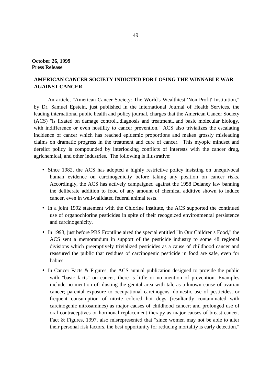### **October 26, 1999 Press Release**

# **AMERICAN CANCER SOCIETY INDICTED FOR LOSING THE WINNABLE WAR AGAINST CANCER**

 An article, "American Cancer Society: The World's Wealthiest 'Non-Profit' Institution," by Dr. Samuel Epstein, just published in the International Journal of Health Services, the leading international public health and policy journal, charges that the American Cancer Society (ACS) "is fixated on damage control...diagnosis and treatment...and basic molecular biology, with indifference or even hostility to cancer prevention." ACS also trivializes the escalating incidence of cancer which has reached epidemic proportions and makes grossly misleading claims on dramatic progress in the treatment and cure of cancer. This myopic mindset and derelict policy is compounded by interlocking conflicts of interests with the cancer drug, agrichemical, and other industries. The following is illustrative:

- Since 1982, the ACS has adopted a highly restrictive policy insisting on unequivocal human evidence on carcinogenicity before taking any position on cancer risks. Accordingly, the ACS has actively campaigned against the 1958 Delaney law banning the deliberate addition to food of any amount of chemical additive shown to induce cancer, even in well-validated federal animal tests.
- In a joint 1992 statement with the Chlorine Institute, the ACS supported the continued use of organochlorine pesticides in spite of their recognized environmental persistence and carcinogenicity.
- In 1993, just before PBS Frontline aired the special entitled "In Our Children's Food," the ACS sent a memorandum in support of the pesticide industry to some 48 regional divisions which preemptively trivialized pesticides as a cause of childhood cancer and reassured the public that residues of carcinogenic pesticide in food are safe, even for babies.
- In Cancer Facts & Figures, the ACS annual publication designed to provide the public with "basic facts" on cancer, there is little or no mention of prevention. Examples include no mention of: dusting the genital area with talc as a known cause of ovarian cancer; parental exposure to occupational carcinogens, domestic use of pesticides, or frequent consumption of nitrite colored hot dogs (resultantly contaminated with carcinogenic nitrosamines) as major causes of childhood cancer; and prolonged use of oral contraceptives or hormonal replacement therapy as major causes of breast cancer. Fact & Figures, 1997, also misrepresented that "since women may not be able to alter their personal risk factors, the best opportunity for reducing mortality is early detection."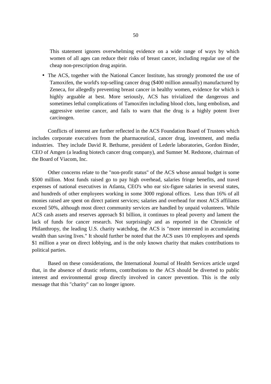This statement ignores overwhelming evidence on a wide range of ways by which women of all ages can reduce their risks of breast cancer, including regular use of the cheap non-prescription drug aspirin.

• The ACS, together with the National Cancer Institute, has strongly promoted the use of Tamoxifen, the world's top-selling cancer drug (\$400 million annually) manufactured by Zeneca, for allegedly preventing breast cancer in healthy women, evidence for which is highly arguable at best. More seriously, ACS has trivialized the dangerous and sometimes lethal complications of Tamoxifen including blood clots, lung embolism, and aggressive uterine cancer, and fails to warn that the drug is a highly potent liver carcinogen.

 Conflicts of interest are further reflected in the ACS Foundation Board of Trustees which includes corporate executives from the pharmaceutical, cancer drug, investment, and media industries. They include David R. Bethume, president of Lederle laboratories, Gordon Binder, CEO of Amgen (a leading biotech cancer drug company), and Sumner M. Redstone, chairman of the Board of Viacom, Inc.

 Other concerns relate to the "non-profit status" of the ACS whose annual budget is some \$500 million. Most funds raised go to pay high overhead, salaries fringe benefits, and travel expenses of national executives in Atlanta, CEO's who ear six-figure salaries in several states, and hundreds of other employees working in some 3000 regional offices. Less than 16% of all monies raised are spent on direct patient services; salaries and overhead for most ACS affiliates exceed 50%, although most direct community services are handled by unpaid volunteers. While ACS cash assets and reserves approach \$1 billion, it continues to plead poverty and lament the lack of funds for cancer research. Not surprisingly and as reported in the Chronicle of Philanthropy, the leading U.S. charity watchdog, the ACS is "more interested in accumulating wealth than saving lives." It should further be noted that the ACS uses 10 employees and spends \$1 million a year on direct lobbying, and is the only known charity that makes contributions to political parties.

 Based on these considerations, the International Journal of Health Services article urged that, in the absence of drastic reforms, contributions to the ACS should be diverted to public interest and environmental group directly involved in cancer prevention. This is the only message that this "charity" can no longer ignore.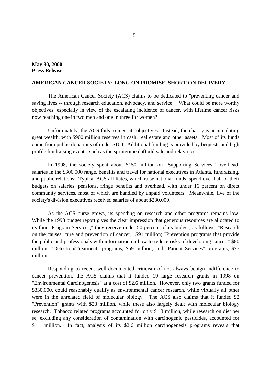### **May 30, 2000 Press Release**

### **AMERICAN CANCER SOCIETY: LONG ON PROMISE, SHORT ON DELIVERY**

 The American Cancer Society (ACS) claims to be dedicated to "preventing cancer and saving lives -- through research education, advocacy, and service." What could be more worthy objectives, especially in view of the escalating incidence of cancer, with lifetime cancer risks now reaching one in two men and one in three for women?

 Unfortunately, the ACS fails to meet its objectives. Instead, the charity is accumulating great wealth, with \$900 million reserves in cash, real estate and other assets. Most of its funds come from public donations of under \$100. Additional funding is provided by bequests and high profile fundraising events, such as the springtime daffodil sale and relay races.

 In 1998, the society spent about \$150 million on "Supporting Services," overhead, salaries in the \$300,000 range, benefits and travel for national executives in Atlanta, fundraising, and public relations. Typical ACS affiliates, which raise national funds, spend over half of their budgets on salaries, pensions, fringe benefits and overhead, with under 16 percent on direct community services, most of which are handled by unpaid volunteers. Meanwhile, five of the society's division executives received salaries of about \$230,000.

 As the ACS purse grows, its spending on research and other programs remains low. While the 1998 budget report gives the clear impression that generous resources are allocated to its four "Program Services," they receive under 50 percent of its budget, as follows: "Research on the causes, cure and prevention of cancer," \$91 million; "Prevention programs that provide the public and professionals with information on how to reduce risks of developing cancer," \$80 million; "Detection/Treatment" programs, \$59 million; and "Patient Services" programs, \$77 million.

 Responding to recent well-documented criticism of not always benign indifference to cancer prevention, the ACS claims that it funded 19 large research grants in 1998 on "Environmental Carcinogenesis" at a cost of \$2.6 million. However, only two grants funded for \$330,000, could reasonably qualify as environmental cancer research, while virtually all other were in the unrelated field of molecular biology. The ACS also claims that it funded 92 "Prevention" grants with \$23 million, while these also largely dealt with molecular biology research. Tobacco related programs accounted for only \$1.3 million, while research on diet per se, excluding any consideration of contamination with carcinogenic pesticides, accounted for \$1.1 million. In fact, analysis of its \$2.6 million carcinogenesis programs reveals that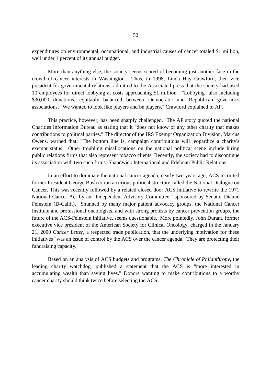expenditures on environmental, occupational, and industrial causes of cancer totaled \$1 million, well under 1 percent of its annual budget.

 More than anything else, the society seems scared of becoming just another face in the crowd of cancer interests in Washington. Thus, in 1998, Linda Hay Crawford, then vice president for governmental relations, admitted to the Associated press that the society had used 10 employees for direct lobbying at costs approaching \$1 million. "Lobbying" also including \$30,000 donations, equitably balanced between Democratic and Republican governor's associations. "We wanted to look like players and be players," Crawford explained to AP.

 This practice, however, has been sharply challenged. The AP story quoted the national Charities Information Bureau as stating that it "does not know of any other charity that makes contributions to political parties." The director of the IRS Exempt Organization Division, Marcus Owens, warned that: "The bottom line is, campaign contributions will jeopardize a charity's exempt status." Other troubling misallocations on the national political scene include hiring public relations firms that also represent tobacco clients. Recently, the society had to discontinue its association with two such firms: Shandwick International and Edelman Public Relations.

 In an effort to dominate the national cancer agenda, nearly two years ago, ACS recruited former President George Bush to run a curious political structure called the National Dialogue on Cancer. This was recently followed by a related closed door ACS initiative to rewrite the 1971 National Cancer Act by an "Independent Advisory Committee," sponsored by Senator Dianne Feinstein (D-Calif.). Shunned by many major patient advocacy groups, the National Cancer Institute and professional oncologists, and with strong protests by cancer prevention groups, the future of the ACS-Feinstein initiative, seems questionable. More pointedly, John Durant, former executive vice president of the American Society for Clinical Oncology, charged in the January 21, 2000 *Cancer Letter*, a respected trade publication, that the underlying motivation for these initiatives "was an issue of control by the ACS over the cancer agenda. They are protecting their fundraising capacity."

 Based on an analysis of ACS budgets and programs, *The Chronicle of Philanthropy*, the leading charity watchdog, published a statement that the ACS is "more interested in accumulating wealth than saving lives." Donors wanting to make contributions to a worthy cancer charity should think twice before selecting the ACS.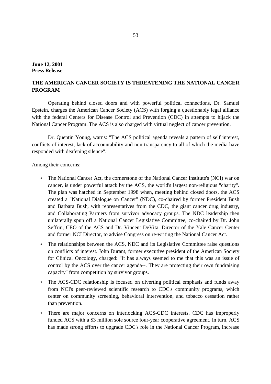### **June 12, 2001 Press Release**

# **THE AMERICAN CANCER SOCIETY IS THREATENING THE NATIONAL CANCER PROGRAM**

 Operating behind closed doors and with powerful political connections, Dr. Samuel Epstein, charges the American Cancer Society (ACS) with forging a questionably legal alliance with the federal Centers for Disease Control and Prevention (CDC) in attempts to hijack the National Cancer Program. The ACS is also charged with virtual neglect of cancer prevention.

 Dr. Quentin Young, warns: "The ACS political agenda reveals a pattern of self interest, conflicts of interest, lack of accountability and non-transparency to all of which the media have responded with deafening silence".

Among their concerns:

- The National Cancer Act, the cornerstone of the National Cancer Institute's (NCI) war on cancer, is under powerful attack by the ACS, the world's largest non-religious "charity". The plan was hatched in September 1998 when, meeting behind closed doors, the ACS created a "National Dialogue on Cancer" (NDC), co-chaired by former President Bush and Barbara Bush, with representatives from the CDC, the giant cancer drug industry, and Collaborating Partners from survivor advocacy groups. The NDC leadership then unilaterally spun off a National Cancer Legislative Committee, co-chaired by Dr. John Seffrin, CEO of the ACS and Dr. Vincent DeVita, Director of the Yale Cancer Center and former NCI Director, to advise Congress on re-writing the National Cancer Act.
- The relationships between the ACS, NDC and its Legislative Committee raise questions on conflicts of interest. John Durant, former executive president of the American Society for Clinical Oncology, charged: "It has always seemed to me that this was an issue of control by the ACS over the cancer agenda--. They are protecting their own fundraising capacity" from competition by survivor groups.
- The ACS-CDC relationship is focused on diverting political emphasis and funds away from NCI's peer-reviewed scientific research to CDC's community programs, which center on community screening, behavioral intervention, and tobacco cessation rather than prevention.
- There are major concerns on interlocking ACS-CDC interests. CDC has improperly funded ACS with a \$3 million sole source four-year cooperative agreement. In turn, ACS has made strong efforts to upgrade CDC's role in the National Cancer Program, increase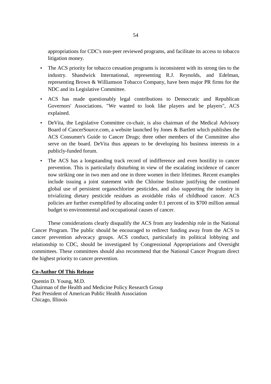appropriations for CDC's non-peer reviewed programs, and facilitate its access to tobacco litigation money.

- The ACS priority for tobacco cessation programs is inconsistent with its strong ties to the industry. Shandwick International, representing R.J. Reynolds, and Edelman, representing Brown & Williamson Tobacco Company, have been major PR firms for the NDC and its Legislative Committee.
- ACS has made questionably legal contributions to Democratic and Republican Governors' Associations. "We wanted to look like players and be players", ACS explained.
- DeVita, the Legislative Committee co-chair, is also chairman of the Medical Advisory Board of CancerSource.com, a website launched by Jones & Bartlett which publishes the ACS Consumer's Guide to Cancer Drugs; three other members of the Committee also serve on the board. DeVita thus appears to be developing his business interests in a publicly-funded forum.
- The ACS has a longstanding track record of indifference and even hostility to cancer prevention. This is particularly disturbing in view of the escalating incidence of cancer now striking one in two men and one in three women in their lifetimes. Recent examples include issuing a joint statement with the Chlorine Institute justifying the continued global use of persistent organochlorine pesticides, and also supporting the industry in trivializing dietary pesticide residues as avoidable risks of childhood cancer. ACS policies are further exemplified by allocating under 0.1 percent of its \$700 million annual budget to environmental and occupational causes of cancer.

 These considerations clearly disqualify the ACS from any leadership role in the National Cancer Program. The public should be encouraged to redirect funding away from the ACS to cancer prevention advocacy groups. ACS conduct, particularly its political lobbying and relationship to CDC, should be investigated by Congressional Appropriations and Oversight committees. These committees should also recommend that the National Cancer Program direct the highest priority to cancer prevention.

### **Co-Author Of This Release**

Quentin D. Young, M.D. Chairman of the Health and Medicine Policy Research Group Past President of American Public Health Association Chicago, Illinois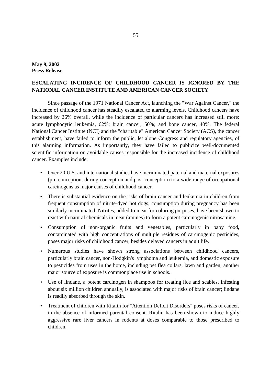### **May 9, 2002 Press Release**

# **ESCALATING INCIDENCE OF CHILDHOOD CANCER IS IGNORED BY THE NATIONAL CANCER INSTITUTE AND AMERICAN CANCER SOCIETY**

 Since passage of the 1971 National Cancer Act, launching the "War Against Cancer," the incidence of childhood cancer has steadily escalated to alarming levels. Childhood cancers have increased by 26% overall, while the incidence of particular cancers has increased still more: acute lymphocytic leukemia, 62%; brain cancer, 50%; and bone cancer, 40%. The federal National Cancer Institute (NCI) and the "charitable" American Cancer Society (ACS), the cancer establishment, have failed to inform the public, let alone Congress and regulatory agencies, of this alarming information. As importantly, they have failed to publicize well-documented scientific information on avoidable causes responsible for the increased incidence of childhood cancer. Examples include:

- Over 20 U.S. and international studies have incriminated paternal and maternal exposures (pre-conception, during conception and post-conception) to a wide range of occupational carcinogens as major causes of childhood cancer.
- There is substantial evidence on the risks of brain cancer and leukemia in children from frequent consumption of nitrite-dyed hot dogs; consumption during pregnancy has been similarly incriminated. Nitrites, added to meat for coloring purposes, have been shown to react with natural chemicals in meat (amines) to form a potent carcinogenic nitrosamine.
- Consumption of non-organic fruits and vegetables, particularly in baby food, contaminated with high concentrations of multiple residues of carcinogenic pesticides, poses major risks of childhood cancer, besides delayed cancers in adult life.
- Numerous studies have shown strong associations between childhood cancers, particularly brain cancer, non-Hodgkin's lymphoma and leukemia, and domestic exposure to pesticides from uses in the home, including pet flea collars, lawn and garden; another major source of exposure is commonplace use in schools.
- Use of lindane, a potent carcinogen in shampoos for treating lice and scabies, infesting about six million children annually, is associated with major risks of brain cancer; lindane is readily absorbed through the skin.
- Treatment of children with Ritalin for "Attention Deficit Disorders" poses risks of cancer, in the absence of informed parental consent. Ritalin has been shown to induce highly aggressive rare liver cancers in rodents at doses comparable to those prescribed to children.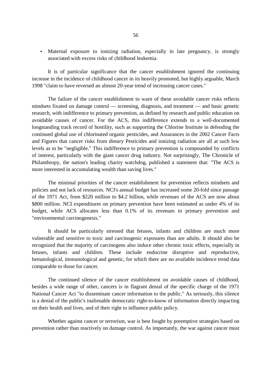• Maternal exposure to ionizing radiation, especially in late pregnancy, is strongly associated with excess risks of childhood leukemia.

 It is of particular significance that the cancer establishment ignored the continuing increase in the incidence of childhood cancer in its heavily promoted, but highly arguable, March 1998 "claim to have reversed an almost 20-year trend of increasing cancer cases."

 The failure of the cancer establishment to warn of these avoidable cancer risks reflects mindsets fixated on damage control — screening, diagnosis, and treatment — and basic genetic research, with indifference to primary prevention, as defined by research and public education on avoidable causes of cancer. For the ACS, this indifference extends to a well-documented longstanding track record of hostility, such as supporting the Chlorine Institute in defending the continued global use of chlorinated organic pesticides, and Assurances in the 2002 Cancer Facts and Figures that cancer risks from dietary Pesticides and ionizing radiation are all at such low levels as to be "negligible." This indifference to primary prevention is compounded by conflicts of interest, particularly with the giant cancer drug industry. Not surprisingly, The Chronicle of Philanthropy, the nation's leading charity watchdog, published a statement that: "The ACS is more interested in accumulating wealth than saving lives."

 The minimal priorities of the cancer establishment for prevention reflects mindsets and policies and not lack of resources. NCI's annual budget has increased some 20-fold since passage of the 1971 Act, from \$220 million to \$4.2 billion, while revenues of the ACS are now about \$800 million. NCI expenditures on primary prevention have been estimated as under 4% of its budget, while ACS allocates less than 0.1% of its revenues to primary prevention and "environmental carcinogenesis."

 It should be particularly stressed that fetuses, infants and children are much more vulnerable and sensitive to toxic and carcinogenic exposures than are adults. It should also be recognized that the majority of carcinogens also induce other chronic toxic effects, especially in fetuses, infants and children. These include endocrine disruptive and reproductive, hematological, immunological and genetic, for which there are no available incidence trend data comparable to those for cancer.

 The continued silence of the cancer establishment on avoidable causes of childhood, besides a wide range of other, cancers is in flagrant denial of the specific charge of the 1971 National Cancer Act "to disseminate cancer information to the public." As seriously, this silence is a denial of the public's inalienable democratic right-to-know of information directly impacting on their health and lives, and of their right to influence public policy.

 Whether against cancer or terrorism, war is best fought by preemptive strategies based on prevention rather than reactively on damage control. As importantly, the war against cancer must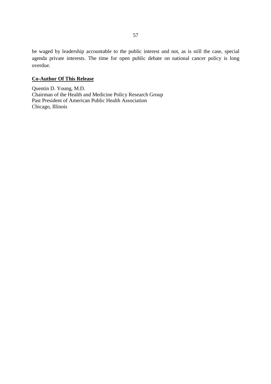be waged by leadership accountable to the public interest and not, as is still the case, special agenda private interests. The time for open public debate on national cancer policy is long overdue.

# **Co-Author Of This Release**

Quentin D. Young, M.D. Chairman of the Health and Medicine Policy Research Group Past President of American Public Health Association Chicago, Illinois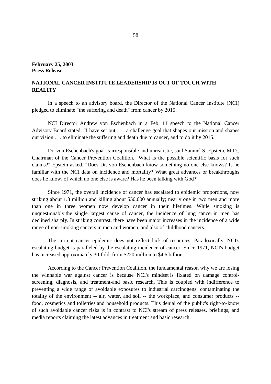**February 25, 2003 Press Release** 

## **NATIONAL CANCER INSTITUTE LEADERSHIP IS OUT OF TOUCH WITH REALITY**

 In a speech to an advisory board, the Director of the National Cancer Institute (NCI) pledged to eliminate "the suffering and death" from cancer by 2015.

 NCI Director Andrew von Eschenbach in a Feb. 11 speech to the National Cancer Advisory Board stated: "I have set out . . . a challenge goal that shapes our mission and shapes our vision . . . to eliminate the suffering and death due to cancer, and to do it by 2015."

 Dr. von Eschenbach's goal is irresponsible and unrealistic, said Samuel S. Epstein, M.D., Chairman of the Cancer Prevention Coalition. "What is the possible scientific basis for such claims?" Epstein asked. "Does Dr. von Eschenbach know something no one else knows? Is he familiar with the NCI data on incidence and mortality? What great advances or breakthroughs does he know, of which no one else is aware? Has he been talking with God?"

 Since 1971, the overall incidence of cancer has escalated to epidemic proportions, now striking about 1.3 million and killing about 550,000 annually; nearly one in two men and more than one in three women now develop cancer in their lifetimes. While smoking is unquestionably the single largest cause of cancer, the incidence of lung cancer in men has declined sharply. In striking contrast, there have been major increases in the incidence of a wide range of non-smoking cancers in men and women, and also of childhood cancers.

 The current cancer epidemic does not reflect lack of resources. Paradoxically, NCI's escalating budget is paralleled by the escalating incidence of cancer. Since 1971, NCI's budget has increased approximately 30-fold, from \$220 million to \$4.6 billion.

 According to the Cancer Prevention Coalition, the fundamental reason why we are losing the winnable war against cancer is because NCI's mindset is fixated on damage controlscreening, diagnosis, and treatment-and basic research. This is coupled with indifference to preventing a wide range of avoidable exposures to industrial carcinogens, contaminating the totality of the environment -- air, water, and soil -- the workplace, and consumer products - food, cosmetics and toiletries and household products. This denial of the public's right-to-know of such avoidable cancer risks is in contrast to NCI's stream of press releases, briefings, and media reports claiming the latest advances in treatment and basic research.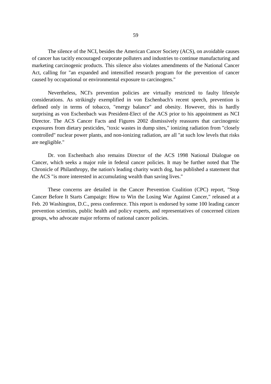The silence of the NCI, besides the American Cancer Society (ACS), on avoidable causes of cancer has tacitly encouraged corporate polluters and industries to continue manufacturing and marketing carcinogenic products. This silence also violates amendments of the National Cancer Act, calling for "an expanded and intensified research program for the prevention of cancer caused by occupational or environmental exposure to carcinogens."

 Nevertheless, NCI's prevention policies are virtually restricted to faulty lifestyle considerations. As strikingly exemplified in von Eschenbach's recent speech, prevention is defined only in terms of tobacco, "energy balance" and obesity. However, this is hardly surprising as von Eschenbach was President-Elect of the ACS prior to his appointment as NCI Director. The ACS Cancer Facts and Figures 2002 dismissively reassures that carcinogenic exposures from dietary pesticides, "toxic wastes in dump sites," ionizing radiation from "closely controlled" nuclear power plants, and non-ionizing radiation, are all "at such low levels that risks are negligible."

 Dr. von Eschenbach also remains Director of the ACS 1998 National Dialogue on Cancer, which seeks a major role in federal cancer policies. It may be further noted that The Chronicle of Philanthropy, the nation's leading charity watch dog, has published a statement that the ACS "is more interested in accumulating wealth than saving lives."

 These concerns are detailed in the Cancer Prevention Coalition (CPC) report, "Stop Cancer Before It Starts Campaign: How to Win the Losing War Against Cancer," released at a Feb. 20 Washington, D.C., press conference. This report is endorsed by some 100 leading cancer prevention scientists, public health and policy experts, and representatives of concerned citizen groups, who advocate major reforms of national cancer policies.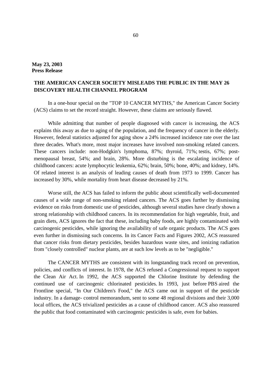### **May 23, 2003 Press Release**

# **THE AMERICAN CANCER SOCIETY MISLEADS THE PUBLIC IN THE MAY 26 DISCOVERY HEALTH CHANNEL PROGRAM**

 In a one-hour special on the "TOP 10 CANCER MYTHS," the American Cancer Society (ACS) claims to set the record straight. However, these claims are seriously flawed.

 While admitting that number of people diagnosed with cancer is increasing, the ACS explains this away as due to aging of the population, and the frequency of cancer in the elderly. However, federal statistics adjusted for aging show a 24% increased incidence rate over the last three decades. What's more, most major increases have involved non-smoking related cancers. These cancers include: non-Hodgkin's lymphoma, 87%; thyroid, 71%; testis, 67%; postmenopausal breast, 54%; and brain, 28%. More disturbing is the escalating incidence of childhood cancers: acute lymphocytic leukemia, 62%; brain, 50%; bone, 40%; and kidney, 14%. Of related interest is an analysis of leading causes of death from 1973 to 1999. Cancer has increased by 30%, while mortality from heart disease decreased by 21%.

 Worse still, the ACS has failed to inform the public about scientifically well-documented causes of a wide range of non-smoking related cancers. The ACS goes further by dismissing evidence on risks from domestic use of pesticides, although several studies have clearly shown a strong relationship with childhood cancers. In its recommendation for high vegetable, fruit, and grain diets, ACS ignores the fact that these, including baby foods, are highly contaminated with carcinogenic pesticides, while ignoring the availability of safe organic products. The ACS goes even further in dismissing such concerns. In its Cancer Facts and Figures 2002, ACS reassured that cancer risks from dietary pesticides, besides hazardous waste sites, and ionizing radiation from "closely controlled" nuclear plants, are at such low levels as to be "negligible."

 The CANCER MYTHS are consistent with its longstanding track record on prevention, policies, and conflicts of interest. In 1978, the ACS refused a Congressional request to support the Clean Air Act. In 1992, the ACS supported the Chlorine Institute by defending the continued use of carcinogenic chlorinated pesticides. In 1993, just before PBS aired the Frontline special, "In Our Children's Food," the ACS came out in support of the pesticide industry. In a damage- control memorandum, sent to some 48 regional divisions and their 3,000 local offices, the ACS trivialized pesticides as a cause of childhood cancer. ACS also reassured the public that food contaminated with carcinogenic pesticides is safe, even for babies.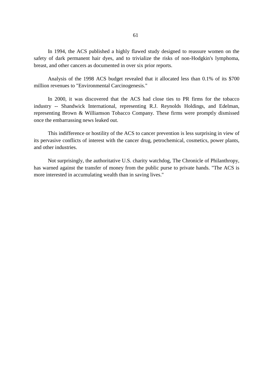In 1994, the ACS published a highly flawed study designed to reassure women on the safety of dark permanent hair dyes, and to trivialize the risks of non-Hodgkin's lymphoma, breast, and other cancers as documented in over six prior reports.

 Analysis of the 1998 ACS budget revealed that it allocated less than 0.1% of its \$700 million revenues to "Environmental Carcinogenesis."

 In 2000, it was discovered that the ACS had close ties to PR firms for the tobacco industry -- Shandwick International, representing R.J. Reynolds Holdings, and Edelman, representing Brown & Williamson Tobacco Company. These firms were promptly dismissed once the embarrassing news leaked out.

 This indifference or hostility of the ACS to cancer prevention is less surprising in view of its pervasive conflicts of interest with the cancer drug, petrochemical, cosmetics, power plants, and other industries.

 Not surprisingly, the authoritative U.S. charity watchdog, The Chronicle of Philanthropy, has warned against the transfer of money from the public purse to private hands. "The ACS is more interested in accumulating wealth than in saving lives."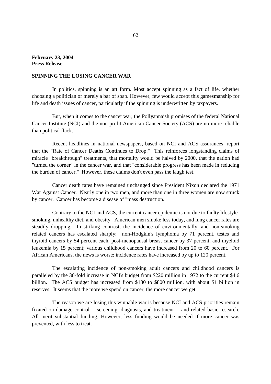### **February 23, 2004 Press Release**

### **SPINNING THE LOSING CANCER WAR**

 In politics, spinning is an art form. Most accept spinning as a fact of life, whether choosing a politician or merely a bar of soap. However, few would accept this gamesmanship for life and death issues of cancer, particularly if the spinning is underwritten by taxpayers.

 But, when it comes to the cancer war, the Pollyannaish promises of the federal National Cancer Institute (NCI) and the non-profit American Cancer Society (ACS) are no more reliable than political flack.

 Recent headlines in national newspapers, based on NCI and ACS assurances, report that the "Rate of Cancer Deaths Continues to Drop." This reinforces longstanding claims of miracle "breakthrough" treatments, that mortality would be halved by 2000, that the nation had "turned the corner" in the cancer war, and that "considerable progress has been made in reducing the burden of cancer." However, these claims don't even pass the laugh test.

 Cancer death rates have remained unchanged since President Nixon declared the 1971 War Against Cancer. Nearly one in two men, and more than one in three women are now struck by cancer. Cancer has become a disease of "mass destruction."

 Contrary to the NCI and ACS, the current cancer epidemic is not due to faulty lifestylesmoking, unhealthy diet, and obesity. American men smoke less today, and lung cancer rates are steadily dropping. In striking contrast, the incidence of environmentally, and non-smoking related cancers has escalated sharply: non-Hodgkin's lymphoma by 71 percent, testes and thyroid cancers by 54 percent each, post-menopausal breast cancer by 37 percent, and myeloid leukemia by 15 percent; various childhood cancers have increased from 20 to 60 percent. For African Americans, the news is worse: incidence rates have increased by up to 120 percent.

 The escalating incidence of non-smoking adult cancers and childhood cancers is paralleled by the 30-fold increase in NCI's budget from \$220 million in 1972 to the current \$4.6 billion. The ACS budget has increased from \$130 to \$800 million, with about \$1 billion in reserves. It seems that the more we spend on cancer, the more cancer we get.

 The reason we are losing this winnable war is because NCI and ACS priorities remain fixated on damage control -- screening, diagnosis, and treatment -- and related basic research. All merit substantial funding. However, less funding would be needed if more cancer was prevented, with less to treat.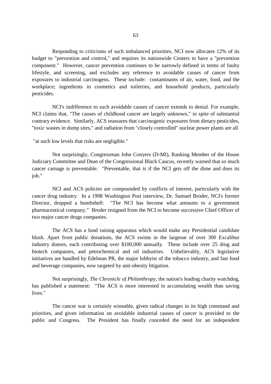Responding to criticisms of such imbalanced priorities, NCI now allocates 12% of its budget to "prevention and control," and requires its nationwide Centers to have a "prevention component." However, cancer prevention continues to be narrowly defined in terms of faulty lifestyle, and screening, and excludes any reference to avoidable causes of cancer from exposures to industrial carcinogens. These include: contaminants of air, water, food, and the workplace; ingredients in cosmetics and toiletries, and household products, particularly pesticides.

 NCI's indifference to such avoidable causes of cancer extends to denial. For example, NCI claims that, "The causes of childhood cancer are largely unknown," in spite of substantial contrary evidence. Similarly, ACS reassures that carcinogenic exposures from dietary pesticides, "toxic wastes in dump sites," and radiation from "closely controlled" nuclear power plants are all

"at such low levels that risks are negligible."

 Not surprisingly, Congressman John Conyers (D-MI), Ranking Member of the House Judiciary Committee and Dean of the Congressional Black Caucus, recently warned that so much cancer carnage is preventable. "Preventable, that is if the NCI gets off the dime and does its job."

 NCI and ACS policies are compounded by conflicts of interest, particularly with the cancer drug industry. In a 1998 Washington Post interview, Dr. Samuel Broder, NCI's former Director, dropped a bombshell: "The NCI has become what amounts to a government pharmaceutical company." Broder resigned from the NCI to become successive Chief Officer of two major cancer drugs companies.

 The ACS has a fund raising apparatus which would make any Presidential candidate blush. Apart from public donations, the ACS swims in the largesse of over 300 Excalibur industry donors, each contributing over \$100,000 annually. These include over 25 drug and biotech companies, and petrochemical and oil industries. Unbelievably, ACS legislative initiatives are handled by Edelman PR, the major lobbyist of the tobacco industry, and fast food and beverage companies, now targeted by anti-obesity litigation.

 Not surprisingly, *The Chronicle of Philanthropy*, the nation's leading charity watchdog, has published a statement: "The ACS is more interested in accumulating wealth than saving lives."

 The cancer war is certainly winnable, given radical changes in its high command and priorities, and given information on avoidable industrial causes of cancer is provided to the public and Congress. The President has finally conceded the need for an independent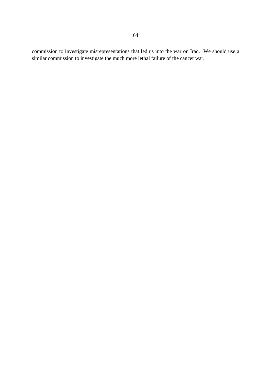commission to investigate misrepresentations that led us into the war on Iraq. We should use a similar commission to investigate the much more lethal failure of the cancer war.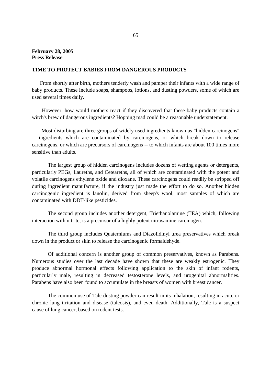### **February 28, 2005 Press Release**

### **TIME TO PROTECT BABIES FROM DANGEROUS PRODUCTS**

 From shortly after birth, mothers tenderly wash and pamper their infants with a wide range of baby products. These include soaps, shampoos, lotions, and dusting powders, some of which are used several times daily.

 However, how would mothers react if they discovered that these baby products contain a witch's brew of dangerous ingredients? Hopping mad could be a reasonable understatement.

 Most disturbing are three groups of widely used ingredients known as "hidden carcinogens" -- ingredients which are contaminated by carcinogens, or which break down to release carcinogens, or which are precursors of carcinogens -- to which infants are about 100 times more sensitive than adults.

 The largest group of hidden carcinogens includes dozens of wetting agents or detergents, particularly PEGs, Laureths, and Ceteareths, all of which are contaminated with the potent and volatile carcinogens ethylene oxide and dioxane. These carcinogens could readily be stripped off during ingredient manufacture, if the industry just made the effort to do so. Another hidden carcinogenic ingredient is lanolin, derived from sheep's wool, most samples of which are contaminated with DDT-like pesticides.

 The second group includes another detergent, Triethanolamine (TEA) which, following interaction with nitrite, is a precursor of a highly potent nitrosamine carcinogen.

 The third group includes Quaterniums and Diazolidinyl urea preservatives which break down in the product or skin to release the carcinogenic formaldehyde.

 Of additional concern is another group of common preservatives, known as Parabens. Numerous studies over the last decade have shown that these are weakly estrogenic. They produce abnormal hormonal effects following application to the skin of infant rodents, particularly male, resulting in decreased testosterone levels, and urogenital abnormalities. Parabens have also been found to accumulate in the breasts of women with breast cancer.

 The common use of Talc dusting powder can result in its inhalation, resulting in acute or chronic lung irritation and disease (talcosis), and even death. Additionally, Talc is a suspect cause of lung cancer, based on rodent tests.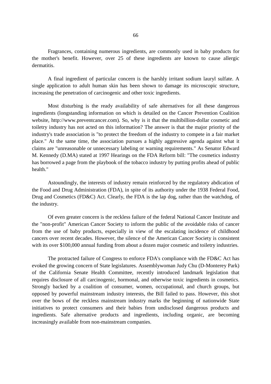Fragrances, containing numerous ingredients, are commonly used in baby products for the mother's benefit. However, over 25 of these ingredients are known to cause allergic dermatitis.

 A final ingredient of particular concern is the harshly irritant sodium lauryl sulfate. A single application to adult human skin has been shown to damage its microscopic structure, increasing the penetration of carcinogenic and other toxic ingredients.

 Most disturbing is the ready availability of safe alternatives for all these dangerous ingredients (longstanding information on which is detailed on the Cancer Prevention Coalition website, http://www.preventcancer.com). So, why is it that the multibillion-dollar cosmetic and toiletry industry has not acted on this information? The answer is that the major priority of the industry's trade association is "to protect the freedom of the industry to compete in a fair market place." At the same time, the association pursues a highly aggressive agenda against what it claims are "unreasonable or unnecessary labeling or warning requirements." As Senator Edward M. Kennedy (D.MA) stated at 1997 Hearings on the FDA Reform bill: "The cosmetics industry has borrowed a page from the playbook of the tobacco industry by putting profits ahead of public health."

 Astoundingly, the interests of industry remain reinforced by the regulatory abdication of the Food and Drug Administration (FDA), in spite of its authority under the 1938 Federal Food, Drug and Cosmetics (FD&C) Act. Clearly, the FDA is the lap dog, rather than the watchdog, of the industry.

 Of even greater concern is the reckless failure of the federal National Cancer Institute and the "non-profit" American Cancer Society to inform the public of the avoidable risks of cancer from the use of baby products, especially in view of the escalating incidence of childhood cancers over recent decades. However, the silence of the American Cancer Society is consistent with its over \$100,000 annual funding from about a dozen major cosmetic and toiletry industries.

 The protracted failure of Congress to enforce FDA's compliance with the FD&C Act has evoked the growing concern of State legislatures. Assemblywoman Judy Chu (D-Monterey Park) of the California Senate Health Committee, recently introduced landmark legislation that requires disclosure of all carcinogenic, hormonal, and otherwise toxic ingredients in cosmetics. Strongly backed by a coalition of consumer, women, occupational, and church groups, but opposed by powerful mainstream industry interests, the Bill failed to pass. However, this shot over the bows of the reckless mainstream industry marks the beginning of nationwide State initiatives to protect consumers and their babies from undisclosed dangerous products and ingredients. Safe alternative products and ingredients, including organic, are becoming increasingly available from non-mainstream companies.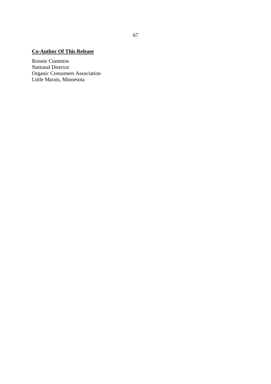# **Co-Author Of This Release**

Ronnie Cummins National Director Organic Consumers Association Little Marais, Minnesota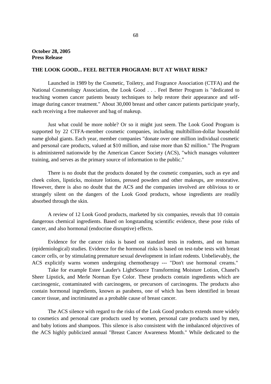### **October 28, 2005 Press Release**

### **THE LOOK GOOD... FEEL BETTER PROGRAM: BUT AT WHAT RISK?**

 Launched in 1989 by the Cosmetic, Toiletry, and Fragrance Association (CTFA) and the National Cosmetology Association, the Look Good . . . Feel Better Program is "dedicated to teaching women cancer patients beauty techniques to help restore their appearance and selfimage during cancer treatment." About 30,000 breast and other cancer patients participate yearly, each receiving a free makeover and bag of makeup.

 Just what could be more noble? Or so it might just seem. The Look Good Program is supported by 22 CTFA-member cosmetic companies, including multibillion-dollar household name global giants. Each year, member companies "donate over one million individual cosmetic and personal care products, valued at \$10 million, and raise more than \$2 million." The Program is administered nationwide by the American Cancer Society (ACS), "which manages volunteer training, and serves as the primary source of information to the public."

 There is no doubt that the products donated by the cosmetic companies, such as eye and cheek colors, lipsticks, moisture lotions, pressed powders and other makeups, are restorative. However, there is also no doubt that the ACS and the companies involved are oblivious to or strangely silent on the dangers of the Look Good products, whose ingredients are readily absorbed through the skin.

 A review of 12 Look Good products, marketed by six companies, reveals that 10 contain dangerous chemical ingredients. Based on longstanding scientific evidence, these pose risks of cancer, and also hormonal (endocrine disruptive) effects.

 Evidence for the cancer risks is based on standard tests in rodents, and on human (epidemiological) studies. Evidence for the hormonal risks is based on test-tube tests with breast cancer cells, or by stimulating premature sexual development in infant rodents. Unbelievably, the ACS explicitly warns women undergoing chemotherapy --- "Don't use hormonal creams."

 Take for example Estee Lauder's LightSource Transforming Moisture Lotion, Chanel's Sheer Lipstick, and Merle Norman Eye Color. These products contain ingredients which are carcinogenic, contaminated with carcinogens, or precursors of carcinogens. The products also contain hormonal ingredients, known as parabens, one of which has been identified in breast cancer tissue, and incriminated as a probable cause of breast cancer.

 The ACS silence with regard to the risks of the Look Good products extends more widely to cosmetics and personal care products used by women, personal care products used by men, and baby lotions and shampoos. This silence is also consistent with the imbalanced objectives of the ACS highly publicized annual "Breast Cancer Awareness Month." While dedicated to the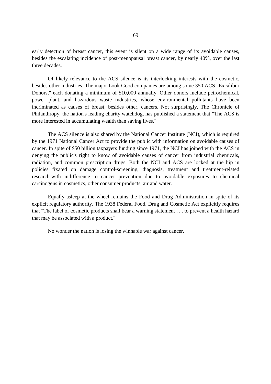early detection of breast cancer, this event is silent on a wide range of its avoidable causes, besides the escalating incidence of post-menopausal breast cancer, by nearly 40%, over the last three decades.

 Of likely relevance to the ACS silence is its interlocking interests with the cosmetic, besides other industries. The major Look Good companies are among some 350 ACS "Excalibur Donors," each donating a minimum of \$10,000 annually. Other donors include petrochemical, power plant, and hazardous waste industries, whose environmental pollutants have been incriminated as causes of breast, besides other, cancers. Not surprisingly, The Chronicle of Philanthropy, the nation's leading charity watchdog, has published a statement that "The ACS is more interested in accumulating wealth than saving lives."

 The ACS silence is also shared by the National Cancer Institute (NCI), which is required by the 1971 National Cancer Act to provide the public with information on avoidable causes of cancer. In spite of \$50 billion taxpayers funding since 1971, the NCI has joined with the ACS in denying the public's right to know of avoidable causes of cancer from industrial chemicals, radiation, and common prescription drugs. Both the NCI and ACS are locked at the hip in policies fixated on damage control-screening, diagnosis, treatment and treatment-related research-with indifference to cancer prevention due to avoidable exposures to chemical carcinogens in cosmetics, other consumer products, air and water.

 Equally asleep at the wheel remains the Food and Drug Administration in spite of its explicit regulatory authority. The 1938 Federal Food, Drug and Cosmetic Act explicitly requires that "The label of cosmetic products shall bear a warning statement . . . to prevent a health hazard that may be associated with a product."

No wonder the nation is losing the winnable war against cancer.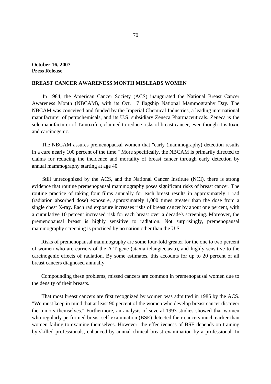### **October 16, 2007 Press Release**

### **BREAST CANCER AWARENESS MONTH MISLEADS WOMEN**

 In 1984, the American Cancer Society (ACS) inaugurated the National Breast Cancer Awareness Month (NBCAM), with its Oct. 17 flagship National Mammography Day. The NBCAM was conceived and funded by the Imperial Chemical Industries, a leading international manufacturer of petrochemicals, and its U.S. subsidiary Zeneca Pharmaceuticals. Zeneca is the sole manufacturer of Tamoxifen, claimed to reduce risks of breast cancer, even though it is toxic and carcinogenic.

 The NBCAM assures premenopausal women that "early (mammography) detection results in a cure nearly 100 percent of the time." More specifically, the NBCAM is primarily directed to claims for reducing the incidence and mortality of breast cancer through early detection by annual mammography starting at age 40.

 Still unrecognized by the ACS, and the National Cancer Institute (NCI), there is strong evidence that routine premenopausal mammography poses significant risks of breast cancer. The routine practice of taking four films annually for each breast results in approximately 1 rad (radiation absorbed dose) exposure, approximately 1,000 times greater than the dose from a single chest X-ray. Each rad exposure increases risks of breast cancer by about one percent, with a cumulative 10 percent increased risk for each breast over a decade's screening. Moreover, the premenopausal breast is highly sensitive to radiation. Not surprisingly, premenopausal mammography screening is practiced by no nation other than the U.S.

 Risks of premenopausal mammography are some four-fold greater for the one to two percent of women who are carriers of the A-T gene (ataxia telangiectasia), and highly sensitive to the carcinogenic effects of radiation. By some estimates, this accounts for up to 20 percent of all breast cancers diagnosed annually.

 Compounding these problems, missed cancers are common in premenopausal women due to the density of their breasts.

 That most breast cancers are first recognized by women was admitted in 1985 by the ACS. "We must keep in mind that at least 90 percent of the women who develop breast cancer discover the tumors themselves." Furthermore, an analysis of several 1993 studies showed that women who regularly performed breast self-examination (BSE) detected their cancers much earlier than women failing to examine themselves. However, the effectiveness of BSE depends on training by skilled professionals, enhanced by annual clinical breast examination by a professional. In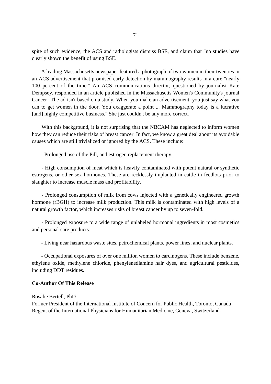spite of such evidence, the ACS and radiologists dismiss BSE, and claim that "no studies have clearly shown the benefit of using BSE."

 A leading Massachusetts newspaper featured a photograph of two women in their twenties in an ACS advertisement that promised early detection by mammography results in a cure "nearly 100 percent of the time." An ACS communications director, questioned by journalist Kate Dempsey, responded in an article published in the Massachusetts Women's Community's journal Cancer "The ad isn't based on a study. When you make an advertisement, you just say what you can to get women in the door. You exaggerate a point ... Mammography today is a lucrative [and] highly competitive business." She just couldn't be any more correct.

 With this background, it is not surprising that the NBCAM has neglected to inform women how they can reduce their risks of breast cancer. In fact, we know a great deal about its avoidable causes which are still trivialized or ignored by the ACS. These include:

- Prolonged use of the Pill, and estrogen replacement therapy.

 - High consumption of meat which is heavily contaminated with potent natural or synthetic estrogens, or other sex hormones. These are recklessly implanted in cattle in feedlots prior to slaughter to increase muscle mass and profitability.

 - Prolonged consumption of milk from cows injected with a genetically engineered growth hormone (rBGH) to increase milk production. This milk is contaminated with high levels of a natural growth factor, which increases risks of breast cancer by up to seven-fold.

 - Prolonged exposure to a wide range of unlabeled hormonal ingredients in most cosmetics and personal care products.

- Living near hazardous waste sites, petrochemical plants, power lines, and nuclear plants.

 - Occupational exposures of over one million women to carcinogens. These include benzene, ethylene oxide, methylene chloride, phenylenediamine hair dyes, and agricultural pesticides, including DDT residues.

### **Co-Author Of This Release**

Rosalie Bertell, PhD

Former President of the International Institute of Concern for Public Health, Toronto, Canada Regent of the International Physicians for Humanitarian Medicine, Geneva, Switzerland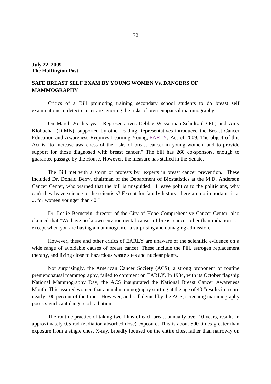### **July 22, 2009 The Huffington Post**

## **SAFE BREAST SELF EXAM BY YOUNG WOMEN Vs. DANGERS OF MAMMOGRAPHY**

 Critics of a Bill promoting training secondary school students to do breast self examinations to detect cancer are ignoring the risks of premenopausal mammography.

 On March 26 this year, Representatives Debbie Wasserman-Schultz (D-FL) and Amy Klobuchar (D-MN), supported by other leading Representatives introduced the Breast Cancer Education and Awareness Requires Learning Young, EARLY, Act of 2009. The object of this Act is "to increase awareness of the risks of breast cancer in young women, and to provide support for those diagnosed with breast cancer." The bill has 260 co-sponsors, enough to guarantee passage by the House. However, the measure has stalled in the Senate.

 The Bill met with a storm of protests by "experts in breast cancer prevention." These included Dr. Donald Berry, chairman of the Department of Biostatistics at the M.D. Anderson Cancer Center, who warned that the bill is misguided. "I leave politics to the politicians, why can't they leave science to the scientists? Except for family history, there are no important risks ... for women younger than 40."

 Dr. Leslie Bernstein, director of the City of Hope Comprehensive Cancer Center, also claimed that "We have no known environmental causes of breast cancer other than radiation . . . except when you are having a mammogram," a surprising and damaging admission.

 However, these and other critics of EARLY are unaware of the scientific evidence on a wide range of avoidable causes of breast cancer. These include the Pill, estrogen replacement therapy, and living close to hazardous waste sites and nuclear plants.

 Not surprisingly, the American Cancer Society (ACS), a strong proponent of routine premenopausal mammography, failed to comment on EARLY. In 1984, with its October flagship National Mammography Day, the ACS inaugurated the National Breast Cancer Awareness Month. This assured women that annual mammography starting at the age of 40 "results in a cure nearly 100 percent of the time." However, and still denied by the ACS, screening mammography poses significant dangers of radiation.

 The routine practice of taking two films of each breast annually over 10 years, results in approximately 0.5 rad (**r**adiation **a**bsorbed **d**ose) exposure. This is about 500 times greater than exposure from a single chest X-ray, broadly focused on the entire chest rather than narrowly on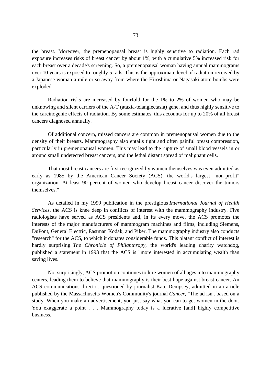the breast. Moreover, the premenopausal breast is highly sensitive to radiation. Each rad exposure increases risks of breast cancer by about 1%, with a cumulative 5% increased risk for each breast over a decade's screening. So, a premenopausal woman having annual mammograms over 10 years is exposed to roughly 5 rads. This is the approximate level of radiation received by a Japanese woman a mile or so away from where the Hiroshima or Nagasaki atom bombs were exploded.

 Radiation risks are increased by fourfold for the 1% to 2% of women who may be unknowing and silent carriers of the A-T (ataxia-telangiectasia) gene, and thus highly sensitive to the carcinogenic effects of radiation. By some estimates, this accounts for up to 20% of all breast cancers diagnosed annually.

 Of additional concern, missed cancers are common in premenopausal women due to the density of their breasts. Mammography also entails tight and often painful breast compression, particularly in premenopausal women. This may lead to the rupture of small blood vessels in or around small undetected breast cancers, and the lethal distant spread of malignant cells.

 That most breast cancers are first recognized by women themselves was even admitted as early as 1985 by the American Cancer Society (ACS), the world's largest "non-profit" organization. At least 90 percent of women who develop breast cancer discover the tumors themselves."

 As detailed in my 1999 publication in the prestigious *International Journal of Health Services*, the ACS is knee deep in conflicts of interest with the mammography industry. Five radiologists have served as ACS presidents and, in its every move, the ACS promotes the interests of the major manufacturers of mammogram machines and films, including Siemens, DuPont, General Electric, Eastman Kodak, and Piker. The mammography industry also conducts "research" for the ACS, to which it donates considerable funds. This blatant conflict of interest is hardly surprising. *The Chronicle of Philanthropy*, the world's leading charity watchdog, published a statement in 1993 that the ACS is "more interested in accumulating wealth than saving lives."

 Not surprisingly, ACS promotion continues to lure women of all ages into mammography centers, leading them to believe that mammography is their best hope against breast cancer. An ACS communications director, questioned by journalist Kate Dempsey, admitted in an article published by the Massachusetts Women's Community's journal *Cancer*, "The ad isn't based on a study. When you make an advertisement, you just say what you can to get women in the door. You exaggerate a point . . . Mammography today is a lucrative [and] highly competitive business."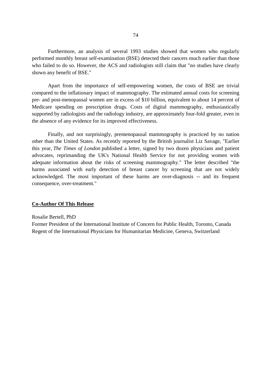Furthermore, an analysis of several 1993 studies showed that women who regularly performed monthly breast self-examination (BSE) detected their cancers much earlier than those who failed to do so. However, the ACS and radiologists still claim that "no studies have clearly shown any benefit of BSE."

 Apart from the importance of self-empowering women, the costs of BSE are trivial compared to the inflationary impact of mammography. The estimated annual costs for screening pre- and post-menopausal women are in excess of \$10 billion, equivalent to about 14 percent of Medicare spending on prescription drugs. Costs of digital mammography, enthusiastically supported by radiologists and the radiology industry, are approximately four-fold greater, even in the absence of any evidence for its improved effectiveness.

 Finally, and not surprisingly, premenopausal mammography is practiced by no nation other than the United States. As recently reported by the British journalist Liz Savage, "Earlier this year, *The Times of London* published a letter, signed by two dozen physicians and patient advocates, reprimanding the UK's National Health Service for not providing women with adequate information about the risks of screening mammography." The letter described "the harms associated with early detection of breast cancer by screening that are not widely acknowledged. The most important of these harms are over-diagnosis -- and its frequent consequence, over-treatment."

### **Co-Author Of This Release**

Rosalie Bertell, PhD

Former President of the International Institute of Concern for Public Health, Toronto, Canada Regent of the International Physicians for Humanitarian Medicine, Geneva, Switzerland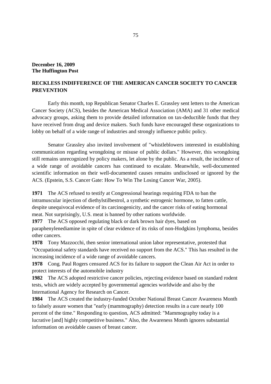### **December 16, 2009 The Huffington Post**

## **RECKLESS INDIFFERENCE OF THE AMERICAN CANCER SOCIETY TO CANCER PREVENTION**

 Early this month, top Republican Senator Charles E. Grassley sent letters to the American Cancer Society (ACS), besides the American Medical Association (AMA) and 31 other medical advocacy groups, asking them to provide detailed information on tax-deductible funds that they have received from drug and device makers. Such funds have encouraged these organizations to lobby on behalf of a wide range of industries and strongly influence public policy.

 Senator Grassley also invited involvement of "whistleblowers interested in establishing communication regarding wrongdoing or misuse of public dollars." However, this wrongdoing still remains unrecognized by policy makers, let alone by the public. As a result, the incidence of a wide range of avoidable cancers has continued to escalate. Meanwhile, well-documented scientific information on their well-documented causes remains undisclosed or ignored by the ACS. (Epstein, S.S. Cancer Gate: How To Win The Losing Cancer War, 2005).

**1971** The ACS refused to testify at Congressional hearings requiring FDA to ban the intramuscular injection of diethylstilbestrol, a synthetic estrogenic hormone, to fatten cattle, despite unequivocal evidence of its carcinogenicity, and the cancer risks of eating hormonal meat. Not surprisingly, U.S. meat is banned by other nations worldwide.

**1977** The ACS opposed regulating black or dark brown hair dyes, based on paraphenylenediamine in spite of clear evidence of its risks of non-Hodgkins lymphoma, besides other cancers.

**1978** Tony Mazzocchi, then senior international union labor representative, protested that "Occupational safety standards have received no support from the ACS." This has resulted in the increasing incidence of a wide range of avoidable cancers.

**1978** Cong. Paul Rogers censured ACS for its failure to support the Clean Air Act in order to protect interests of the automobile industry

**1982** The ACS adopted restrictive cancer policies, rejecting evidence based on standard rodent tests, which are widely accepted by governmental agencies worldwide and also by the International Agency for Research on Cancer.

**1984** The ACS created the industry-funded October National Breast Cancer Awareness Month to falsely assure women that "early (mammography) detection results in a cure nearly 100 percent of the time." Responding to question, ACS admitted: "Mammography today is a lucrative [and] highly competitive business." Also, the Awareness Month ignores substantial information on avoidable causes of breast cancer.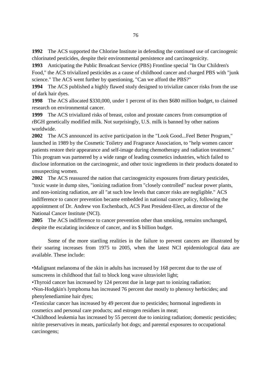**1992** The ACS supported the Chlorine Institute in defending the continued use of carcinogenic chlorinated pesticides, despite their environmental persistence and carcinogenicity.

**1993** Anticipating the Public Broadcast Service (PBS) Frontline special "In Our Children's Food," the ACS trivialized pesticides as a cause of childhood cancer and charged PBS with "junk science." The ACS went further by questioning, "Can we afford the PBS?"

**1994** The ACS published a highly flawed study designed to trivialize cancer risks from the use of dark hair dyes.

**1998** The ACS allocated \$330,000, under 1 percent of its then \$680 million budget, to claimed research on environmental cancer.

**1999** The ACS trivialized risks of breast, colon and prostate cancers from consumption of rBGH genetically modified milk. Not surprisingly, U.S. milk is banned by other nations worldwide.

**2002** The ACS announced its active participation in the "Look Good...Feel Better Program," launched in 1989 by the Cosmetic Toiletry and Fragrance Association, to "help women cancer patients restore their appearance and self-image during chemotherapy and radiation treatment." This program was partnered by a wide range of leading cosmetics industries, which failed to disclose information on the carcinogenic, and other toxic ingredients in their products donated to unsuspecting women.

**2002** The ACS reassured the nation that carcinogenicity exposures from dietary pesticides, "toxic waste in dump sites, "ionizing radiation from "closely controlled" nuclear power plants, and non-ionizing radiation, are all "at such low levels that cancer risks are negligible." ACS indifference to cancer prevention became embedded in national cancer policy, following the appointment of Dr. Andrew von Eschenbach, ACS Past President-Elect, as director of the National Cancer Institute (NCI).

**2005** The ACS indifference to cancer prevention other than smoking, remains unchanged, despite the escalating incidence of cancer, and its \$ billion budget.

 Some of the more startling realities in the failure to prevent cancers are illustrated by their soaring increases from 1975 to 2005, when the latest NCI epidemiological data are available. These include:

•Malignant melanoma of the skin in adults has increased by 168 percent due to the use of sunscreens in childhood that fail to block long wave ultraviolet light;

•Thyroid cancer has increased by 124 percent due in large part to ionizing radiation;

•Non-Hodgkin's lymphoma has increased 76 percent due mostly to phenoxy herbicides; and phenylenediamine hair dyes;

•Testicular cancer has increased by 49 percent due to pesticides; hormonal ingredients in cosmetics and personal care products; and estrogen residues in meat;

•Childhood leukemia has increased by 55 percent due to ionizing radiation; domestic pesticides; nitrite preservatives in meats, particularly hot dogs; and parental exposures to occupational carcinogens;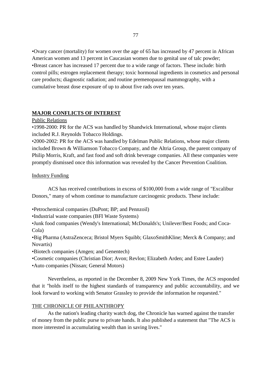•Ovary cancer (mortality) for women over the age of 65 has increased by 47 percent in African American women and 13 percent in Caucasian women due to genital use of talc powder; •Breast cancer has increased 17 percent due to a wide range of factors. These include: birth control pills; estrogen replacement therapy; toxic hormonal ingredients in cosmetics and personal care products; diagnostic radiation; and routine premenopausal mammography, with a cumulative breast dose exposure of up to about five rads over ten years.

## **MAJOR CONFLICTS OF INTEREST**

Public Relations

•1998-2000: PR for the ACS was handled by Shandwick International, whose major clients included R.J. Reynolds Tobacco Holdings.

•2000-2002: PR for the ACS was handled by Edelman Public Relations, whose major clients included Brown & Williamson Tobacco Company, and the Altria Group, the parent company of Philip Morris, Kraft, and fast food and soft drink beverage companies. All these companies were promptly dismissed once this information was revealed by the Cancer Prevention Coalition.

## Industry Funding

 ACS has received contributions in excess of \$100,000 from a wide range of "Excalibur Donors," many of whom continue to manufacture carcinogenic products. These include:

•Petrochemical companies (DuPont; BP; and Pennzoil)

•Industrial waste companies (BFI Waste Systems)

•Junk food companies (Wendy's International; McDonalds's; Unilever/Best Foods; and Coca-Cola)

•Big Pharma (AstraZenceca; Bristol Myers Squibb; GlaxoSmithKline; Merck & Company; and Novartis)

•Biotech companies (Amgen; and Genentech)

•Cosmetic companies (Christian Dior; Avon; Revlon; Elizabeth Arden; and Estee Lauder)

•Auto companies (Nissan; General Motors)

 Nevertheless, as reported in the December 8, 2009 New York Times, the ACS responded that it "holds itself to the highest standards of transparency and public accountability, and we look forward to working with Senator Grassley to provide the information he requested."

## THE CHRONICLE OF PHILANTHROPY

 As the nation's leading charity watch dog, the Chronicle has warned against the transfer of money from the public purse to private hands. It also published a statement that "The ACS is more interested in accumulating wealth than in saving lives."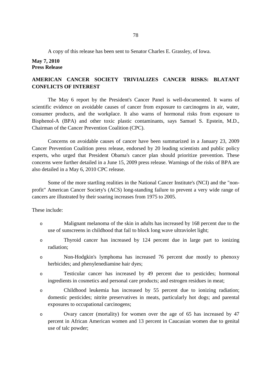A copy of this release has been sent to Senator Charles E. Grassley, of Iowa.

### **May 7, 2010 Press Release**

# **AMERICAN CANCER SOCIETY TRIVIALIZES CANCER RISKS: BLATANT CONFLICTS OF INTEREST**

The May 6 report by the President's Cancer Panel is well-documented. It warns of scientific evidence on avoidable causes of cancer from exposure to carcinogens in air, water, consumer products, and the workplace. It also warns of hormonal risks from exposure to Bisphenol-A (BPA) and other toxic plastic contaminants, says Samuel S. Epstein, M.D., Chairman of the Cancer Prevention Coalition (CPC).

 Concerns on avoidable causes of cancer have been summarized in a January 23, 2009 Cancer Prevention Coalition press release, endorsed by 20 leading scientists and public policy experts, who urged that President Obama's cancer plan should prioritize prevention. These concerns were further detailed in a June 15, 2009 press release. Warnings of the risks of BPA are also detailed in a May 6, 2010 CPC release.

 Some of the more startling realities in the National Cancer Institute's (NCI) and the "nonprofit" American Cancer Society's (ACS) long-standing failure to prevent a very wide range of cancers are illustrated by their soaring increases from 1975 to 2005.

These include:

- o Malignant melanoma of the skin in adults has increased by 168 percent due to the use of sunscreens in childhood that fail to block long wave ultraviolet light;
- o Thyroid cancer has increased by 124 percent due in large part to ionizing radiation;
- o Non-Hodgkin's lymphoma has increased 76 percent due mostly to phenoxy herbicides; and phenylenediamine hair dyes;
- o Testicular cancer has increased by 49 percent due to pesticides; hormonal ingredients in cosmetics and personal care products; and estrogen residues in meat;
- o Childhood leukemia has increased by 55 percent due to ionizing radiation; domestic pesticides; nitrite preservatives in meats, particularly hot dogs; and parental exposures to occupational carcinogens;
- o Ovary cancer (mortality) for women over the age of 65 has increased by 47 percent in African American women and 13 percent in Caucasian women due to genital use of talc powder;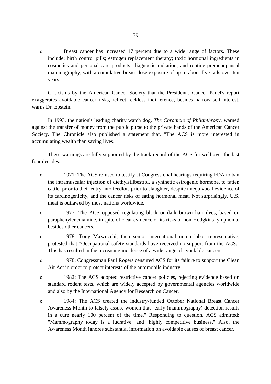o Breast cancer has increased 17 percent due to a wide range of factors. These include: birth control pills; estrogen replacement therapy; toxic hormonal ingredients in cosmetics and personal care products; diagnostic radiation; and routine premenopausal mammography, with a cumulative breast dose exposure of up to about five rads over ten years.

 Criticisms by the American Cancer Society that the President's Cancer Panel's report exaggerates avoidable cancer risks, reflect reckless indifference, besides narrow self-interest, warns Dr. Epstein.

 In 1993, the nation's leading charity watch dog, *The Chronicle of Philanthropy*, warned against the transfer of money from the public purse to the private hands of the American Cancer Society. The Chronicle also published a statement that, "The ACS is more interested in accumulating wealth than saving lives."

 These warnings are fully supported by the track record of the ACS for well over the last four decades.

- o 1971: The ACS refused to testify at Congressional hearings requiring FDA to ban the intramuscular injection of diethylstilbestrol, a synthetic estrogenic hormone, to fatten cattle, prior to their entry into feedlots prior to slaughter, despite unequivocal evidence of its carcinogenicity, and the cancer risks of eating hormonal meat. Not surprisingly, U.S. meat is outlawed by most nations worldwide.
- o 1977: The ACS opposed regulating black or dark brown hair dyes, based on paraphenylenediamine, in spite of clear evidence of its risks of non-Hodgkins lymphoma, besides other cancers.
- o 1978: Tony Mazzocchi, then senior international union labor representative, protested that "Occupational safety standards have received no support from the ACS." This has resulted in the increasing incidence of a wide range of avoidable cancers.
- o 1978: Congressman Paul Rogers censured ACS for its failure to support the Clean Air Act in order to protect interests of the automobile industry.
- o 1982: The ACS adopted restrictive cancer policies, rejecting evidence based on standard rodent tests, which are widely accepted by governmental agencies worldwide and also by the International Agency for Research on Cancer.
- o 1984: The ACS created the industry-funded October National Breast Cancer Awareness Month to falsely assure women that "early (mammography) detection results in a cure nearly 100 percent of the time." Responding to question, ACS admitted: "Mammography today is a lucrative [and] highly competitive business." Also, the Awareness Month ignores substantial information on avoidable causes of breast cancer.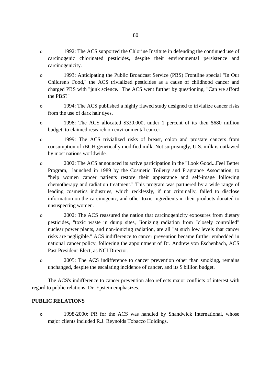o 1992: The ACS supported the Chlorine Institute in defending the continued use of carcinogenic chlorinated pesticides, despite their environmental persistence and carcinogenicity.

- o 1993: Anticipating the Public Broadcast Service (PBS) Frontline special "In Our Children's Food," the ACS trivialized pesticides as a cause of childhood cancer and charged PBS with "junk science." The ACS went further by questioning, "Can we afford the PBS?"
- o 1994: The ACS published a highly flawed study designed to trivialize cancer risks from the use of dark hair dyes.
- o 1998: The ACS allocated \$330,000, under 1 percent of its then \$680 million budget, to claimed research on environmental cancer.
- o 1999: The ACS trivialized risks of breast, colon and prostate cancers from consumption of rBGH genetically modified milk. Not surprisingly, U.S. milk is outlawed by most nations worldwide.
- o 2002: The ACS announced its active participation in the "Look Good...Feel Better Program," launched in 1989 by the Cosmetic Toiletry and Fragrance Association, to "help women cancer patients restore their appearance and self-image following chemotherapy and radiation treatment." This program was partnered by a wide range of leading cosmetics industries, which recklessly, if not criminally, failed to disclose information on the carcinogenic, and other toxic ingredients in their products donated to unsuspecting women.
- o 2002: The ACS reassured the nation that carcinogenicity exposures from dietary pesticides, "toxic waste in dump sites, "ionizing radiation from "closely controlled" nuclear power plants, and non-ionizing radiation, are all "at such low levels that cancer risks are negligible." ACS indifference to cancer prevention became further embedded in national cancer policy, following the appointment of Dr. Andrew von Eschenbach, ACS Past President-Elect, as NCI Director.
- o 2005: The ACS indifference to cancer prevention other than smoking, remains unchanged, despite the escalating incidence of cancer, and its \$ billion budget.

 The ACS's indifference to cancer prevention also reflects major conflicts of interest with regard to public relations, Dr. Epstein emphasizes.

## **PUBLIC RELATIONS**

o 1998-2000: PR for the ACS was handled by Shandwick International, whose major clients included R.J. Reynolds Tobacco Holdings.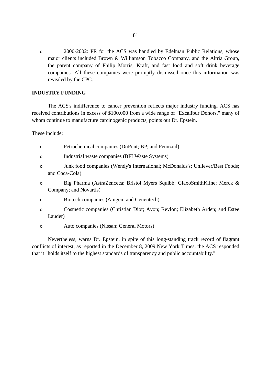o 2000-2002: PR for the ACS was handled by Edelman Public Relations, whose major clients included Brown & Williamson Tobacco Company, and the Altria Group, the parent company of Philip Morris, Kraft, and fast food and soft drink beverage companies. All these companies were promptly dismissed once this information was revealed by the CPC.

## **INDUSTRY FUNDING**

 The ACS's indifference to cancer prevention reflects major industry funding. ACS has received contributions in excess of \$100,000 from a wide range of "Excalibur Donors," many of whom continue to manufacture carcinogenic products, points out Dr. Epstein.

These include:

- o Petrochemical companies (DuPont; BP; and Pennzoil)
- o Industrial waste companies (BFI Waste Systems)
- o Junk food companies (Wendy's International; McDonalds's; Unilever/Best Foods; and Coca-Cola)
- o Big Pharma (AstraZenceca; Bristol Myers Squibb; GlaxoSmithKline; Merck & Company; and Novartis)
- o Biotech companies (Amgen; and Genentech)
- o Cosmetic companies (Christian Dior; Avon; Revlon; Elizabeth Arden; and Estee Lauder)
- o Auto companies (Nissan; General Motors)

 Nevertheless, warns Dr. Epstein, in spite of this long-standing track record of flagrant conflicts of interest, as reported in the December 8, 2009 New York Times, the ACS responded that it "holds itself to the highest standards of transparency and public accountability."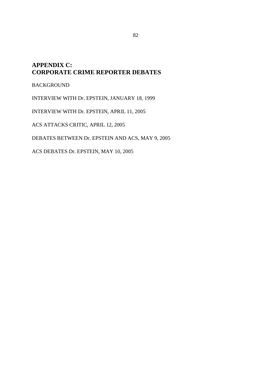# **APPENDIX C: CORPORATE CRIME REPORTER DEBATES**

BACKGROUND

INTERVIEW WITH Dr. EPSTEIN, JANUARY 18, 1999

INTERVIEW WITH Dr. EPSTEIN, APRIL 11, 2005

ACS ATTACKS CRITIC, APRIL 12, 2005

DEBATES BETWEEN Dr. EPSTEIN AND ACS, MAY 9, 2005

ACS DEBATES Dr. EPSTEIN, MAY 10, 2005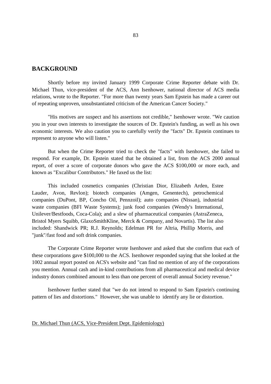## **BACKGROUND**

 Shortly before my invited January 1999 Corporate Crime Reporter debate with Dr. Michael Thun, vice-president of the ACS, Ann Isenhower, national director of ACS media relations, wrote to the Reporter. "For more than twenty years Sam Epstein has made a career out of repeating unproven, unsubstantiated criticism of the American Cancer Society."

 "His motives are suspect and his assertions not credible," Isenhower wrote. "We caution you in your own interests to investigate the sources of Dr. Epstein's funding, as well as his own economic interests. We also caution you to carefully verify the "facts" Dr. Epstein continues to represent to anyone who will listen."

 But when the Crime Reporter tried to check the "facts" with Isenhower, she failed to respond. For example, Dr. Epstein stated that he obtained a list, from the ACS 2000 annual report, of over a score of corporate donors who gave the ACS \$100,000 or more each, and known as "Excalibur Contributors." He faxed us the list:

 This included cosmetics companies (Christian Dior, Elizabeth Arden, Estee Lauder, Avon, Revlon); biotech companies (Amgen, Genentech), petrochemical companies (DuPont, BP, Concho Oil, Pennzoil); auto companies (Nissan), industrial waste companies (BFI Waste Systems); junk food companies (Wendy's International, Unilever/Bestfoods, Coca-Cola); and a slew of pharmaceutical companies (AstraZeneca, Bristol Myers Squibb, GlaxoSmithKline, Merck & Company, and Novartis). The list also included: Shandwick PR; R.J. Reynolds; Edelman PR for Altria, Phillip Morris, and "junk"/fast food and soft drink companies.

 The Corporate Crime Reporter wrote Isenhower and asked that she confirm that each of these corporations gave \$100,000 to the ACS. Isenhower responded saying that she looked at the 1002 annual report posted on ACS's website and "can find no mention of any of the corporations you mention. Annual cash and in-kind contributions from all pharmaceutical and medical device industry donors combined amount to less than one percent of overall annual Society revenue."

 Isenhower further stated that "we do not intend to respond to Sam Epstein's continuing pattern of lies and distortions." However, she was unable to identify any lie or distortion.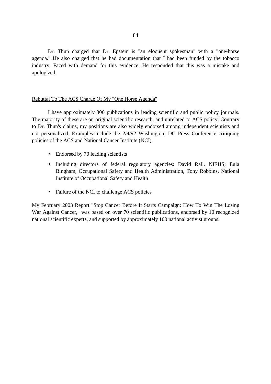Dr. Thun charged that Dr. Epstein is "an eloquent spokesman" with a "one-horse agenda." He also charged that he had documentation that I had been funded by the tobacco industry. Faced with demand for this evidence. He responded that this was a mistake and apologized.

#### Rebuttal To The ACS Charge Of My "One Horse Agenda"

 I have approximately 300 publications in leading scientific and public policy journals. The majority of these are on original scientific research, and unrelated to ACS policy. Contrary to Dr. Thun's claims, my positions are also widely endorsed among independent scientists and not personalized. Examples include the 2/4/92 Washington, DC Press Conference critiquing policies of the ACS and National Cancer Institute (NCI).

- Endorsed by 70 leading scientists
- Including directors of federal regulatory agencies: David Rall, NIEHS; Eula Bingham, Occupational Safety and Health Administration, Tony Robbins, National Institute of Occupational Safety and Health
- Failure of the NCI to challenge ACS policies

My February 2003 Report "Stop Cancer Before It Starts Campaign: How To Win The Losing War Against Cancer," was based on over 70 scientific publications, endorsed by 10 recognized national scientific experts, and supported by approximately 100 national activist groups.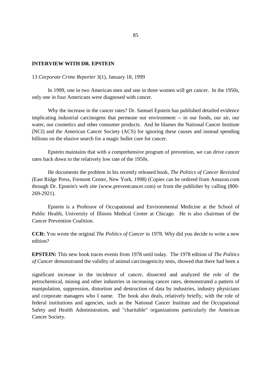### **INTERVIEW WITH DR. EPSTEIN**

#### 13 *Corporate Crime Reporter* 3(1), January 18, 1999

 In 1999, one in two American men and one in three women will get cancer. In the 1950s, only one in four Americans were diagnosed with cancer.

 Why the increase in the cancer rates? Dr. Samuel Epstein has published detailed evidence implicating industrial carcinogens that permeate our environment -- in our foods, our air, our water, our cosmetics and other consumer products. And he blames the National Cancer Institute (NCI) and the American Cancer Society (ACS) for ignoring these causes and instead spending billions on the elusive search for a magic bullet cure for cancer.

 Epstein maintains that with a comprehensive program of prevention, we can drive cancer rates back down to the relatively low rate of the 1950s.

 He documents the problem in his recently released book, *The Politics of Cancer Revisited* (East Ridge Press, Fremont Center, New York, 1998) (Copies can be ordered from Amazon.com through Dr. Epstein's web site (www.preventcancer.com) or from the publisher by calling (800- 269-2921).

 Epstein is a Professor of Occupational and Environmental Medicine at the School of Public Health, University of Illinois Medical Center at Chicago. He is also chairman of the Cancer Prevention Coalition.

**CCR:** You wrote the original *The Politics of Cancer* in 1978. Why did you decide to write a new edition?

**EPSTEIN:** This new book traces events from 1978 until today. The 1978 edition of *The Politics of Cancer* demonstrated the validity of animal carcinogenicity tests, showed that there had been a

significant increase in the incidence of cancer, dissected and analyzed the role of the petrochemical, mining and other industries in increasing cancer rates, demonstrated a pattern of manipulation, suppression, distortion and destruction of data by industries, industry physicians and corporate managers who I name. The book also deals, relatively briefly, with the role of federal institutions and agencies, such as the National Cancer Institute and the Occupational Safety and Health Administration, and "charitable" organizations particularly the American Cancer Society.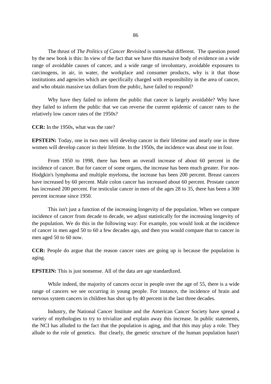The thrust of *The Politics of Cancer Revisited* is somewhat different. The question posed by the new book is this: In view of the fact that we have this massive body of evidence on a wide range of avoidable causes of cancer, and a wide range of involuntary, avoidable exposures to carcinogens, in air, in water, the workplace and consumer products, why is it that those institutions and agencies which are specifically charged with responsibility in the area of cancer, and who obtain massive tax dollars from the public, have failed to respond?

 Why have they failed to inform the public that cancer is largely avoidable? Why have they failed to inform the public that we can reverse the current epidemic of cancer rates to the relatively low cancer rates of the 1950s?

**CCR:** In the 1950s, what was the rate?

**EPSTEIN:** Today, one in two men will develop cancer in their lifetime and nearly one in three women will develop cancer in their lifetime. In the 1950s, the incidence was about one in four.

 From 1950 to 1998, there has been an overall increase of about 60 percent in the incidence of cancer. But for cancer of some organs, the increase has been much greater. For non-Hodgkin's lymphoma and multiple myeloma, the increase has been 200 percent. Breast cancers have increased by 60 percent. Male colon cancer has increased about 60 percent. Prostate cancer has increased 200 percent. For testicular cancer in men of the ages 28 to 35, there has been a 300 percent increase since 1950.

 This isn't just a function of the increasing longevity of the population. When we compare incidence of cancer from decade to decade, we adjust statistically for the increasing longevity of the population. We do this in the following way: For example, you would look at the incidence of cancer in men aged 50 to 60 a few decades ago, and then you would compare that to cancer in men aged 50 to 60 now.

**CCR:** People do argue that the reason cancer rates are going up is because the population is aging.

**EPSTEIN:** This is just nonsense. All of the data are age standardized.

 While indeed, the majority of cancers occur in people over the age of 55, there is a wide range of cancers we see occurring in young people. For instance, the incidence of brain and nervous system cancers in children has shot up by 40 percent in the last three decades.

 Industry, the National Cancer Institute and the American Cancer Society have spread a variety of mythologies to try to trivialize and explain away this increase. In public statements, the NCI has alluded to the fact that the population is aging, and that this may play a role. They allude to the role of genetics. But clearly, the genetic structure of the human population hasn't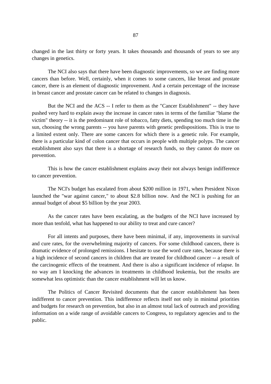changed in the last thirty or forty years. It takes thousands and thousands of years to see any changes in genetics.

 The NCI also says that there have been diagnostic improvements, so we are finding more cancers than before. Well, certainly, when it comes to some cancers, like breast and prostate cancer, there is an element of diagnostic improvement. And a certain percentage of the increase in breast cancer and prostate cancer can be related to changes in diagnosis.

 But the NCI and the ACS -- I refer to them as the "Cancer Establishment" -- they have pushed very hard to explain away the increase in cancer rates in terms of the familiar "blame the victim" theory -- it is the predominant role of tobacco, fatty diets, spending too much time in the sun, choosing the wrong parents -- you have parents with genetic predispositions. This is true to a limited extent only. There are some cancers for which there is a genetic role. For example, there is a particular kind of colon cancer that occurs in people with multiple polyps. The cancer establishment also says that there is a shortage of research funds, so they cannot do more on prevention.

 This is how the cancer establishment explains away their not always benign indifference to cancer prevention.

 The NCI's budget has escalated from about \$200 million in 1971, when President Nixon launched the "war against cancer," to about \$2.8 billion now. And the NCI is pushing for an annual budget of about \$5 billion by the year 2003.

 As the cancer rates have been escalating, as the budgets of the NCI have increased by more than tenfold, what has happened to our ability to treat and cure cancer?

 For all intents and purposes, there have been minimal, if any, improvements in survival and cure rates, for the overwhelming majority of cancers. For some childhood cancers, there is dramatic evidence of prolonged remissions. I hesitate to use the word cure rates, because there is a high incidence of second cancers in children that are treated for childhood cancer -- a result of the carcinogenic effects of the treatment. And there is also a significant incidence of relapse. In no way am I knocking the advances in treatments in childhood leukemia, but the results are somewhat less optimistic than the cancer establishment will let us know.

 The Politics of Cancer Revisited documents that the cancer establishment has been indifferent to cancer prevention. This indifference reflects itself not only in minimal priorities and budgets for research on prevention, but also in an almost total lack of outreach and providing information on a wide range of avoidable cancers to Congress, to regulatory agencies and to the public.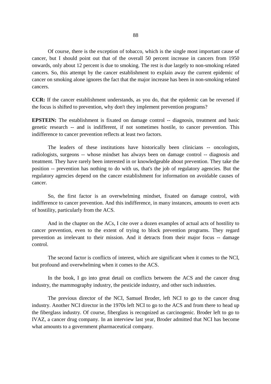Of course, there is the exception of tobacco, which is the single most important cause of cancer, but I should point out that of the overall 50 percent increase in cancers from 1950 onwards, only about 12 percent is due to smoking. The rest is due largely to non-smoking related cancers. So, this attempt by the cancer establishment to explain away the current epidemic of cancer on smoking alone ignores the fact that the major increase has been in non-smoking related cancers.

**CCR:** If the cancer establishment understands, as you do, that the epidemic can be reversed if the focus is shifted to prevention, why don't they implement prevention programs?

**EPSTEIN:** The establishment is fixated on damage control -- diagnosis, treatment and basic genetic research -- and is indifferent, if not sometimes hostile, to cancer prevention. This indifference to cancer prevention reflects at least two factors.

 The leaders of these institutions have historically been clinicians -- oncologists, radiologists, surgeons -- whose mindset has always been on damage control -- diagnosis and treatment. They have rarely been interested in or knowledgeable about prevention. They take the position -- prevention has nothing to do with us, that's the job of regulatory agencies. But the regulatory agencies depend on the cancer establishment for information on avoidable causes of cancer.

 So, the first factor is an overwhelming mindset, fixated on damage control, with indifference to cancer prevention. And this indifference, in many instances, amounts to overt acts of hostility, particularly from the ACS.

 And in the chapter on the ACs, I cite over a dozen examples of actual acts of hostility to cancer prevention, even to the extent of trying to block prevention programs. They regard prevention as irrelevant to their mission. And it detracts from their major focus -- damage control.

 The second factor is conflicts of interest, which are significant when it comes to the NCI, but profound and overwhelming when it comes to the ACS.

 In the book, I go into great detail on conflicts between the ACS and the cancer drug industry, the mammography industry, the pesticide industry, and other such industries.

 The previous director of the NCI, Samuel Broder, left NCI to go to the cancer drug industry. Another NCI director in the 1970s left NCI to go to the ACS and from there to head up the fiberglass industry. Of course, fiberglass is recognized as carcinogenic. Broder left to go to IVAZ, a cancer drug company. In an interview last year, Broder admitted that NCI has become what amounts to a government pharmaceutical company.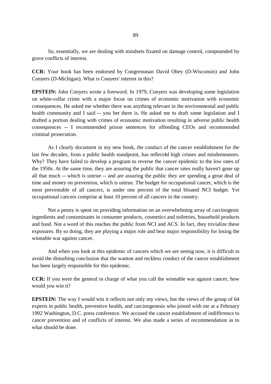So, essentially, we are dealing with mindsets fixated on damage control, compounded by grave conflicts of interest.

**CCR:** Your book has been endorsed by Congressman David Obey (D-Wisconsin) and John Conyers (D-Michigan). What is Conyers' interest in this?

**EPSTEIN:** John Conyers wrote a foreword. In 1979, Conyers was developing some legislation on white-collar crime with a major focus on crimes of economic motivation with economic consequences. He asked me whether there was anything relevant in the environmental and public health community and I said -- you bet there is. He asked me to draft some legislation and I drafted a portion dealing with crimes of economic motivation resulting in adverse public health consequences -- I recommended prison sentences for offending CEOs and recommended criminal prosecution.

 As I clearly document in my new book, the conduct of the cancer establishment for the last few decades, from a public health standpoint, has reflect4d high crimes and misdemeanors. Why? They have failed to develop a program to reverse the cancer epidemic to the low rates of the 1950s. At the same time, they are assuring the public that cancer rates really haven't gone up all that much -- which is untrue -- and are assuring the public they are spending a great deal of time and money on prevention, which is untrue. The budget for occupational cancer, which is the most preventable of all cancers, is under one percent of the total bloated NCI budget. Yet occupational cancers comprise at least 10 percent of all cancers in the country.

 Not a penny is spent on providing information on an overwhelming array of carcinogenic ingredients and contaminants in consumer products, cosmetics and toiletries, household products and food. Not a word of this reaches the public from NCI and ACS. In fact, they trivialize these exposures. By so doing, they are playing a major role and bear major responsibility for losing the winnable war against cancer.

 And when you look at this epidemic of cancers which we are seeing now, it is difficult to avoid the disturbing conclusion that the wanton and reckless conduct of the cancer establishment has been largely responsible for this epidemic.

**CCR:** If you were the general in charge of what you call the winnable war against cancer, how would you win it?

**EPSTEIN:** The way I would win it reflects not only my views, but the views of the group of 64 experts in public health, preventive health, and carcinogenesis who joined with me at a February 1992 Washington, D.C. press conference. We accused the cancer establishment of indifference to cancer prevention and of conflicts of interest. We also made a series of recommendation as to what should be done.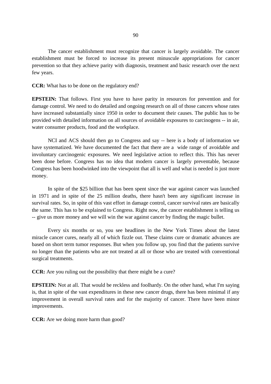The cancer establishment must recognize that cancer is largely avoidable. The cancer establishment must be forced to increase its present minuscule appropriations for cancer prevention so that they achieve parity with diagnosis, treatment and basic research over the next few years.

**CCR:** What has to be done on the regulatory end?

**EPSTEIN:** That follows. First you have to have parity in resources for prevention and for damage control. We need to do detailed and ongoing research on all of those cancers whose rates have increased substantially since 1950 in order to document their causes. The public has to be provided with detailed information on all sources of avoidable exposures to carcinogens -- in air, water consumer products, food and the workplace.

 NCI and ACS should then go to Congress and say -- here is a body of information we have systematized. We have documented the fact that there are a wide range of avoidable and involuntary carcinogenic exposures. We need legislative action to reflect this. This has never been done before. Congress has no idea that modern cancer is largely preventable, because Congress has been hoodwinked into the viewpoint that all is well and what is needed is just more money.

 In spite of the \$25 billion that has been spent since the war against cancer was launched in 1971 and in spite of the 25 million deaths, there hasn't been any significant increase in survival rates. So, in spite of this vast effort in damage control, cancer survival rates are basically the same. This has to be explained to Congress. Right now, the cancer establishment is telling us -- give us more money and we will win the war against cancer by finding the magic bullet.

 Every six months or so, you see headlines in the New York Times about the latest miracle cancer cures, nearly all of which fizzle out. These claims cure or dramatic advances are based on short term tumor responses. But when you follow up, you find that the patients survive no longer than the patients who are not treated at all or those who are treated with conventional surgical treatments.

**CCR:** Are you ruling out the possibility that there might be a cure?

**EPSTEIN:** Not at all. That would be reckless and foolhardy. On the other hand, what I'm saying is, that in spite of the vast expenditures in these new cancer drugs, there has been minimal if any improvement in overall survival rates and for the majority of cancer. There have been minor improvements.

**CCR:** Are we doing more harm than good?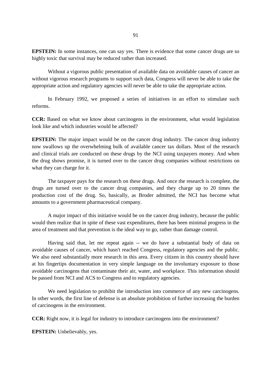**EPSTEIN:** In some instances, one can say yes. There is evidence that some cancer drugs are so highly toxic that survival may be reduced rather than increased.

 Without a vigorous public presentation of available data on avoidable causes of cancer an without vigorous research programs to support such data, Congress will never be able to take the appropriate action and regulatory agencies will never be able to take the appropriate action.

 In February 1992, we proposed a series of initiatives in an effort to stimulate such reforms.

**CCR:** Based on what we know about carcinogens in the environment, what would legislation look like and which industries would be affected?

**EPSTEIN:** The major impact would be on the cancer drug industry. The cancer drug industry now swallows up the overwhelming bulk of available cancer tax dollars. Most of the research and clinical trials are conducted on these drugs by the NCI using taxpayers money. And when the drug shows promise, it is turned over to the cancer drug companies without restrictions on what they can charge for it.

 The taxpayer pays for the research on these drugs. And once the research is complete, the drugs are turned over to the cancer drug companies, and they charge up to 20 times the production cost of the drug. So, basically, as Broder admitted, the NCI has become what amounts to a government pharmaceutical company.

 A major impact of this initiative would be on the cancer drug industry, because the public would then realize that in spite of these vast expenditures, there has been minimal progress in the area of treatment and that prevention is the ideal way to go, rather than damage control.

 Having said that, let me repeat again -- we do have a substantial body of data on avoidable causes of cancer, which hasn't reached Congress, regulatory agencies and the public. We also need substantially more research in this area. Every citizen in this country should have at his fingertips documentation in very simple language on the involuntary exposure to those avoidable carcinogens that contaminate their air, water, and workplace. This information should be passed from NCI and ACS to Congress and to regulatory agencies.

 We need legislation to prohibit the introduction into commerce of any new carcinogens. In other words, the first line of defense is an absolute prohibition of further increasing the burden of carcinogens in the environment.

**CCR:** Right now, it is legal for industry to introduce carcinogens into the environment?

**EPSTEIN:** Unbelievably, yes.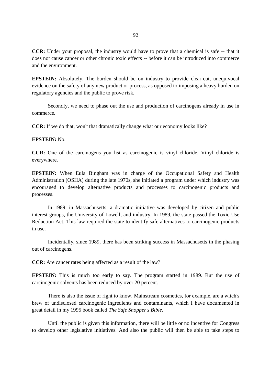**CCR:** Under your proposal, the industry would have to prove that a chemical is safe -- that it does not cause cancer or other chronic toxic effects -- before it can be introduced into commerce and the environment.

**EPSTEIN:** Absolutely. The burden should be on industry to provide clear-cut, unequivocal evidence on the safety of any new product or process, as opposed to imposing a heavy burden on regulatory agencies and the public to prove risk.

 Secondly, we need to phase out the use and production of carcinogens already in use in commerce.

**CCR:** If we do that, won't that dramatically change what our economy looks like?

### **EPSTEIN:** No.

**CCR:** One of the carcinogens you list as carcinogenic is vinyl chloride. Vinyl chloride is everywhere.

**EPSTEIN:** When Eula Bingham was in charge of the Occupational Safety and Health Administration (OSHA) during the late 1970s, she initiated a program under which industry was encouraged to develop alternative products and processes to carcinogenic products and processes.

 In 1989, in Massachusetts, a dramatic initiative was developed by citizen and public interest groups, the University of Lowell, and industry. In 1989, the state passed the Toxic Use Reduction Act. This law required the state to identify safe alternatives to carcinogenic products in use.

 Incidentally, since 1989, there has been striking success in Massachusetts in the phasing out of carcinogens.

**CCR:** Are cancer rates being affected as a result of the law?

**EPSTEIN:** This is much too early to say. The program started in 1989. But the use of carcinogenic solvents has been reduced by over 20 percent.

 There is also the issue of right to know. Mainstream cosmetics, for example, are a witch's brew of undisclosed carcinogenic ingredients and contaminants, which I have documented in great detail in my 1995 book called *The Safe Shopper's Bible*.

 Until the public is given this information, there will be little or no incentive for Congress to develop other legislative initiatives. And also the public will then be able to take steps to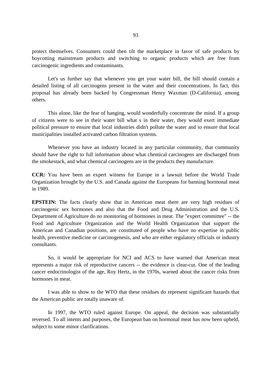protect themselves. Consumers could then tilt the marketplace in favor of safe products by boycotting mainstream products and switching to organic products which are free from carcinogenic ingredients and contaminants.

 Let's us further say that whenever you get your water bill, the bill should contain a detailed listing of all carcinogens present in the water and their concentrations. In fact, this proposal has already been backed by Congressman Henry Waxman (D-California), among others.

 This alone, like the fear of hanging, would wonderfully concentrate the mind. If a group of citizens were to see in their water bill what s in their water, they would exert immediate political pressure to ensure that local industries didn't pollute the water and to ensure that local municipalities installed activated carbon filtration systems.

Whenever you have an industry located in any particular community, that community should have the right to full information about what chemical carcinogens are discharged from the smokestack, and what chemical carcinogens are in the products they manufacture.

**CCR:** You have been an expert witness for Europe in a lawsuit before the World Trade Organization brought by the U.S. and Canada against the Europeans for banning hormonal meat in 1989.

**EPSTEIN:** The facts clearly show that in American meat there are very high residues of carcinogenic sex hormones and also that the Food and Drug Administration and the U.S. Department of Agriculture do no monitoring of hormones in meat. The "expert committee" -- the Food and Agriculture Organization and the World Health Organization that support the American and Canadian positions, are constituted of people who have no expertise in public health, preventive medicine or carcinogenesis, and who are either regulatory officials or industry consultants.

 So, it would be appropriate for NCI and ACS to have warned that American meat represents a major risk of reproductive cancers -- the evidence is clear-cut. One of the leading cancer endocrinologist of the age, Roy Hertz, in the 1970s, warned about the cancer risks from hormones in meat.

 I was able to show to the WTO that these residues do represent significant hazards that the American public are totally unaware of.

 In 1997, the WTO ruled against Europe. On appeal, the decision was substantially reversed. To all intents and purposes, the European ban on hormonal meat has now been upheld, subject to some minor clarifications.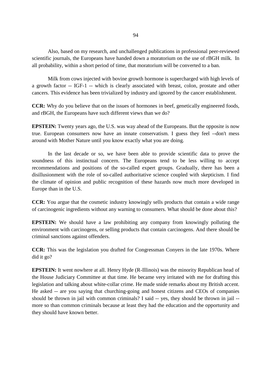Also, based on my research, and unchallenged publications in professional peer-reviewed scientific journals, the Europeans have handed down a moratorium on the use of rBGH milk. In all probability, within a short period of time, that moratorium will be converted to a ban.

 Milk from cows injected with bovine growth hormone is supercharged with high levels of a growth factor -- IGF-1 -- which is clearly associated with breast, colon, prostate and other cancers. This evidence has been trivialized by industry and ignored by the cancer establishment.

**CCR:** Why do you believe that on the issues of hormones in beef, genetically engineered foods, and rBGH, the Europeans have such different views than we do?

**EPSTEIN:** Twenty years ago, the U.S. was way ahead of the Europeans. But the opposite is now true. European consumers now have an innate conservatism. I guess they feel --don't mess around with Mother Nature until you know exactly what you are doing.

 In the last decade or so, we have been able to provide scientific data to prove the soundness of this instinctual concern. The Europeans tend to be less willing to accept recommendations and positions of the so-called expert groups. Gradually, there has been a disillusionment with the role of so-called authoritative science coupled with skepticism. I find the climate of opinion and public recognition of these hazards now much more developed in Europe than in the U.S.

**CCR:** You argue that the cosmetic industry knowingly sells products that contain a wide range of carcinogenic ingredients without any warning to consumers. What should be done about this?

**EPSTEIN:** We should have a law prohibiting any company from knowingly polluting the environment with carcinogens, or selling products that contain carcinogens. And there should be criminal sanctions against offenders.

**CCR:** This was the legislation you drafted for Congressman Conyers in the late 1970s. Where did it go?

**EPSTEIN:** It went nowhere at all. Henry Hyde (R-Illinois) was the minority Republican head of the House Judiciary Committee at that time. He became very irritated with me for drafting this legislation and talking about white-collar crime. He made snide remarks about my British accent. He asked -- are you saying that churching-going and honest citizens and CEOs of companies should be thrown in jail with common criminals? I said -- yes, they should be thrown in jail - more so than common criminals because at least they had the education and the opportunity and they should have known better.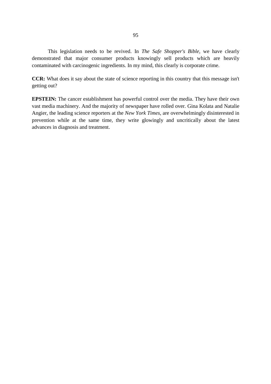This legislation needs to be revived. In *The Safe Shopper's Bible*, we have clearly demonstrated that major consumer products knowingly sell products which are heavily contaminated with carcinogenic ingredients. In my mind, this clearly is corporate crime.

**CCR:** What does it say about the state of science reporting in this country that this message isn't getting out?

**EPSTEIN:** The cancer establishment has powerful control over the media. They have their own vast media machinery. And the majority of newspaper have rolled over. Gina Kolata and Natalie Angier, the leading science reporters at the *New York Times*, are overwhelmingly disinterested in prevention while at the same time, they write glowingly and uncritically about the latest advances in diagnosis and treatment.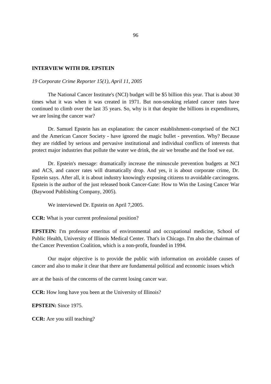### **INTERVIEW WITH DR. EPSTEIN**

#### *19 Corporate Crime Reporter 15(1), April 11, 2005*

 The National Cancer Institute's (NCI) budget will be \$5 billion this year. That is about 30 times what it was when it was created in 1971. But non-smoking related cancer rates have continued to climb over the last 35 years. So, why is it that despite the billions in expenditures, we are losing the cancer war?

 Dr. Samuel Epstein has an explanation: the cancer establishment-comprised of the NCI and the American Cancer Society - have ignored the magic bullet - prevention. Why? Because they are riddled by serious and pervasive institutional and individual conflicts of interests that protect major industries that pollute the water we drink, the air we breathe and the food we eat.

 Dr. Epstein's message: dramatically increase the minuscule prevention budgets at NCI and ACS, and cancer rates will dramatically drop. And yes, it is about corporate crime, Dr. Epstein says. After all, it is about industry knowingly exposing citizens to avoidable carcinogens. Epstein is the author of the just released book Cancer-Gate: How to Win the Losing Cancer War (Baywood Publishing Company, 2005).

We interviewed Dr. Epstein on April 7,2005.

**CCR:** What is your current professional position?

**EPSTEIN:** I'm professor emeritus of environmental and occupational medicine, School of Public Health, University of Illinois Medical Center. That's in Chicago. I'm also the chairman of the Cancer Prevention Coalition, which is a non-profit, founded in 1994.

 Our major objective is to provide the public with information on avoidable causes of cancer and also to make it clear that there are fundamental political and economic issues which

are at the basis of the concerns of the current losing cancer war.

**CCR:** How long have you been at the University of Illinois?

**EPSTEIN:** Since 1975.

**CCR:** Are you still teaching?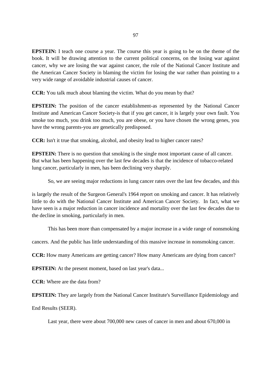**EPSTEIN:** I teach one course a year. The course this year is going to be on the theme of the book. It will be drawing attention to the current political concerns, on the losing war against cancer, why we are losing the war against cancer, the role of the National Cancer Institute and the American Cancer Society in blaming the victim for losing the war rather than pointing to a very wide range of avoidable industrial causes of cancer.

**CCR:** You talk much about blaming the victim. What do you mean by that?

**EPSTEIN:** The position of the cancer establishment-as represented by the National Cancer Institute and American Cancer Society-is that if you get cancer, it is largely your own fault. You smoke too much, you drink too much, you are obese, or you have chosen the wrong genes, you have the wrong parents-you are genetically predisposed.

**CCR:** Isn't it true that smoking, alcohol, and obesity lead to higher cancer rates?

**EPSTEIN:** There is no question that smoking is the single most important cause of all cancer. But what has been happening over the last few decades is that the incidence of tobacco-related lung cancer, particularly in men, has been declining very sharply.

So, we are seeing major reductions in lung cancer rates over the last few decades, and this

is largely the result of the Surgeon General's 1964 report on smoking and cancer. It has relatively little to do with the National Cancer Institute and American Cancer Society. In fact, what we have seen is a major reduction in cancer incidence and mortality over the last few decades due to the decline in smoking, particularly in men.

This has been more than compensated by a major increase in a wide range of nonsmoking

cancers. And the public has little understanding of this massive increase in nonsmoking cancer.

**CCR:** How many Americans are getting cancer? How many Americans are dying from cancer?

**EPSTEIN:** At the present moment, based on last year's data...

**CCR:** Where are the data from?

**EPSTEIN:** They are largely from the National Cancer Institute's Surveillance Epidemiology and

End Results (SEER).

Last year, there were about 700,000 new cases of cancer in men and about 670,000 in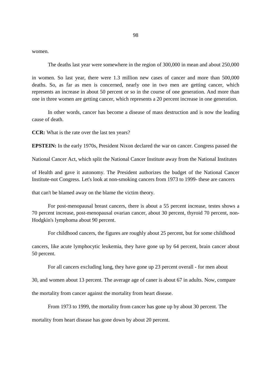women.

The deaths last year were somewhere in the region of 300,000 in mean and about 250,000

in women. So last year, there were 1.3 million new cases of cancer and more than 500,000 deaths. So, as far as men is concerned, nearly one in two men are getting cancer, which represents an increase in about 50 percent or so in the course of one generation. And more than one in three women are getting cancer, which represents a 20 percent increase in one generation.

 In other words, cancer has become a disease of mass destruction and is now the leading cause of death.

**CCR:** What is the rate over the last ten years?

**EPSTEIN:** In the early 1970s, President Nixon declared the war on cancer. Congress passed the

National Cancer Act, which split the National Cancer Institute away from the National Institutes

of Health and gave it autonomy. The President authorizes the budget of the National Cancer Institute-not Congress. Let's look at non-smoking cancers from 1973 to 1999- these are cancers

that can't be blamed away on the blame the victim theory.

 For post-menopausal breast cancers, there is about a 55 percent increase, testes shows a 70 percent increase, post-menopausal ovarian cancer, about 30 percent, thyroid 70 percent, non-Hodgkin's lymphoma about 90 percent.

For childhood cancers, the figures are roughly about 25 percent, but for some childhood

cancers, like acute lymphocytic leukemia, they have gone up by 64 percent, brain cancer about 50 percent.

For all cancers excluding lung, they have gone up 23 percent overall - for men about

30, and women about 13 percent. The average age of caner is about 67 in adults. Now, compare

the mortality from cancer against the mortality from heart disease.

From 1973 to 1999, the mortality from cancer has gone up by about 30 percent. The

mortality from heart disease has gone down by about 20 percent.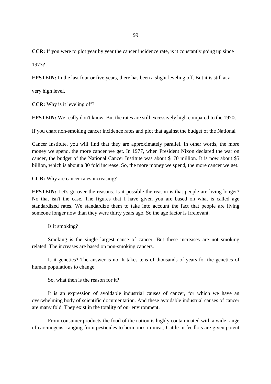**CCR:** If you were to plot year by year the cancer incidence rate, is it constantly going up since

1973?

**EPSTEIN:** In the last four or five years, there has been a slight leveling off. But it is still at a

very high level.

**CCR:** Why is it leveling off?

**EPSTEIN:** We really don't know. But the rates are still excessively high compared to the 1970s.

If you chart non-smoking cancer incidence rates and plot that against the budget of the National

Cancer Institute, you will find that they are approximately parallel. In other words, the more money we spend, the more cancer we get. In 1977, when President Nixon declared the war on cancer, the budget of the National Cancer Institute was about \$170 million. It is now about \$5 billion, which is about a 30 fold increase. So, the more money we spend, the more cancer we get.

**CCR:** Why are cancer rates increasing?

**EPSTEIN:** Let's go over the reasons. Is it possible the reason is that people are living longer? No that isn't the case. The figures that I have given you are based on what is called age standardized rates. We standardize them to take into account the fact that people are living someone longer now than they were thirty years ago. So the age factor is irrelevant.

Is it smoking?

 Smoking is the single largest cause of cancer. But these increases are not smoking related. The increases are based on non-smoking cancers.

 Is it genetics? The answer is no. It takes tens of thousands of years for the genetics of human populations to change.

So, what then is the reason for it?

 It is an expression of avoidable industrial causes of cancer, for which we have an overwhelming body of scientific documentation. And these avoidable industrial causes of cancer are many fold. They exist in the totality of our environment.

 From consumer products-the food of the nation is highly contaminated with a wide range of carcinogens, ranging from pesticides to hormones in meat, Cattle in feedlots are given potent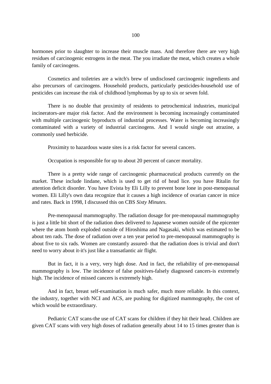hormones prior to slaughter to increase their muscle mass. And therefore there are very high residues of carcinogenic estrogens in the meat. The you irradiate the meat, which creates a whole family of carcinogens.

 Cosmetics and toiletries are a witch's brew of undisclosed carcinogenic ingredients and also precursors of carcinogens. Household products, particularly pesticides-household use of pesticides can increase the risk of childhood lymphomas by up to six or seven fold.

 There is no double that proximity of residents to petrochemical industries, municipal incinerators-are major risk factor. And the environment is becoming increasingly contaminated with multiple carcinogenic byproducts of industrial processes. Water is becoming increasingly contaminated with a variety of industrial carcinogens. And I would single out atrazine, a commonly used herbicide.

Proximity to hazardous waste sites is a risk factor for several cancers.

Occupation is responsible for up to about 20 percent of cancer mortality.

 There is a pretty wide range of carcinogenic pharmaceutical products currently on the market. These include lindane, which is used to get rid of head lice. you have Ritalin for attention deficit disorder. You have Evista by Eli Lilly to prevent bone lone in post-menopausal women. Eli Lilly's own data recognize that it causes a high incidence of ovarian cancer in mice and rates. Back in 1998, I discussed this on CBS *Sixty Minutes*.

 Pre-menopausal mammography. The radiation dosage for pre-menopausal mammography is just a little bit short of the radiation does delivered to Japanese women outside of the epicenter where the atom bomb exploded outside of Hiroshima and Nagasaki, which was estimated to be about ten rads. The dose of radiation over a ten year period to pre-menopausal mammography is about five to six rads. Women are constantly assured- that the radiation does is trivial and don't need to worry about it-it's just like a transatlantic air flight.

 But in fact, it is a very, very high dose. And in fact, the reliability of pre-menopausal mammography is low. The incidence of false positives-falsely diagnosed cancers-is extremely high. The incidence of missed cancers is extremely high.

 And in fact, breast self-examination is much safer, much more reliable. In this context, the industry, together with NCI and ACS, are pushing for digitized mammography, the cost of which would be extraordinary.

 Pediatric CAT scans-the use of CAT scans for children if they hit their head. Children are given CAT scans with very high doses of radiation generally about 14 to 15 times greater than is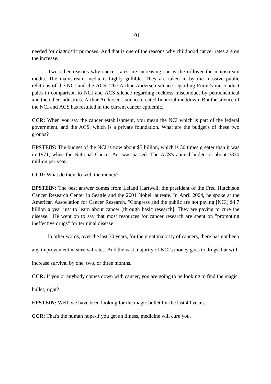needed for diagnostic purposes. And that is one of the reasons why childhood cancer rates are on the increase.

 Two other reasons why cancer rates are increasing-one is the rollover the mainstream media. The mainstream media is highly gullible. They are taken in by the massive public relations of the NCI and the ACS. The Arthur Andersen silence regarding Enron's misconduct pales in comparison to NCI and ACS silence regarding reckless misconduct by petrochemical and the other industries. Arthur Andersen's silence created financial meltdown. But the silence of the NCI and ACS has resulted in the current cancer epidemic.

**CCR:** When you say the cancer establishment, you mean the NCI which is part of the federal government, and the ACS, which is a private foundation. What are the budget's of these two groups?

**EPSTEIN:** The budget of the NCI is now about \$5 billion, which is 30 times greater than it was in 1971, when the National Cancer Act was passed. The ACS's annual budget is about \$830 million per year.

**CCR:** What do they do with the money?

**EPSTEIN:** The best answer comes from Leland Hartwell, the president of the Fred Hutchison Cancer Research Center in Seattle and the 2001 Nobel laureate. In April 2004, he spoke at the American Association for Cancer Research. "Congress and the public are not paying [NCI] \$4.7 billion a year just to learn about cancer [through basic research]. They are paying to cure the disease." He went on to say that most resources for cancer research are spent on "promoting ineffective drugs" for terminal disease.

In other words, over the last 30 years, for the great majority of cancers, there has not been

any improvement in survival rates. And the vast majority of NCI's money goes to drugs that will

increase survival by one, two, or three months.

**CCR:** If you or anybody comes down with cancer, you are going to be looking to find the magic

bullet, right?

**EPSTEIN:** Well, we have been looking for the magic bullet for the last 40 years.

**CCR:** That's the human hope-if you get an illness, medicine will cure you.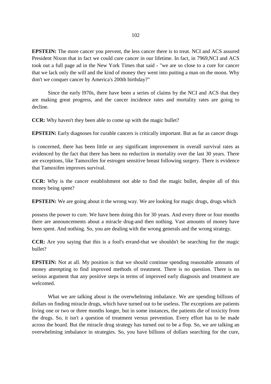**EPSTEIN:** The more cancer you prevent, the less cancer there is to treat. NCI and ACS assured President Nixon that in fact we could cure cancer in our lifetime. In fact, in 7969,NCI and ACS took out a full page ad in the New York Times that said - "we are so close to a cure for cancer that we lack only the will and the kind of money they went into putting a man on the moon. Why don't we conquer cancer by America's 200th birthday?"

 Since the early l970s, there have been a series of claims by the NCI and ACS that they are making great progress, and the cancer incidence rates and mortality rates are going to decline.

**CCR:** Why haven't they been able to come up with the magic bullet?

**EPSTEIN:** Early diagnoses for curable cancers is critically important. But as far as cancer drugs

is concerned, there has been little or any significant improvement in overall survival rates as evidenced by the fact that there has been no reduction in mortality over the last 30 years. There are exceptions, like Tamoxifen for estrogen sensitive breast following surgery. There is evidence that Tamoxifen improves survival.

**CCR:** Why is the cancer establishment not able to find the magic bullet, despite all of this money being spent?

**EPSTEIN:** We are going about it the wrong way. We are looking for magic drugs, drugs which

possess the power to cure. We have been doing this for 30 years. And every three or four months there are announcements about a miracle drug-and then nothing. Vast amounts of money have been spent. And nothing. So, you are dealing with the wrong generals and the wrong strategy.

**CCR:** Are you saying that this is a fool's errand-that we shouldn't be searching for the magic bullet?

**EPSTEIN:** Not at all. My position is that we should continue spending reasonable amounts of money attempting to find improved methods of treatment. There is no question. There is no serious argument that any positive steps in terms of improved early diagnosis and treatment are welcomed.

 What we are talking about is the overwhelming imbalance. We are spending billions of dollars on finding miracle drugs, which have turned out to be useless. The exceptions are patients living one or two or three months longer, but in some instances, the patients die of toxicity from the drugs. So, it isn't a question of treatment versus prevention. Every effort has to be made across the board. But the miracle drug strategy has turned out to be a flop. So, we are talking an overwhelming imbalance in strategies. So, you have billions of dollars searching for the cure,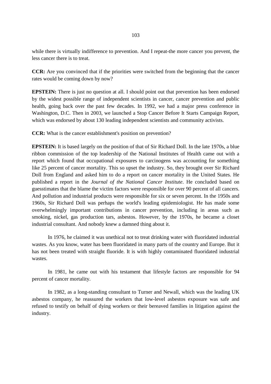while there is virtually indifference to prevention. And I repeat-the more cancer you prevent, the less cancer there is to treat.

**CCR:** Are you convinced that if the priorities were switched from the beginning that the cancer rates would be coming down by now?

**EPSTEIN:** There is just no question at all. I should point out that prevention has been endorsed by the widest possible range of independent scientists in cancer, cancer prevention and public health, going back over the past few decades. In 1992, we had a major press conference in Washington, D.C. Then in 2003, we launched a Stop Cancer Before It Starts Campaign Report, which was endorsed by about 130 leading independent scientists and community activists.

**CCR:** What is the cancer establishment's position on prevention?

**EPSTEIN:** It is based largely on the position of that of Sir Richard Doll. In the late 1970s, a blue ribbon commission of the top leadership of the National Institutes of Health came out with a report which found that occupational exposures to carcinogens was accounting for something like 25 percent of cancer mortality. This so upset the industry. So, they brought over Sir Richard Doll from England and asked him to do a report on cancer mortality in the United States. He published a report in the *Journal of the National Cancer Institute*. He concluded based on guesstimates that the blame the victim factors were responsible for over 90 percent of all cancers. And pollution and industrial products were responsible for six or seven percent. In the 1950s and 1960s, Sir Richard Doll was perhaps the world's leading epidemiologist. He has made some overwhelmingly important contributions in cancer prevention, including in areas such as smoking, nickel, gas production tars, asbestos. However, by the 1970s, he became a closet industrial consultant. And nobody knew a damned thing about it.

 In 1976, he claimed it was unethical not to treat drinking water with fluoridated industrial wastes. As you know, water has been fluoridated in many parts of the country and Europe. But it has not been treated with straight fluoride. It is with highly contaminated fluoridated industrial wastes.

 In 1981, he came out with his testament that lifestyle factors are responsible for 94 percent of cancer mortality.

 In 1982, as a long-standing consultant to Turner and Newall, which was the leading UK asbestos company, he reassured the workers that low-level asbestos exposure was safe and refused to testify on behalf of dying workers or their bereaved families in litigation against the industry.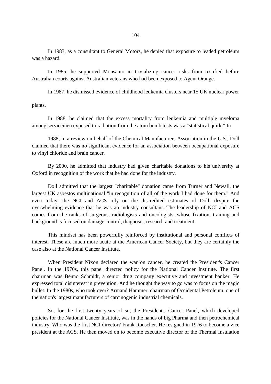In 1983, as a consultant to General Motors, he denied that exposure to leaded petroleum was a hazard.

 In 1985, he supported Monsanto in trivializing cancer risks from testified before Australian courts against Australian veterans who had been exposed to Agent Orange.

In 1987, he dismissed evidence of childhood leukemia clusters near 15 UK nuclear power

plants.

 In 1988, he claimed that the excess mortality from leukemia and multiple myeloma among servicemen exposed to radiation from the atom bomb tests was a "statistical quirk." In

 1988, in a review on behalf of the Chemical Manufacturers Association in the U.S., Doll claimed that there was no significant evidence for an association between occupational exposure to vinyl chloride and brain cancer.

 By 2000, he admitted that industry had given charitable donations to his university at Oxford in recognition of the work that he had done for the industry.

 Doll admitted that the largest "charitable" donation came from Turner and Newall, the largest UK asbestos multinational "in recognition of all of the work I had done for them." And even today, the NCI and ACS rely on the discredited estimates of Doll, despite the overwhelming evidence that he was an industry consultant. The leadership of NCI and ACS comes from the ranks of surgeons, radiologists and oncologists, whose fixation, training and background is focused on damage control, diagnosis, research and treatment.

 This mindset has been powerfully reinforced by institutional and personal conflicts of interest. These are much more acute at the American Cancer Society, but they are certainly the case also at the National Cancer Institute.

 When President Nixon declared the war on cancer, he created the President's Cancer Panel. In the 1970s, this panel directed policy for the National Cancer Institute. The first chairman was Benno Schmidt, a senior drug company executive and investment banker. He expressed total disinterest in prevention. And he thought the way to go was to focus on the magic bullet. In the 1980s, who took over? Armand Hammer, chairman of Occidental Petroleum, one of the nation's largest manufacturers of carcinogenic industrial chemicals.

 So, for the first twenty years of so, the President's Cancer Panel, which developed policies for the National Cancer Institute, was in the hands of big Pharma and then petrochemical industry. Who was the first NCI director? Frank Rauscher. He resigned in 1976 to become a vice president at the ACS. He then moved on to become executive director of the Thermal Insulation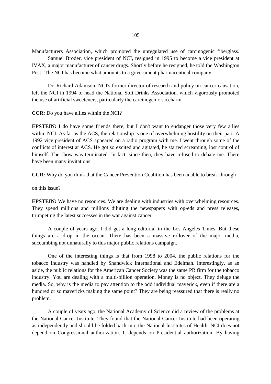Manufacturers Association, which promoted the unregulated use of carcinogenic fiberglass. Samuel Broder, vice president of NCI, resigned in 1995 to become a vice president at IVAX, a major manufacturer of cancer drugs. Shortly before he resigned, he told the Washington Post "The NCI has become what amounts to a government pharmaceutical company."

 Dr. Richard Adamson, NCI's former director of research and policy on cancer causation, left the NCI in 1994 to head the National Soft Drinks Association, which vigorously promoted the use of artificial sweeteners, particularly the carcinogenic saccharin.

**CCR:** Do you have allies within the NCI?

**EPSTEIN:** I do have some friends there, but I don't want to endanger those very few allies within NCI. As far as the ACS, the relationship is one of overwhelming hostility on their part. A 1992 vice president of ACS appeared on a radio program with me. I went through some of the conflicts of interest at ACS. He got so excited and agitated, he started screaming, lost control of himself. The show was terminated. In fact, since then, they have refused to debate me. There have been many invitations.

**CCR:** Why do you think that the Cancer Prevention Coalition has been unable to break through

on this issue?

**EPSTEIN:** We have no resources. We are dealing with industries with overwhelming resources. They spend millions and millions diluting the newspapers with op-eds and press releases, trumpeting the latest successes in the war against cancer.

 A couple of years ago, I did get a long editorial in the Los Angeles Times. But these things are a drop in the ocean. There has been a massive rollover of the major media, succumbing not unnaturally to this major public relations campaign.

 One of the interesting things is that from 1998 to 2004, the public relations for the tobacco industry was handled by Shandwick International and Edelman. Interestingly, as an aside, the public relations for the American Cancer Society was the same PR firm for the tobacco industry. You are dealing with a multi-billion operation. Money is no object. They deluge the media. So, why is the media to pay attention to the odd individual maverick, even if there are a hundred or so mavericks making the same point? They are being reassured that there is really no problem.

 A couple of years ago, the National Academy of Science did a review of the problems at the National Cancer Institute. They found that the National Cancer Institute had been operating as independently and should be folded back into the National Institutes of Health. NCI does not depend on Congressional authorization. It depends on Presidential authorization. By having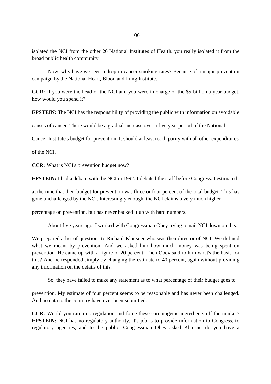isolated the NCI from the other 26 National Institutes of Health, you really isolated it from the broad public health community.

 Now, why have we seen a drop in cancer smoking rates? Because of a major prevention campaign by the National Heart, Blood and Lung Institute.

**CCR:** If you were the head of the NCI and you were in charge of the \$5 billion a year budget, how would you spend it?

**EPSTEIN:** The NCI has the responsibility of providing the public with information on avoidable

causes of cancer. There would be a gradual increase over a five year period of the National

Cancer Institute's budget for prevention. It should at least reach parity with all other expenditures

of the NCI.

**CCR:** What is NCI's prevention budget now?

**EPSTEIN:** I had a debate with the NCI in 1992. I debated the staff before Congress. I estimated

at the time that their budget for prevention was three or four percent of the total budget. This has gone unchallenged by the NCI. Interestingly enough, the NCI claims a very much higher

percentage on prevention, but has never backed it up with hard numbers.

About five years ago, I worked with Congressman Obey trying to nail NCI down on this.

We prepared a list of questions to Richard Klausner who was then director of NCI. We defined what we meant by prevention. And we asked him how much money was being spent on prevention. He came up with a figure of 20 percent. Then Obey said to him-what's the basis for this? And he responded simply by changing the estimate to 40 percent, again without providing any information on the details of this.

So, they have failed to make any statement as to what percentage of their budget goes to

prevention. My estimate of four percent seems to be reasonable and has never been challenged. And no data to the contrary have ever been submitted.

**CCR:** Would you ramp up regulation and force these carcinogenic ingredients off the market? **EPSTEIN:** NCI has no regulatory authority. It's job is to provide information to Congress, to regulatory agencies, and to the public. Congressman Obey asked Klausner-do you have a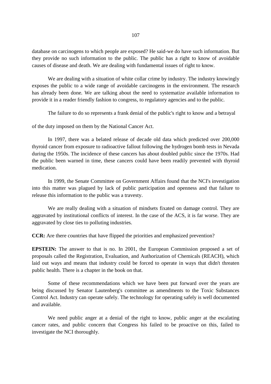database on carcinogens to which people are exposed? He said-we do have such information. But they provide no such information to the public. The public has a right to know of avoidable causes of disease and death. We are dealing with fundamental issues of right to know.

We are dealing with a situation of white collar crime by industry. The industry knowingly exposes the public to a wide range of avoidable carcinogens in the environment. The research has already been done. We are talking about the need to systematize available information to provide it in a reader friendly fashion to congress, to regulatory agencies and to the public.

The failure to do so represents a frank denial of the public's right to know and a betrayal

of the duty imposed on them by the National Cancer Act.

 In 1997, there was a belated release of decade old data which predicted over 200,000 thyroid cancer from exposure to radioactive fallout following the hydrogen bomb tests in Nevada during the 1950s. The incidence of these cancers has about doubled public since the 1970s. Had the public been warned in time, these cancers could have been readily prevented with thyroid medication.

 In 1999, the Senate Committee on Government Affairs found that the NCI's investigation into this matter was plagued by lack of public participation and openness and that failure to release this information to the public was a travesty.

We are really dealing with a situation of mindsets fixated on damage control. They are aggravated by institutional conflicts of interest. In the case of the ACS, it is far worse. They are aggravated by close ties to polluting industries.

**CCR:** Are there countries that have flipped the priorities and emphasized prevention?

**EPSTEIN:** The answer to that is no. In 2001, the European Commission proposed a set of proposals called the Registration, Evaluation, and Authorization of Chemicals (REACH), which laid out ways and means that industry could be forced to operate in ways that didn't threaten public health. There is a chapter in the book on that.

 Some of these recommendations which we have been put forward over the years are being discussed by Senator Lautenberg's committee as amendments to the Toxic Substances Control Act. Industry can operate safely. The technology for operating safely is well documented and available.

 We need public anger at a denial of the right to know, public anger at the escalating cancer rates, and public concern that Congress his failed to be proactive on this, failed to investigate the NCI thoroughly.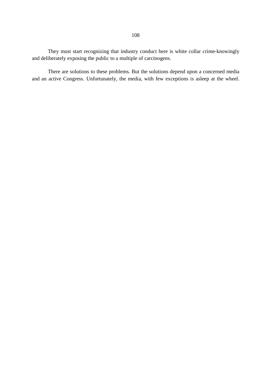They must start recognizing that industry conduct here is white collar crime-knowingly and deliberately exposing the public to a multiple of carcinogens.

 There are solutions to these problems. But the solutions depend upon a concerned media and an active Congress. Unfortunately, the media, with few exceptions is asleep at the wheel.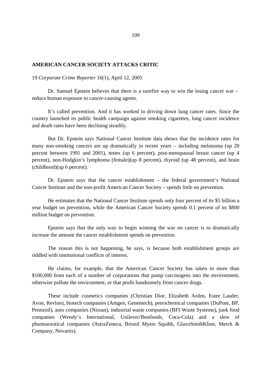## **AMERICAN CANCER SOCIETY ATTACKS CRITIC**

## 19 *Corporate Crime Reporter* 16(1), April 12, 2005

 Dr. Samuel Epstein believes that there is a surefire way to win the losing cancer war – reduce human exposure to cancer-causing agents.

 It's called prevention. And it has worked in driving down lung cancer rates. Since the country launched its public health campaign against smoking cigarettes, lung cancer incidence and death rates have been declining steadily.

 But Dr. Epstein says National Cancer Institute data shows that the incidence rates for many non-smoking cancers are up dramatically in recent years – including melanoma (up 28 percent between 1991 and 2001), testes (up 6 percent), post-menopausal breast cancer (up 4 percent), non-Hodgkin's lymphoma (female)(up 8 percent), thyroid (up 48 percent), and brain (childhood)(up 6 percent).

 Dr. Epstein says that the cancer establishment – the federal government's National Cancer Institute and the non-profit American Cancer Society – spends little on prevention.

 He estimates that the National Cancer Institute spends only four percent of its \$5 billion a year budget on prevention, while the American Cancer Society spends 0.1 percent of its \$800 million budget on prevention.

 Epstein says that the only way to begin winning the war on cancer is to dramatically increase the amount the cancer establishment spends on prevention.

 The reason this is not happening, he says, is because both establishment groups are riddled with institutional conflicts of interest.

 He claims, for example, that the American Cancer Society has taken in more than \$100,000 from each of a number of corporations that pump carcinogens into the environment, otherwise pollute the environment, or that profit handsomely from cancer drugs.

 These include cosmetics companies (Christian Dior, Elizabeth Arden, Estee Lauder, Avon, Revlon), biotech companies (Amgen, Genentech), petrochemical companies (DuPont, BP, Pennzoil), auto companies (Nissan), industrial waste companies (BFI Waste Systems), junk food companies (Wendy's International, Unilever/Bestfoods, Coca-Cola) and a slew of pharmaceutical companies (AstraZeneca, Bristol Myers Squibb, GlaxoSmithKline, Merck & Company, Novartis).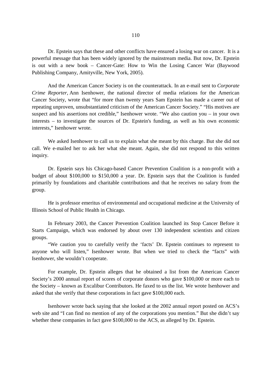Dr. Epstein says that these and other conflicts have ensured a losing war on cancer. It is a powerful message that has been widely ignored by the mainstream media. But now, Dr. Epstein is out with a new book – Cancer-Gate: How to Win the Losing Cancer War (Baywood Publishing Company, Amityville, New York, 2005).

 And the American Cancer Society is on the counterattack. In an e-mail sent to *Corporate Crime Reporter,* Ann Isenhower, the national director of media relations for the American Cancer Society, wrote that "for more than twenty years Sam Epstein has made a career out of repeating unproven, unsubstantiated criticism of the American Cancer Society." "His motives are suspect and his assertions not credible," Isenhower wrote. "We also caution you – in your own interests – to investigate the sources of Dr. Epstein's funding, as well as his own economic interests," Isenhower wrote.

 We asked Isenhower to call us to explain what she meant by this charge. But she did not call. We e-mailed her to ask her what she meant. Again, she did not respond to this written inquiry.

 Dr. Epstein says his Chicago-based Cancer Prevention Coalition is a non-profit with a budget of about \$100,000 to \$150,000 a year. Dr. Epstein says that the Coalition is funded primarily by foundations and charitable contributions and that he receives no salary from the group.

 He is professor emeritus of environmental and occupational medicine at the University of Illinois School of Public Health in Chicago.

 In February 2003, the Cancer Prevention Coalition launched its Stop Cancer Before it Starts Campaign, which was endorsed by about over 130 independent scientists and citizen groups.

 "We caution you to carefully verify the 'facts' Dr. Epstein continues to represent to anyone who will listen," Isenhower wrote. But when we tried to check the "facts" with Isenhower, she wouldn't cooperate.

 For example, Dr. Epstein alleges that he obtained a list from the American Cancer Society's 2000 annual report of scores of corporate donors who gave \$100,000 or more each to the Society – known as Excalibur Contributors. He faxed to us the list. We wrote Isenhower and asked that she verify that these corporations in fact gave \$100,000 each.

 Isenhower wrote back saying that she looked at the 2002 annual report posted on ACS's web site and "I can find no mention of any of the corporations you mention." But she didn't say whether these companies in fact gave \$100,000 to the ACS, as alleged by Dr. Epstein.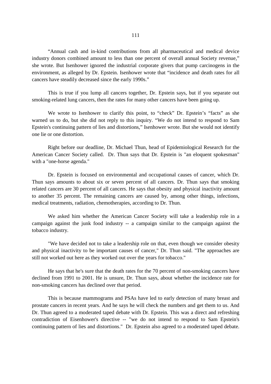"Annual cash and in-kind contributions from all pharmaceutical and medical device industry donors combined amount to less than one percent of overall annual Society revenue," she wrote. But Isenhower ignored the industrial corporate givers that pump carcinogens in the environment, as alleged by Dr. Epstein. Isenhower wrote that "incidence and death rates for all cancers have steadily decreased since the early 1990s."

 This is true if you lump all cancers together, Dr. Epstein says, but if you separate out smoking-related lung cancers, then the rates for many other cancers have been going up.

 We wrote to Isenhower to clarify this point, to "check" Dr. Epstein's "facts" as she warned us to do, but she did not reply to this inquiry. "We do not intend to respond to Sam Epstein's continuing pattern of lies and distortions," Isenhower wrote. But she would not identify one lie or one distortion.

 Right before our deadline, Dr. Michael Thun, head of Epidemiological Research for the American Cancer Society called. Dr. Thun says that Dr. Epstein is "an eloquent spokesman" with a "one-horse agenda."

 Dr. Epstein is focused on environmental and occupational causes of cancer, which Dr. Thun says amounts to about six or seven percent of all cancers. Dr. Thun says that smoking related cancers are 30 percent of all cancers. He says that obesity and physical inactivity amount to another 35 percent. The remaining cancers are caused by, among other things, infections, medical treatments, radiation, chemotherapies, according to Dr. Thun.

 We asked him whether the American Cancer Society will take a leadership role in a campaign against the junk food industry -- a campaign similar to the campaign against the tobacco industry.

 "We have decided not to take a leadership role on that, even though we consider obesity and physical inactivity to be important causes of cancer," Dr. Thun said. "The approaches are still not worked out here as they worked out over the years for tobacco."

 He says that he's sure that the death rates for the 70 percent of non-smoking cancers have declined from 1991 to 2001. He is unsure, Dr. Thun says, about whether the incidence rate for non-smoking cancers has declined over that period.

 This is because mammograms and PSAs have led to early detection of many breast and prostate cancers in recent years. And he says he will check the numbers and get them to us. And Dr. Thun agreed to a moderated taped debate with Dr. Epstein. This was a direct and refreshing contradiction of Eisenhower's directive -- "we do not intend to respond to Sam Epstein's continuing pattern of lies and distortions." Dr. Epstein also agreed to a moderated taped debate.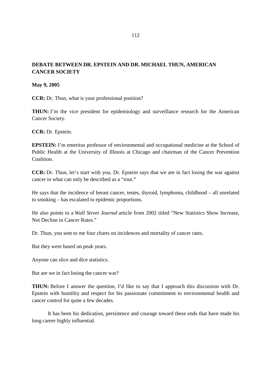# **DEBATE BETWEEN DR. EPSTEIN AND DR. MICHAEL THUN, AMERICAN CANCER SOCIETY**

# **May 9, 2005**

**CCR:** Dr. Thun, what is your professional position?

**THUN:** I'm the vice president for epidemiology and surveillance research for the American Cancer Society.

**CCR:** Dr. Epstein.

**EPSTEIN:** I'm emeritus professor of environmental and occupational medicine at the School of Public Health at the University of Illinois at Chicago and chairman of the Cancer Prevention Coalition.

**CCR:** Dr. Thun, let's start with you. Dr. Epstein says that we are in fact losing the war against cancer in what can only be described as a "rout."

He says that the incidence of breast cancer, testes, thyroid, lymphoma, childhood – all unrelated to smoking – has escalated to epidemic proportions.

He also points to a *Wall Street Journal* article from 2002 titled "New Statistics Show Increase, Not Decline in Cancer Rates."

Dr. Thun, you sent to me four charts on incidences and mortality of cancer rates.

But they were based on peak years.

Anyone can slice and dice statistics.

But are we in fact losing the cancer war?

**THUN:** Before I answer the question, I'd like to say that I approach this discussion with Dr. Epstein with humility and respect for his passionate commitment to environmental health and cancer control for quite a few decades.

 It has been his dedication, persistence and courage toward these ends that have made his long career highly influential.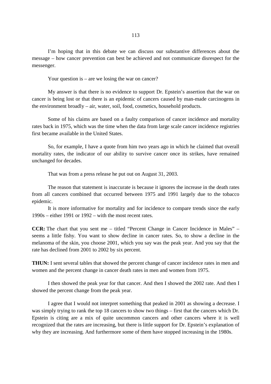I'm hoping that in this debate we can discuss our substantive differences about the message – how cancer prevention can best be achieved and not communicate disrespect for the messenger.

Your question is – are we losing the war on cancer?

 My answer is that there is no evidence to support Dr. Epstein's assertion that the war on cancer is being lost or that there is an epidemic of cancers caused by man-made carcinogens in the environment broadly – air, water, soil, food, cosmetics, household products.

 Some of his claims are based on a faulty comparison of cancer incidence and mortality rates back in 1975, which was the time when the data from large scale cancer incidence registries first became available in the United States.

 So, for example, I have a quote from him two years ago in which he claimed that overall mortality rates, the indicator of our ability to survive cancer once its strikes, have remained unchanged for decades.

That was from a press release he put out on August 31, 2003.

 The reason that statement is inaccurate is because it ignores the increase in the death rates from all cancers combined that occurred between 1975 and 1991 largely due to the tobacco epidemic.

It is more informative for mortality and for incidence to compare trends since the early 1990s – either 1991 or 1992 – with the most recent rates.

**CCR:** The chart that you sent me – titled "Percent Change in Cancer Incidence in Males" – seems a little fishy. You want to show decline in cancer rates. So, to show a decline in the melanoma of the skin, you choose 2001, which you say was the peak year. And you say that the rate has declined from 2001 to 2002 by six percent.

**THUN:** I sent several tables that showed the percent change of cancer incidence rates in men and women and the percent change in cancer death rates in men and women from 1975.

 I then showed the peak year for that cancer. And then I showed the 2002 rate. And then I showed the percent change from the peak year.

 I agree that I would not interpret something that peaked in 2001 as showing a decrease. I was simply trying to rank the top 18 cancers to show two things – first that the cancers which Dr. Epstein is citing are a mix of quite uncommon cancers and other cancers where it is well recognized that the rates are increasing, but there is little support for Dr. Epstein's explanation of why they are increasing. And furthermore some of them have stopped increasing in the 1980s.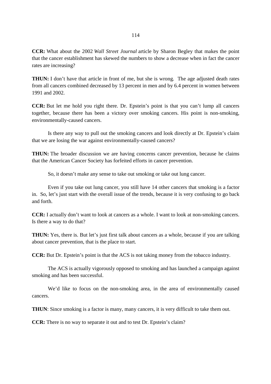**CCR:** What about the 2002 *Wall Street Journal* article by Sharon Begley that makes the point that the cancer establishment has skewed the numbers to show a decrease when in fact the cancer rates are increasing?

**THUN:** I don't have that article in front of me, but she is wrong. The age adjusted death rates from all cancers combined decreased by 13 percent in men and by 6.4 percent in women between 1991 and 2002.

**CCR:** But let me hold you right there. Dr. Epstein's point is that you can't lump all cancers together, because there has been a victory over smoking cancers. His point is non-smoking, environmentally-caused cancers.

Is there any way to pull out the smoking cancers and look directly at Dr. Epstein's claim that we are losing the war against environmentally-caused cancers?

**THUN:** The broader discussion we are having concerns cancer prevention, because he claims that the American Cancer Society has forfeited efforts in cancer prevention.

So, it doesn't make any sense to take out smoking or take out lung cancer.

 Even if you take out lung cancer, you still have 14 other cancers that smoking is a factor in. So, let's just start with the overall issue of the trends, because it is very confusing to go back and forth.

**CCR:** I actually don't want to look at cancers as a whole. I want to look at non-smoking cancers. Is there a way to do that?

**THUN:** Yes, there is. But let's just first talk about cancers as a whole, because if you are talking about cancer prevention, that is the place to start.

**CCR:** But Dr. Epstein's point is that the ACS is not taking money from the tobacco industry.

 The ACS is actually vigorously opposed to smoking and has launched a campaign against smoking and has been successful.

 We'd like to focus on the non-smoking area, in the area of environmentally caused cancers.

**THUN**: Since smoking is a factor is many, many cancers, it is very difficult to take them out.

**CCR:** There is no way to separate it out and to test Dr. Epstein's claim?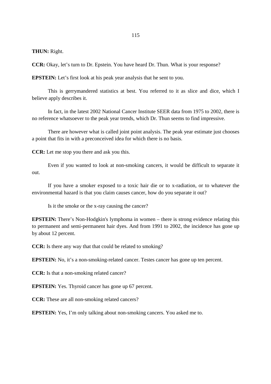#### **THUN:** Right.

**CCR:** Okay, let's turn to Dr. Epstein. You have heard Dr. Thun. What is your response?

**EPSTEIN:** Let's first look at his peak year analysis that he sent to you.

 This is gerrymandered statistics at best. You referred to it as slice and dice, which I believe apply describes it.

 In fact, in the latest 2002 National Cancer Institute SEER data from 1975 to 2002, there is no reference whatsoever to the peak year trends, which Dr. Thun seems to find impressive.

 There are however what is called joint point analysis. The peak year estimate just chooses a point that fits in with a preconceived idea for which there is no basis.

**CCR:** Let me stop you there and ask you this.

 Even if you wanted to look at non-smoking cancers, it would be difficult to separate it out.

 If you have a smoker exposed to a toxic hair die or to x-radiation, or to whatever the environmental hazard is that you claim causes cancer, how do you separate it out?

Is it the smoke or the x-ray causing the cancer?

**EPSTEIN:** There's Non-Hodgkin's lymphoma in women – there is strong evidence relating this to permanent and semi-permanent hair dyes. And from 1991 to 2002, the incidence has gone up by about 12 percent.

**CCR:** Is there any way that that could be related to smoking?

**EPSTEIN:** No, it's a non-smoking-related cancer. Testes cancer has gone up ten percent.

**CCR:** Is that a non-smoking related cancer?

**EPSTEIN:** Yes. Thyroid cancer has gone up 67 percent.

**CCR:** These are all non-smoking related cancers?

**EPSTEIN:** Yes, I'm only talking about non-smoking cancers. You asked me to.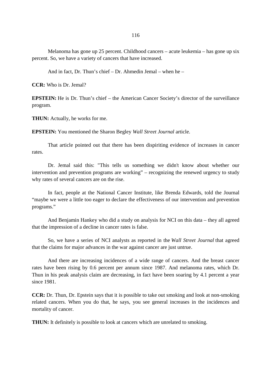116

 Melanoma has gone up 25 percent. Childhood cancers – acute leukemia – has gone up six percent. So, we have a variety of cancers that have increased.

And in fact, Dr. Thun's chief – Dr. Ahmedin Jemal – when he –

**CCR:** Who is Dr. Jemal?

**EPSTEIN:** He is Dr. Thun's chief – the American Cancer Society's director of the surveillance program.

**THUN:** Actually, he works for me.

**EPSTEIN:** You mentioned the Sharon Begley *Wall Street Journal* article.

 That article pointed out that there has been dispiriting evidence of increases in cancer rates.

 Dr. Jemal said this: "This tells us something we didn't know about whether our intervention and prevention programs are working" – recognizing the renewed urgency to study why rates of several cancers are on the rise.

 In fact, people at the National Cancer Institute, like Brenda Edwards, told the Journal "maybe we were a little too eager to declare the effectiveness of our intervention and prevention programs."

 And Benjamin Hankey who did a study on analysis for NCI on this data – they all agreed that the impression of a decline in cancer rates is false.

 So, we have a series of NCI analysts as reported in the *Wall Street Journal* that agreed that the claims for major advances in the war against cancer are just untrue.

 And there are increasing incidences of a wide range of cancers. And the breast cancer rates have been rising by 0.6 percent per annum since 1987. And melanoma rates, which Dr. Thun in his peak analysis claim are decreasing, in fact have been soaring by 4.1 percent a year since 1981.

**CCR:** Dr. Thun, Dr. Epstein says that it is possible to take out smoking and look at non-smoking related cancers. When you do that, he says, you see general increases in the incidences and mortality of cancer.

**THUN:** It definitely is possible to look at cancers which are unrelated to smoking.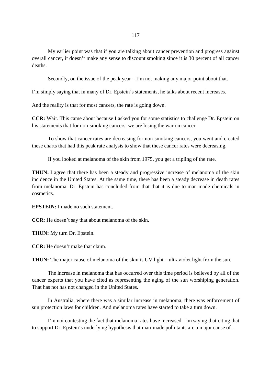My earlier point was that if you are talking about cancer prevention and progress against overall cancer, it doesn't make any sense to discount smoking since it is 30 percent of all cancer deaths.

Secondly, on the issue of the peak year – I'm not making any major point about that.

I'm simply saying that in many of Dr. Epstein's statements, he talks about recent increases.

And the reality is that for most cancers, the rate is going down.

**CCR:** Wait. This came about because I asked you for some statistics to challenge Dr. Epstein on his statements that for non-smoking cancers, we are losing the war on cancer.

 To show that cancer rates are decreasing for non-smoking cancers, you went and created these charts that had this peak rate analysis to show that these cancer rates were decreasing.

If you looked at melanoma of the skin from 1975, you get a tripling of the rate.

**THUN:** I agree that there has been a steady and progressive increase of melanoma of the skin incidence in the United States. At the same time, there has been a steady decrease in death rates from melanoma. Dr. Epstein has concluded from that that it is due to man-made chemicals in cosmetics.

**EPSTEIN:** I made no such statement.

**CCR:** He doesn't say that about melanoma of the skin.

**THUN:** My turn Dr. Epstein.

**CCR:** He doesn't make that claim.

**THUN:** The major cause of melanoma of the skin is UV light – ultraviolet light from the sun.

 The increase in melanoma that has occurred over this time period is believed by all of the cancer experts that you have cited as representing the aging of the sun worshiping generation. That has not has not changed in the United States.

 In Australia, where there was a similar increase in melanoma, there was enforcement of sun protection laws for children. And melanoma rates have started to take a turn down.

 I'm not contesting the fact that melanoma rates have increased. I'm saying that citing that to support Dr. Epstein's underlying hypothesis that man-made pollutants are a major cause of  $-$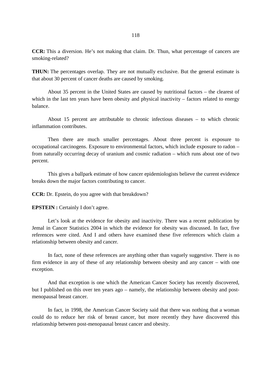**CCR:** This a diversion. He's not making that claim. Dr. Thun, what percentage of cancers are smoking-related?

**THUN:** The percentages overlap. They are not mutually exclusive. But the general estimate is that about 30 percent of cancer deaths are caused by smoking.

 About 35 percent in the United States are caused by nutritional factors – the clearest of which in the last ten years have been obesity and physical inactivity – factors related to energy balance.

 About 15 percent are attributable to chronic infectious diseases – to which chronic inflammation contributes.

 Then there are much smaller percentages. About three percent is exposure to occupational carcinogens. Exposure to environmental factors, which include exposure to radon – from naturally occurring decay of uranium and cosmic radiation – which runs about one of two percent.

 This gives a ballpark estimate of how cancer epidemiologists believe the current evidence breaks down the major factors contributing to cancer.

**CCR:** Dr. Epstein, do you agree with that breakdown?

**EPSTEIN :** Certainly I don't agree.

 Let's look at the evidence for obesity and inactivity. There was a recent publication by Jemal in Cancer Statistics 2004 in which the evidence for obesity was discussed. In fact, five references were cited. And I and others have examined these five references which claim a relationship between obesity and cancer.

 In fact, none of these references are anything other than vaguely suggestive. There is no firm evidence in any of these of any relationship between obesity and any cancer – with one exception.

 And that exception is one which the American Cancer Society has recently discovered, but I published on this over ten years ago – namely, the relationship between obesity and postmenopausal breast cancer.

 In fact, in 1998, the American Cancer Society said that there was nothing that a woman could do to reduce her risk of breast cancer, but more recently they have discovered this relationship between post-menopausal breast cancer and obesity.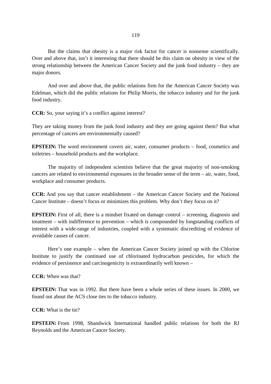But the claims that obesity is a major risk factor for cancer is nonsense scientifically. Over and above that, isn't it interesting that there should be this claim on obesity in view of the strong relationship between the American Cancer Society and the junk food industry – they are major donors.

 And over and above that, the public relations firm for the American Cancer Society was Edelman, which did the public relations for Philip Morris, the tobacco industry and for the junk food industry.

**CCR:** So, your saying it's a conflict against interest?

They are taking money from the junk food industry and they are going against them? But what percentage of cancers are environmentally caused?

**EPSTEIN:** The word environment covers air, water, consumer products – food, cosmetics and toiletries – household products and the workplace.

 The majority of independent scientists believe that the great majority of non-smoking cancers are related to environmental exposures in the broader sense of the term – air, water, food, workplace and consumer products.

**CCR:** And you say that cancer establishment – the American Cancer Society and the National Cancer Institute – doesn't focus or minimizes this problem. Why don't they focus on it?

**EPSTEIN:** First of all, there is a mindset fixated on damage control – screening, diagnosis and treatment – with indifference to prevention – which is compounded by longstanding conflicts of interest with a wide-range of industries, coupled with a systematic discrediting of evidence of avoidable causes of cancer.

 Here's one example – when the American Cancer Society joined up with the Chlorine Institute to justify the continued use of chlorinated hydrocarbon pesticides, for which the evidence of persistence and carcinogenicity is extraordinarily well known –

**CCR:** When was that?

**EPSTEIN:** That was in 1992. But there have been a whole series of these issues. In 2000, we found out about the ACS close ties to the tobacco industry.

**CCR:** What is the tie?

**EPSTEIN:** From 1998, Shandwick International handled public relations for both the RJ Reynolds and the American Cancer Society.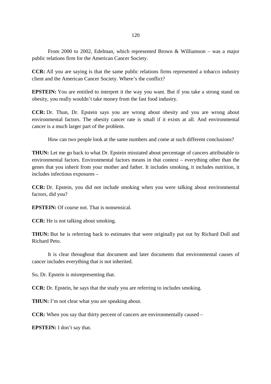120

 From 2000 to 2002, Edelman, which represented Brown & Williamson – was a major public relations firm for the American Cancer Society.

**CCR:** All you are saying is that the same public relations firms represented a tobacco industry client and the American Cancer Society. Where's the conflict?

**EPSTEIN:** You are entitled to interpret it the way you want. But if you take a strong stand on obesity, you really wouldn't take money from the fast food industry.

**CCR:** Dr. Thun, Dr. Epstein says you are wrong about obesity and you are wrong about environmental factors. The obesity cancer rate is small if it exists at all. And environmental cancer is a much larger part of the problem.

How can two people look at the same numbers and come at such different conclusions?

**THUN:** Let me go back to what Dr. Epstein misstated about percentage of cancers attributable to environmental factors. Environmental factors means in that context – everything other than the genes that you inherit from your mother and father. It includes smoking, it includes nutrition, it includes infectious exposures –

**CCR:** Dr. Epstein, you did not include smoking when you were talking about environmental factors, did you?

**EPSTEIN:** Of course not. That is nonsensical.

**CCR:** He is not talking about smoking.

**THUN:** But he is referring back to estimates that were originally put out by Richard Doll and Richard Peto.

 It is clear throughout that document and later documents that environmental causes of cancer includes everything that is not inherited.

So, Dr. Epstein is misrepresenting that.

**CCR:** Dr. Epstein, he says that the study you are referring to includes smoking.

**THUN:** I'm not clear what you are speaking about.

**CCR:** When you say that thirty percent of cancers are environmentally caused –

**EPSTEIN:** I don't say that.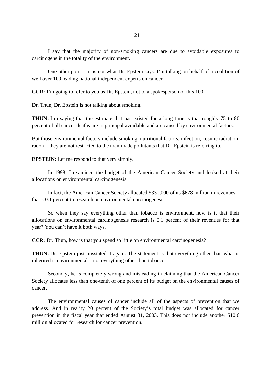I say that the majority of non-smoking cancers are due to avoidable exposures to carcinogens in the totality of the environment.

One other point – it is not what Dr. Epstein says. I'm talking on behalf of a coalition of well over 100 leading national independent experts on cancer.

**CCR:** I'm going to refer to you as Dr. Epstein, not to a spokesperson of this 100.

Dr. Thun, Dr. Epstein is not talking about smoking.

**THUN:** I'm saying that the estimate that has existed for a long time is that roughly 75 to 80 percent of all cancer deaths are in principal avoidable and are caused by environmental factors.

But those environmental factors include smoking, nutritional factors, infection, cosmic radiation, radon – they are not restricted to the man-made pollutants that Dr. Epstein is referring to.

**EPSTEIN:** Let me respond to that very simply.

 In 1998, I examined the budget of the American Cancer Society and looked at their allocations on environmental carcinogenesis.

 In fact, the American Cancer Society allocated \$330,000 of its \$678 million in revenues – that's 0.1 percent to research on environmental carcinogenesis.

 So when they say everything other than tobacco is environment, how is it that their allocations on environmental carcinogenesis research is 0.1 percent of their revenues for that year? You can't have it both ways.

**CCR:** Dr. Thun, how is that you spend so little on environmental carcinogenesis?

**THUN:** Dr. Epstein just misstated it again. The statement is that everything other than what is inherited is environmental – not everything other than tobacco.

 Secondly, he is completely wrong and misleading in claiming that the American Cancer Society allocates less than one-tenth of one percent of its budget on the environmental causes of cancer.

 The environmental causes of cancer include all of the aspects of prevention that we address. And in reality 20 percent of the Society's total budget was allocated for cancer prevention in the fiscal year that ended August 31, 2003. This does not include another \$10.6 million allocated for research for cancer prevention.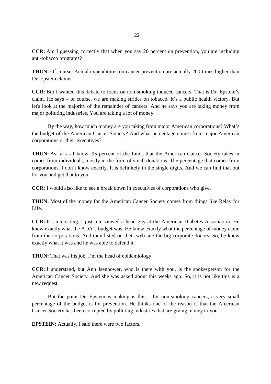**CCR:** Am I guessing correctly that when you say 20 percent on prevention, you are including anti-tobacco programs?

**THUN:** Of course. Actual expenditures on cancer prevention are actually 200 times higher than Dr. Epstein claims.

**CCR:** But I wanted this debate to focus on non-smoking induced cancers. That is Dr. Epstein's claim. He says – of course, we are making strides on tobacco. It's a public health victory. But let's look at the majority of the remainder of cancers. And he says you are taking money from major polluting industries. You are taking a lot of money.

 By the way, how much money are you taking from major American corporations? What's the budget of the American Cancer Society? And what percentage comes from major American corporations or their executives?

**THUN:** As far as I know, 95 percent of the funds that the American Cancer Society takes in comes from individuals, mostly in the form of small donations. The percentage that comes from corporations, I don't know exactly. It is definitely in the single digits. And we can find that out for you and get that to you.

**CCR:** I would also like to see a break down in executives of corporations who give.

**THUN:** Most of the money for the American Cancer Society comes from things like Relay for Life.

**CCR:** It's interesting. I just interviewed a head guy at the American Diabetes Association. He knew exactly what the ADA's budget was. He knew exactly what the percentage of money came from the corporations. And they listed on their web site the big corporate donors. So, he knew exactly what it was and he was able to defend it.

**THUN:** That was his job. I'm the head of epidemiology.

**CCR:** I understand, but Ann Isenhower, who is there with you, is the spokesperson for the American Cancer Society. And she was asked about this weeks ago. So, it is not like this is a new request.

 But the point Dr. Epstein is making is this – for non-smoking cancers, a very small percentage of the budget is for prevention. He thinks one of the reason is that the American Cancer Society has been corrupted by polluting industries that are giving money to you.

**EPSTEIN:** Actually, I said there were two factors.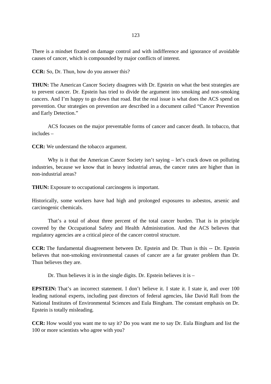There is a mindset fixated on damage control and with indifference and ignorance of avoidable causes of cancer, which is compounded by major conflicts of interest.

**CCR:** So, Dr. Thun, how do you answer this?

**THUN:** The American Cancer Society disagrees with Dr. Epstein on what the best strategies are to prevent cancer. Dr. Epstein has tried to divide the argument into smoking and non-smoking cancers. And I'm happy to go down that road. But the real issue is what does the ACS spend on prevention. Our strategies on prevention are described in a document called "Cancer Prevention and Early Detection."

 ACS focuses on the major preventable forms of cancer and cancer death. In tobacco, that includes –

**CCR:** We understand the tobacco argument.

Why is it that the American Cancer Society isn't saying – let's crack down on polluting industries, because we know that in heavy industrial areas, the cancer rates are higher than in non-industrial areas?

**THUN:** Exposure to occupational carcinogens is important.

Historically, some workers have had high and prolonged exposures to asbestos, arsenic and carcinogenic chemicals.

 That's a total of about three percent of the total cancer burden. That is in principle covered by the Occupational Safety and Health Administration. And the ACS believes that regulatory agencies are a critical piece of the cancer control structure.

**CCR:** The fundamental disagreement between Dr. Epstein and Dr. Thun is this -- Dr. Epstein believes that non-smoking environmental causes of cancer are a far greater problem than Dr. Thun believes they are.

Dr. Thun believes it is in the single digits. Dr. Epstein believes it is –

**EPSTEIN:** That's an incorrect statement. I don't believe it. I state it. I state it, and over 100 leading national experts, including past directors of federal agencies, like David Rall from the National Institutes of Environmental Sciences and Eula Bingham. The constant emphasis on Dr. Epstein is totally misleading.

**CCR:** How would you want me to say it? Do you want me to say Dr. Eula Bingham and list the 100 or more scientists who agree with you?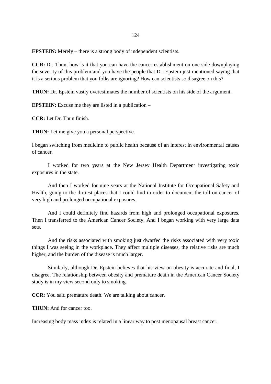124

**EPSTEIN:** Merely – there is a strong body of independent scientists.

**CCR:** Dr. Thun, how is it that you can have the cancer establishment on one side downplaying the severity of this problem and you have the people that Dr. Epstein just mentioned saying that it is a serious problem that you folks are ignoring? How can scientists so disagree on this?

**THUN:** Dr. Epstein vastly overestimates the number of scientists on his side of the argument.

**EPSTEIN:** Excuse me they are listed in a publication –

**CCR:** Let Dr. Thun finish.

**THUN:** Let me give you a personal perspective.

I began switching from medicine to public health because of an interest in environmental causes of cancer.

 I worked for two years at the New Jersey Health Department investigating toxic exposures in the state.

 And then I worked for nine years at the National Institute for Occupational Safety and Health, going to the dirtiest places that I could find in order to document the toll on cancer of very high and prolonged occupational exposures.

 And I could definitely find hazards from high and prolonged occupational exposures. Then I transferred to the American Cancer Society. And I began working with very large data sets.

 And the risks associated with smoking just dwarfed the risks associated with very toxic things I was seeing in the workplace. They affect multiple diseases, the relative risks are much higher, and the burden of the disease is much larger.

 Similarly, although Dr. Epstein believes that his view on obesity is accurate and final, I disagree. The relationship between obesity and premature death in the American Cancer Society study is in my view second only to smoking.

**CCR:** You said premature death. We are talking about cancer.

**THUN:** And for cancer too.

Increasing body mass index is related in a linear way to post menopausal breast cancer.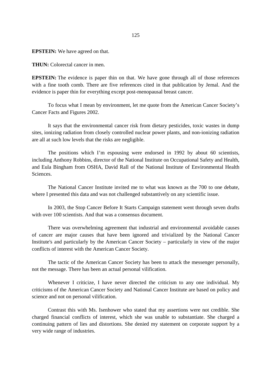**EPSTEIN:** We have agreed on that.

**THUN:** Colorectal cancer in men.

**EPSTEIN:** The evidence is paper thin on that. We have gone through all of those references with a fine tooth comb. There are five references cited in that publication by Jemal. And the evidence is paper thin for everything except post-menopausal breast cancer.

 To focus what I mean by environment, let me quote from the American Cancer Society's Cancer Facts and Figures 2002.

 It says that the environmental cancer risk from dietary pesticides, toxic wastes in dump sites, ionizing radiation from closely controlled nuclear power plants, and non-ionizing radiation are all at such low levels that the risks are negligible.

 The positions which I'm espousing were endorsed in 1992 by about 60 scientists, including Anthony Robbins, director of the National Institute on Occupational Safety and Health, and Eula Bingham from OSHA, David Rall of the National Institute of Environmental Health Sciences.

 The National Cancer Institute invited me to what was known as the 700 to one debate, where I presented this data and was not challenged substantively on any scientific issue.

 In 2003, the Stop Cancer Before It Starts Campaign statement went through seven drafts with over 100 scientists. And that was a consensus document.

 There was overwhelming agreement that industrial and environmental avoidable causes of cancer are major causes that have been ignored and trivialized by the National Cancer Institute's and particularly by the American Cancer Society – particularly in view of the major conflicts of interest with the American Cancer Society.

 The tactic of the American Cancer Society has been to attack the messenger personally, not the message. There has been an actual personal vilification.

Whenever I criticize. I have never directed the criticism to any one individual. My criticisms of the American Cancer Society and National Cancer Institute are based on policy and science and not on personal vilification.

 Contrast this with Ms. Isenhower who stated that my assertions were not credible. She charged financial conflicts of interest, which she was unable to substantiate. She charged a continuing pattern of lies and distortions. She denied my statement on corporate support by a very wide range of industries.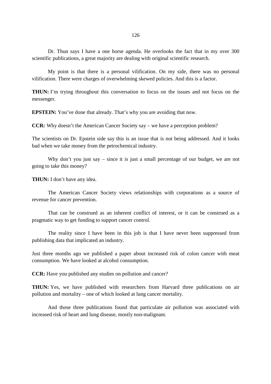126

 Dr. Thun says I have a one horse agenda. He overlooks the fact that in my over 300 scientific publications, a great majority are dealing with original scientific research.

 My point is that there is a personal vilification. On my side, there was no personal vilification. There were charges of overwhelming skewed policies. And this is a factor.

**THUN:** I'm trying throughout this conversation to focus on the issues and not focus on the messenger.

**EPSTEIN:** You've done that already. That's why you are avoiding that now.

**CCR:** Why doesn't the American Cancer Society say – we have a perception problem?

The scientists on Dr. Epstein side say this is an issue that is not being addressed. And it looks bad when we take money from the petrochemical industry.

Why don't you just say – since it is just a small percentage of our budget, we are not going to take this money?

**THUN:** I don't have any idea.

 The American Cancer Society views relationships with corporations as a source of revenue for cancer prevention.

 That can be construed as an inherent conflict of interest, or it can be construed as a pragmatic way to get funding to support cancer control.

 The reality since I have been in this job is that I have never been suppressed from publishing data that implicated an industry.

Just three months ago we published a paper about increased risk of colon cancer with meat consumption. We have looked at alcohol consumption.

**CCR:** Have you published any studies on pollution and cancer?

**THUN:** Yes, we have published with researchers from Harvard three publications on air pollution and mortality – one of which looked at lung cancer mortality.

 And those three publications found that particulate air pollution was associated with increased risk of heart and lung disease, mostly non-malignant.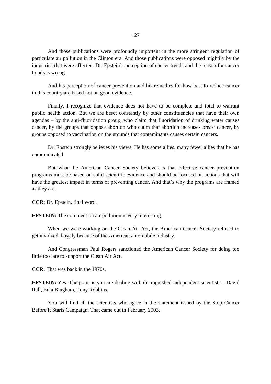And those publications were profoundly important in the more stringent regulation of particulate air pollution in the Clinton era. And those publications were opposed mightily by the industries that were affected. Dr. Epstein's perception of cancer trends and the reason for cancer trends is wrong.

 And his perception of cancer prevention and his remedies for how best to reduce cancer in this country are based not on good evidence.

 Finally, I recognize that evidence does not have to be complete and total to warrant public health action. But we are beset constantly by other constituencies that have their own agendas – by the anti-fluoridation group, who claim that fluoridation of drinking water causes cancer, by the groups that oppose abortion who claim that abortion increases breast cancer, by groups opposed to vaccination on the grounds that contaminants causes certain cancers.

 Dr. Epstein strongly believes his views. He has some allies, many fewer allies that he has communicated.

 But what the American Cancer Society believes is that effective cancer prevention programs must be based on solid scientific evidence and should be focused on actions that will have the greatest impact in terms of preventing cancer. And that's why the programs are framed as they are.

**CCR:** Dr. Epstein, final word.

**EPSTEIN:** The comment on air pollution is very interesting.

 When we were working on the Clean Air Act, the American Cancer Society refused to get involved, largely because of the American automobile industry.

 And Congressman Paul Rogers sanctioned the American Cancer Society for doing too little too late to support the Clean Air Act.

**CCR:** That was back in the 1970s.

**EPSTEIN:** Yes. The point is you are dealing with distinguished independent scientists – David Rall, Eula Bingham, Tony Robbins.

 You will find all the scientists who agree in the statement issued by the Stop Cancer Before It Starts Campaign. That came out in February 2003.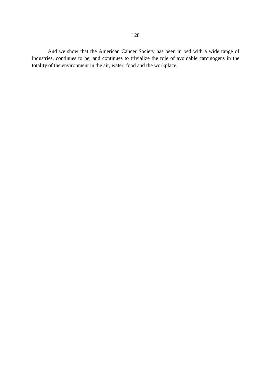And we show that the American Cancer Society has been in bed with a wide range of industries, continues to be, and continues to trivialize the role of avoidable carcinogens in the totality of the environment in the air, water, food and the workplace.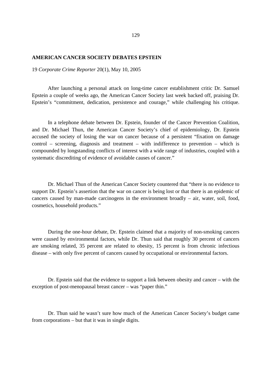# **AMERICAN CANCER SOCIETY DEBATES EPSTEIN**

19 *Corporate Crime Reporter* 20(1), May 10, 2005

 After launching a personal attack on long-time cancer establishment critic Dr. Samuel Epstein a couple of weeks ago, the American Cancer Society last week backed off, praising Dr. Epstein's "commitment, dedication, persistence and courage," while challenging his critique.

 In a telephone debate between Dr. Epstein, founder of the Cancer Prevention Coalition, and Dr. Michael Thun, the American Cancer Society's chief of epidemiology, Dr. Epstein accused the society of losing the war on cancer because of a persistent "fixation on damage control – screening, diagnosis and treatment – with indifference to prevention – which is compounded by longstanding conflicts of interest with a wide range of industries, coupled with a systematic discrediting of evidence of avoidable causes of cancer."

 Dr. Michael Thun of the American Cancer Society countered that "there is no evidence to support Dr. Epstein's assertion that the war on cancer is being lost or that there is an epidemic of cancers caused by man-made carcinogens in the environment broadly  $-$  air, water, soil, food, cosmetics, household products."

 During the one-hour debate, Dr. Epstein claimed that a majority of non-smoking cancers were caused by environmental factors, while Dr. Thun said that roughly 30 percent of cancers are smoking related, 35 percent are related to obesity, 15 percent is from chronic infectious disease – with only five percent of cancers caused by occupational or environmental factors.

 Dr. Epstein said that the evidence to support a link between obesity and cancer – with the exception of post-menopausal breast cancer – was "paper thin."

 Dr. Thun said he wasn't sure how much of the American Cancer Society's budget came from corporations – but that it was in single digits.